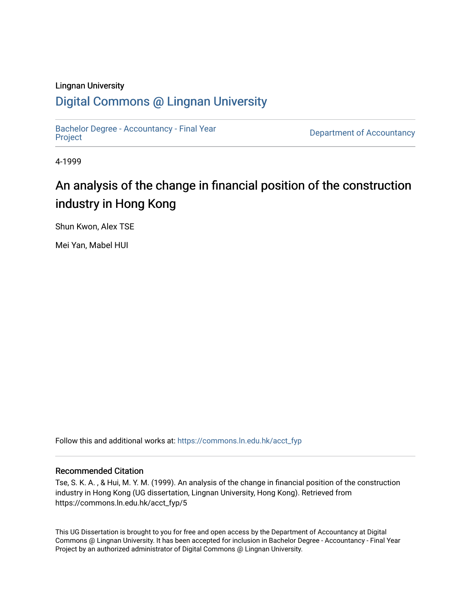#### Lingnan University

## [Digital Commons @ Lingnan University](https://commons.ln.edu.hk/)

[Bachelor Degree - Accountancy - Final Year](https://commons.ln.edu.hk/acct_fyp) 

Department of Accountancy

4-1999

## An analysis of the change in financial position of the construction industry in Hong Kong

Shun Kwon, Alex TSE

Mei Yan, Mabel HUI

Follow this and additional works at: [https://commons.ln.edu.hk/acct\\_fyp](https://commons.ln.edu.hk/acct_fyp?utm_source=commons.ln.edu.hk%2Facct_fyp%2F5&utm_medium=PDF&utm_campaign=PDFCoverPages) 

#### Recommended Citation

Tse, S. K. A. , & Hui, M. Y. M. (1999). An analysis of the change in financial position of the construction industry in Hong Kong (UG dissertation, Lingnan University, Hong Kong). Retrieved from https://commons.ln.edu.hk/acct\_fyp/5

This UG Dissertation is brought to you for free and open access by the Department of Accountancy at Digital Commons @ Lingnan University. It has been accepted for inclusion in Bachelor Degree - Accountancy - Final Year Project by an authorized administrator of Digital Commons @ Lingnan University.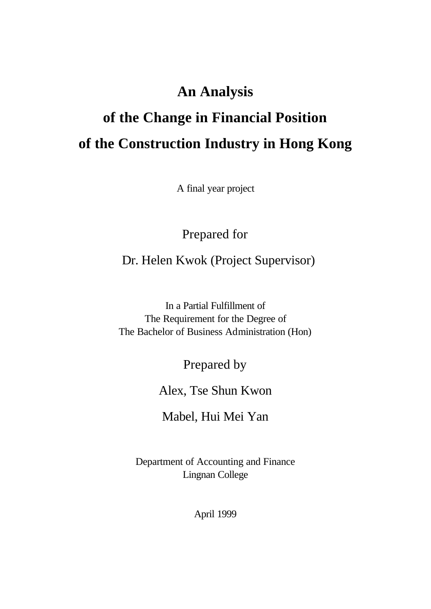## **An Analysis**

# **of the Change in Financial Position of the Construction Industry in Hong Kong**

A final year project

Prepared for

Dr. Helen Kwok (Project Supervisor)

In a Partial Fulfillment of The Requirement for the Degree of The Bachelor of Business Administration (Hon)

Prepared by

Alex, Tse Shun Kwon

Mabel, Hui Mei Yan

Department of Accounting and Finance Lingnan College

April 1999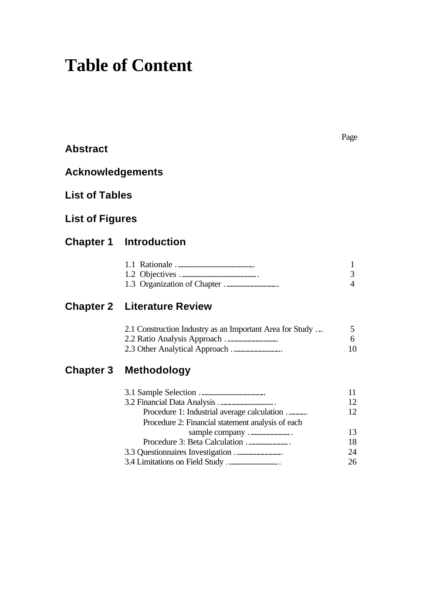# **Table of Content**

**Abstract**

| <b>Acknowledgements</b> |                                                                                                  |
|-------------------------|--------------------------------------------------------------------------------------------------|
| <b>List of Tables</b>   |                                                                                                  |
| <b>List of Figures</b>  |                                                                                                  |
|                         | <b>Chapter 1 Introduction</b>                                                                    |
|                         |                                                                                                  |
| <b>Chapter 2</b>        | <b>Literature Review</b>                                                                         |
|                         | 2.1 Construction Industry as an Important Area for Study                                         |
| <b>Chapter 3</b>        | <b>Methodology</b>                                                                               |
|                         | Procedure 1: Industrial average calculation<br>Procedure 2: Financial statement analysis of each |

1 3 4

5 6 10

11 12 12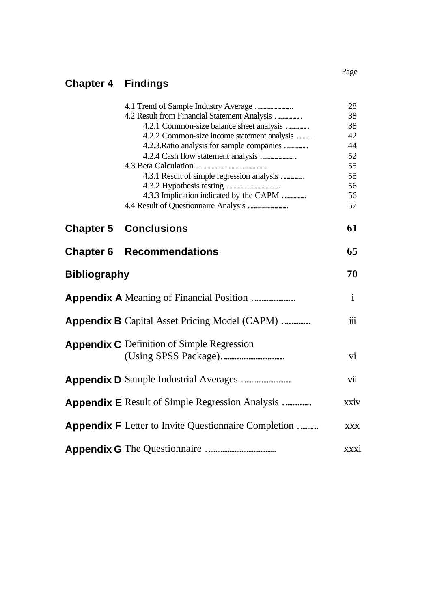## **Chapter 4 Findings**

|                     |                                                             | 28                   |
|---------------------|-------------------------------------------------------------|----------------------|
|                     | 4.2 Result from Financial Statement Analysis                | 38                   |
|                     | 4.2.1 Common-size balance sheet analysis                    | 38                   |
|                     | 4.2.2 Common-size income statement analysis                 | 42                   |
|                     | 4.2.3. Ratio analysis for sample companies                  | 44                   |
|                     |                                                             | 52                   |
|                     |                                                             | 55                   |
|                     | 4.3.1 Result of simple regression analysis                  | 55                   |
|                     |                                                             | 56                   |
|                     | 4.3.3 Implication indicated by the CAPM                     | 56                   |
|                     |                                                             | 57                   |
|                     | <b>Chapter 5 Conclusions</b>                                | 61                   |
| <b>Chapter 6</b>    | <b>Recommendations</b>                                      | 65                   |
| <b>Bibliography</b> |                                                             | 70                   |
|                     |                                                             | $\mathbf{i}$         |
|                     | <b>Appendix B</b> Capital Asset Pricing Model (CAPM)        | $\dddot{\mathbf{m}}$ |
|                     | <b>Appendix C</b> Definition of Simple Regression           |                      |
|                     |                                                             | $\overline{vi}$      |
|                     |                                                             | vii                  |
|                     | <b>Appendix E</b> Result of Simple Regression Analysis      | xxiv                 |
|                     | <b>Appendix F</b> Letter to Invite Questionnaire Completion | <b>XXX</b>           |
|                     |                                                             | xxxi                 |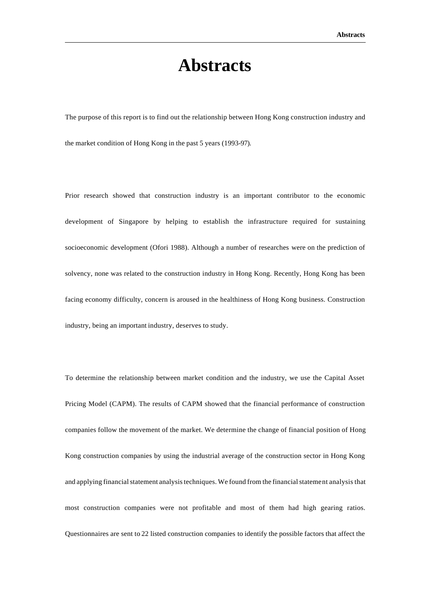# **Abstracts**

The purpose of this report is to find out the relationship between Hong Kong construction industry and the market condition of Hong Kong in the past 5 years (1993-97).

Prior research showed that construction industry is an important contributor to the economic development of Singapore by helping to establish the infrastructure required for sustaining socioeconomic development (Ofori 1988). Although a number of researches were on the prediction of solvency, none was related to the construction industry in Hong Kong. Recently, Hong Kong has been facing economy difficulty, concern is aroused in the healthiness of Hong Kong business. Construction industry, being an important industry, deserves to study.

To determine the relationship between market condition and the industry, we use the Capital Asset Pricing Model (CAPM). The results of CAPM showed that the financial performance of construction companies follow the movement of the market. We determine the change of financial position of Hong Kong construction companies by using the industrial average of the construction sector in Hong Kong and applying financial statement analysis techniques. We found from the financial statement analysis that most construction companies were not profitable and most of them had high gearing ratios. Questionnaires are sent to 22 listed construction companies to identify the possible factors that affect the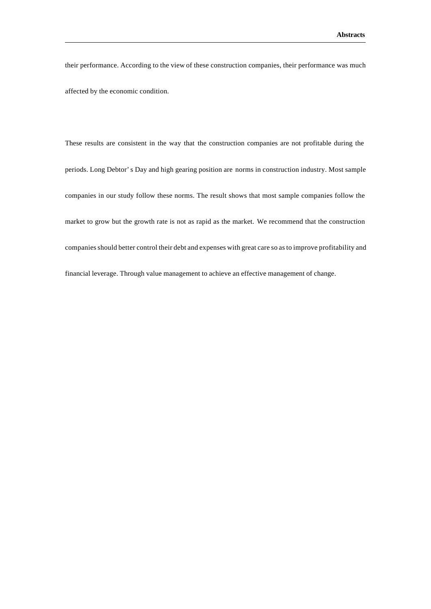their performance. According to the view of these construction companies, their performance was much affected by the economic condition.

These results are consistent in the way that the construction companies are not profitable during the periods. Long Debtor's Day and high gearing position are norms in construction industry. Most sample companies in our study follow these norms. The result shows that most sample companies follow the market to grow but the growth rate is not as rapid as the market. We recommend that the construction companies should better control their debt and expenses with great care so as to improve profitability and financial leverage. Through value management to achieve an effective management of change.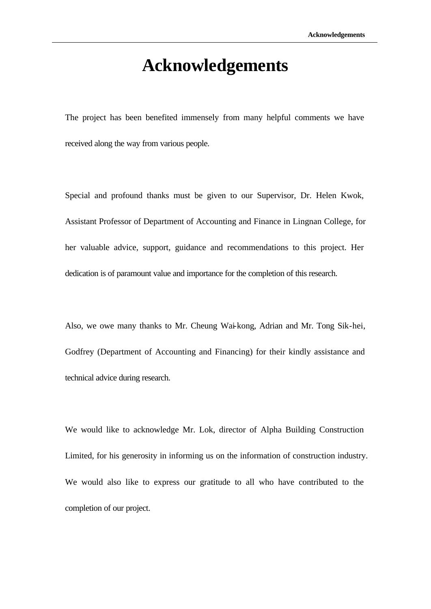# **Acknowledgements**

The project has been benefited immensely from many helpful comments we have received along the way from various people.

Special and profound thanks must be given to our Supervisor, Dr. Helen Kwok, Assistant Professor of Department of Accounting and Finance in Lingnan College, for her valuable advice, support, guidance and recommendations to this project. Her dedication is of paramount value and importance for the completion of this research.

Also, we owe many thanks to Mr. Cheung Wai-kong, Adrian and Mr. Tong Sik-hei, Godfrey (Department of Accounting and Financing) for their kindly assistance and technical advice during research.

We would like to acknowledge Mr. Lok, director of Alpha Building Construction Limited, for his generosity in informing us on the information of construction industry. We would also like to express our gratitude to all who have contributed to the completion of our project.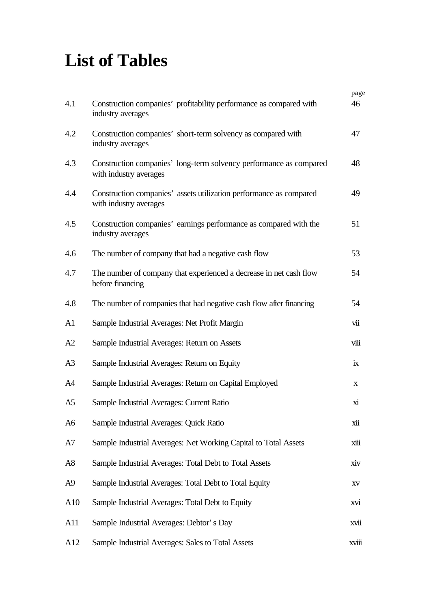# **List of Tables**

|                |                                                                                              | page        |
|----------------|----------------------------------------------------------------------------------------------|-------------|
| 4.1            | Construction companies' profitability performance as compared with<br>industry averages      | 46          |
| 4.2            | Construction companies' short-term solvency as compared with<br>industry averages            | 47          |
| 4.3            | Construction companies' long-term solvency performance as compared<br>with industry averages | 48          |
| 4.4            | Construction companies' assets utilization performance as compared<br>with industry averages | 49          |
| 4.5            | Construction companies' earnings performance as compared with the<br>industry averages       | 51          |
| 4.6            | The number of company that had a negative cash flow                                          | 53          |
| 4.7            | The number of company that experienced a decrease in net cash flow<br>before financing       | 54          |
| 4.8            | The number of companies that had negative cash flow after financing                          | 54          |
| A1             | Sample Industrial Averages: Net Profit Margin                                                | vii         |
| A2             | Sample Industrial Averages: Return on Assets                                                 | $\nu$       |
| A <sub>3</sub> | Sample Industrial Averages: Return on Equity                                                 | ix          |
| A4             | Sample Industrial Averages: Return on Capital Employed                                       | $\mathbf X$ |
| A5             | Sample Industrial Averages: Current Ratio                                                    | xi          |
| A6             | Sample Industrial Averages: Quick Ratio                                                      | xii         |
| A7             | Sample Industrial Averages: Net Working Capital to Total Assets                              | xiii        |
| A8             | Sample Industrial Averages: Total Debt to Total Assets                                       | xiv         |
| A9             | Sample Industrial Averages: Total Debt to Total Equity                                       | XV          |
| A10            | Sample Industrial Averages: Total Debt to Equity                                             | xvi         |
| A11            | Sample Industrial Averages: Debtor's Day                                                     | xvii        |
| A12            | Sample Industrial Averages: Sales to Total Assets                                            | xviii       |
|                |                                                                                              |             |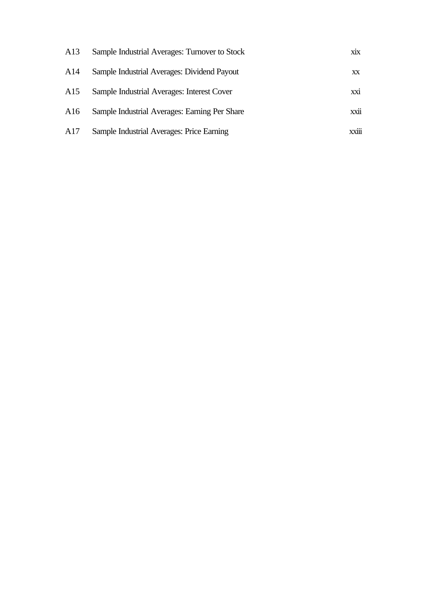| A13 | Sample Industrial Averages: Turnover to Stock | X1X   |
|-----|-----------------------------------------------|-------|
| A14 | Sample Industrial Averages: Dividend Payout   | XX    |
| A15 | Sample Industrial Averages: Interest Cover    | xxi   |
| A16 | Sample Industrial Averages: Earning Per Share | xxii  |
| A17 | Sample Industrial Averages: Price Earning     | xxiii |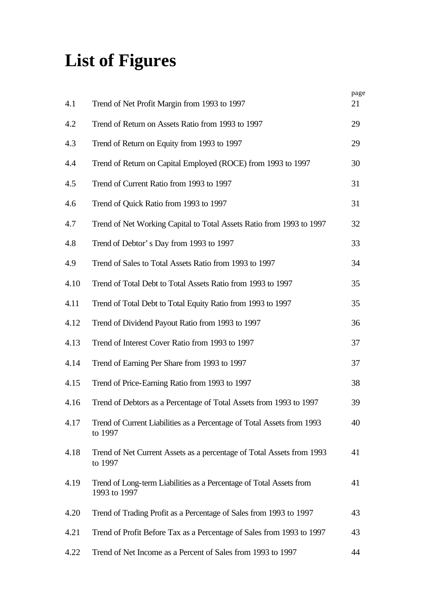# **List of Figures**

|      |                                                                                     | page |
|------|-------------------------------------------------------------------------------------|------|
| 4.1  | Trend of Net Profit Margin from 1993 to 1997                                        | 21   |
| 4.2  | Trend of Return on Assets Ratio from 1993 to 1997                                   | 29   |
| 4.3  | Trend of Return on Equity from 1993 to 1997                                         | 29   |
| 4.4  | Trend of Return on Capital Employed (ROCE) from 1993 to 1997                        | 30   |
| 4.5  | Trend of Current Ratio from 1993 to 1997                                            | 31   |
| 4.6  | Trend of Quick Ratio from 1993 to 1997                                              | 31   |
| 4.7  | Trend of Net Working Capital to Total Assets Ratio from 1993 to 1997                | 32   |
| 4.8  | Trend of Debtor's Day from 1993 to 1997                                             | 33   |
| 4.9  | Trend of Sales to Total Assets Ratio from 1993 to 1997                              | 34   |
| 4.10 | Trend of Total Debt to Total Assets Ratio from 1993 to 1997                         | 35   |
| 4.11 | Trend of Total Debt to Total Equity Ratio from 1993 to 1997                         | 35   |
| 4.12 | Trend of Dividend Payout Ratio from 1993 to 1997                                    | 36   |
| 4.13 | Trend of Interest Cover Ratio from 1993 to 1997                                     | 37   |
| 4.14 | Trend of Earning Per Share from 1993 to 1997                                        | 37   |
| 4.15 | Trend of Price-Earning Ratio from 1993 to 1997                                      | 38   |
| 4.16 | Trend of Debtors as a Percentage of Total Assets from 1993 to 1997                  | 39   |
| 4.17 | Trend of Current Liabilities as a Percentage of Total Assets from 1993<br>to 1997   | 40   |
| 4.18 | Trend of Net Current Assets as a percentage of Total Assets from 1993<br>to 1997    | 41   |
| 4.19 | Trend of Long-term Liabilities as a Percentage of Total Assets from<br>1993 to 1997 | 41   |
| 4.20 | Trend of Trading Profit as a Percentage of Sales from 1993 to 1997                  | 43   |
| 4.21 | Trend of Profit Before Tax as a Percentage of Sales from 1993 to 1997               | 43   |
| 4.22 | Trend of Net Income as a Percent of Sales from 1993 to 1997                         | 44   |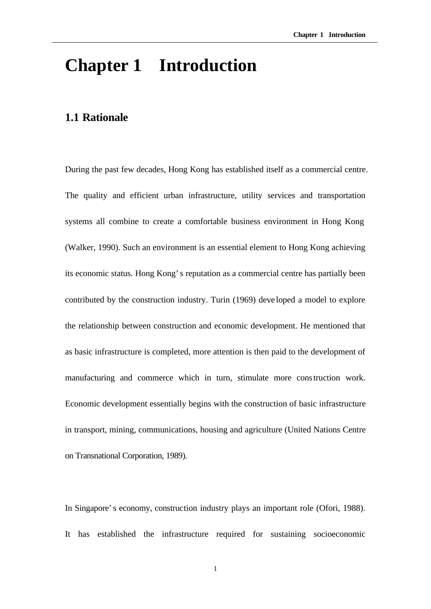# **Chapter 1 Introduction**

## **1.1 Rationale**

During the past few decades, Hong Kong has established itself as a commercial centre. The quality and efficient urban infrastructure, utility services and transportation systems all combine to create a comfortable business environment in Hong Kong (Walker, 1990). Such an environment is an essential element to Hong Kong achieving its economic status. Hong Kong's reputation as a commercial centre has partially been contributed by the construction industry. Turin (1969) deve loped a model to explore the relationship between construction and economic development. He mentioned that as basic infrastructure is completed, more attention is then paid to the development of manufacturing and commerce which in turn, stimulate more construction work. Economic development essentially begins with the construction of basic infrastructure in transport, mining, communications, housing and agriculture (United Nations Centre on Transnational Corporation, 1989).

In Singapore's economy, construction industry plays an important role (Ofori, 1988). It has established the infrastructure required for sustaining socioeconomic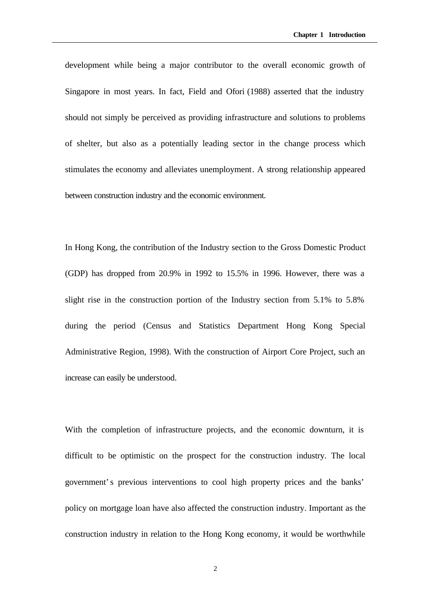development while being a major contributor to the overall economic growth of Singapore in most years. In fact, Field and Ofori (1988) asserted that the industry should not simply be perceived as providing infrastructure and solutions to problems of shelter, but also as a potentially leading sector in the change process which stimulates the economy and alleviates unemployment. A strong relationship appeared between construction industry and the economic environment.

In Hong Kong, the contribution of the Industry section to the Gross Domestic Product (GDP) has dropped from 20.9% in 1992 to 15.5% in 1996. However, there was a slight rise in the construction portion of the Industry section from 5.1% to 5.8% during the period (Census and Statistics Department Hong Kong Special Administrative Region, 1998). With the construction of Airport Core Project, such an increase can easily be understood.

With the completion of infrastructure projects, and the economic downturn, it is difficult to be optimistic on the prospect for the construction industry. The local government's previous interventions to cool high property prices and the banks' policy on mortgage loan have also affected the construction industry. Important as the construction industry in relation to the Hong Kong economy, it would be worthwhile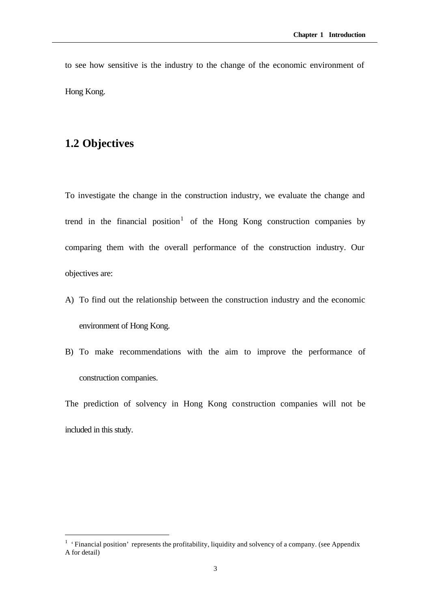to see how sensitive is the industry to the change of the economic environment of Hong Kong.

## **1.2 Objectives**

l

To investigate the change in the construction industry, we evaluate the change and trend in the financial position<sup>1</sup> of the Hong Kong construction companies by comparing them with the overall performance of the construction industry. Our objectives are:

- A) To find out the relationship between the construction industry and the economic environment of Hong Kong.
- B) To make recommendations with the aim to improve the performance of construction companies.

The prediction of solvency in Hong Kong construction companies will not be included in this study.

<sup>&</sup>lt;sup>1</sup> 'Financial position' represents the profitability, liquidity and solvency of a company. (see Appendix A for detail)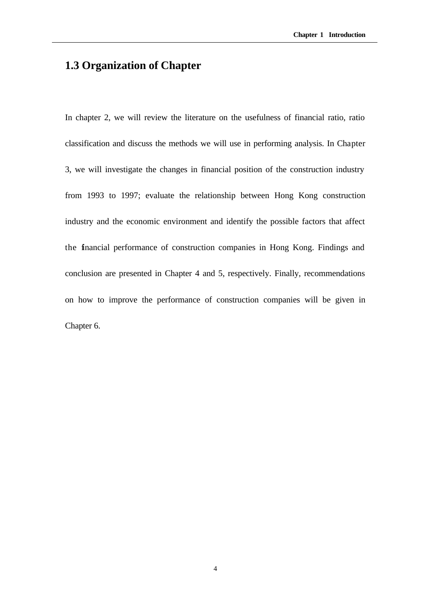## **1.3 Organization of Chapter**

In chapter 2, we will review the literature on the usefulness of financial ratio, ratio classification and discuss the methods we will use in performing analysis. In Chapter 3, we will investigate the changes in financial position of the construction industry from 1993 to 1997; evaluate the relationship between Hong Kong construction industry and the economic environment and identify the possible factors that affect the financial performance of construction companies in Hong Kong. Findings and conclusion are presented in Chapter 4 and 5, respectively. Finally, recommendations on how to improve the performance of construction companies will be given in Chapter 6.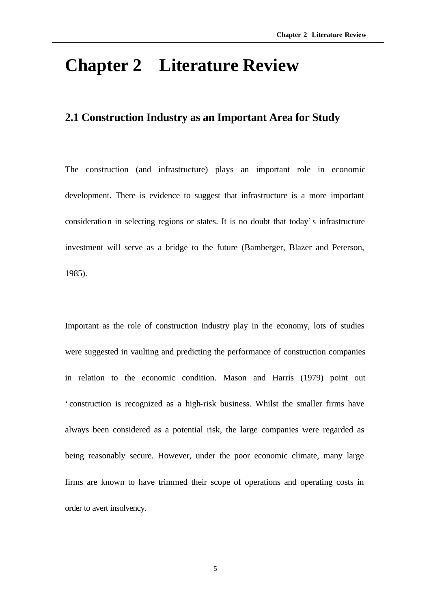# **Chapter 2 Literature Review**

### **2.1 Construction Industry as an Important Area for Study**

The construction (and infrastructure) plays an important role in economic development. There is evidence to suggest that infrastructure is a more important consideration in selecting regions or states. It is no doubt that today's infrastructure investment will serve as a bridge to the future (Bamberger, Blazer and Peterson, 1985).

Important as the role of construction industry play in the economy, lots of studies were suggested in vaulting and predicting the performance of construction companies in relation to the economic condition. Mason and Harris (1979) point out 'construction is recognized as a high-risk business. Whilst the smaller firms have always been considered as a potential risk, the large companies were regarded as being reasonably secure. However, under the poor economic climate, many large firms are known to have trimmed their scope of operations and operating costs in order to avert insolvency.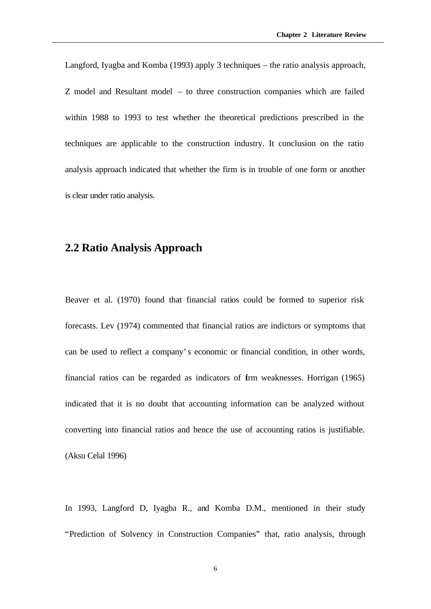Langford, Iyagba and Komba (1993) apply 3 techniques – the ratio analysis approach, Z model and Resultant model – to three construction companies which are failed within 1988 to 1993 to test whether the theoretical predictions prescribed in the techniques are applicable to the construction industry. It conclusion on the ratio analysis approach indicated that whether the firm is in trouble of one form or another is clear under ratio analysis.

#### **2.2 Ratio Analysis Approach**

Beaver et al. (1970) found that financial ratios could be formed to superior risk forecasts. Lev (1974) commented that financial ratios are indictors or symptoms that can be used to reflect a company's economic or financial condition, in other words, financial ratios can be regarded as indicators of firm weaknesses. Horrigan (1965) indicated that it is no doubt that accounting information can be analyzed without converting into financial ratios and hence the use of accounting ratios is justifiable. (Aksu Celal 1996)

In 1993, Langford D, Iyagba R., and Komba D.M., mentioned in their study "Prediction of Solvency in Construction Companies" that, ratio analysis, through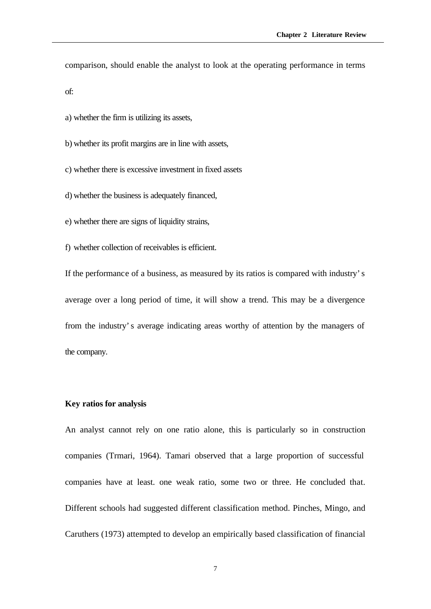comparison, should enable the analyst to look at the operating performance in terms

of:

a) whether the firm is utilizing its assets,

b) whether its profit margins are in line with assets,

c) whether there is excessive investment in fixed assets

d) whether the business is adequately financed,

e) whether there are signs of liquidity strains,

f) whether collection of receivables is efficient.

If the performance of a business, as measured by its ratios is compared with industry's average over a long period of time, it will show a trend. This may be a divergence from the industry's average indicating areas worthy of attention by the managers of the company.

#### **Key ratios for analysis**

An analyst cannot rely on one ratio alone, this is particularly so in construction companies (Trmari, 1964). Tamari observed that a large proportion of successful companies have at least. one weak ratio, some two or three. He concluded that. Different schools had suggested different classification method. Pinches, Mingo, and Caruthers (1973) attempted to develop an empirically based classification of financial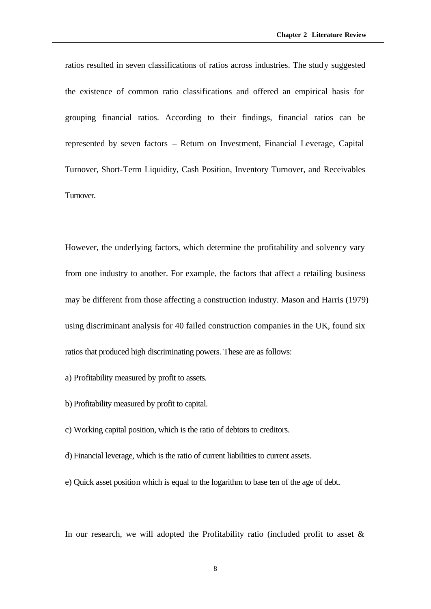ratios resulted in seven classifications of ratios across industries. The study suggested the existence of common ratio classifications and offered an empirical basis for grouping financial ratios. According to their findings, financial ratios can be represented by seven factors – Return on Investment, Financial Leverage, Capital Turnover, Short-Term Liquidity, Cash Position, Inventory Turnover, and Receivables Turnover.

However, the underlying factors, which determine the profitability and solvency vary from one industry to another. For example, the factors that affect a retailing business may be different from those affecting a construction industry. Mason and Harris (1979) using discriminant analysis for 40 failed construction companies in the UK, found six ratios that produced high discriminating powers. These are as follows:

- a) Profitability measured by profit to assets.
- b) Profitability measured by profit to capital.
- c) Working capital position, which is the ratio of debtors to creditors.
- d) Financial leverage, which is the ratio of current liabilities to current assets.
- e) Quick asset position which is equal to the logarithm to base ten of the age of debt.

In our research, we will adopted the Profitability ratio (included profit to asset  $\&$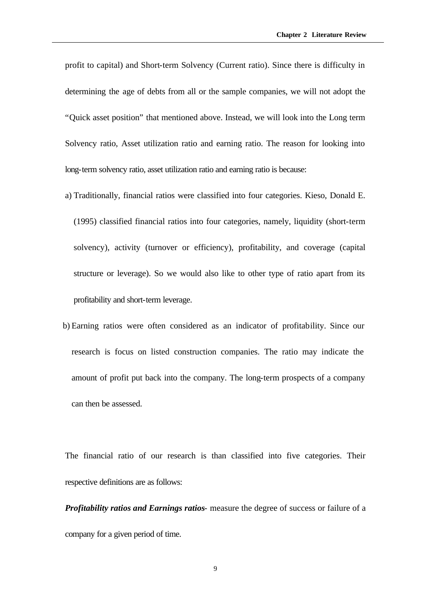profit to capital) and Short-term Solvency (Current ratio). Since there is difficulty in determining the age of debts from all or the sample companies, we will not adopt the "Quick asset position" that mentioned above. Instead, we will look into the Long term Solvency ratio, Asset utilization ratio and earning ratio. The reason for looking into long-term solvency ratio, asset utilization ratio and earning ratio is because:

- a) Traditionally, financial ratios were classified into four categories. Kieso, Donald E. (1995) classified financial ratios into four categories, namely, liquidity (short-term solvency), activity (turnover or efficiency), profitability, and coverage (capital structure or leverage). So we would also like to other type of ratio apart from its profitability and short-term leverage.
- b) Earning ratios were often considered as an indicator of profitability. Since our research is focus on listed construction companies. The ratio may indicate the amount of profit put back into the company. The long-term prospects of a company can then be assessed.

The financial ratio of our research is than classified into five categories. Their respective definitions are as follows:

*Profitability ratios and Earnings ratios*- measure the degree of success or failure of a company for a given period of time.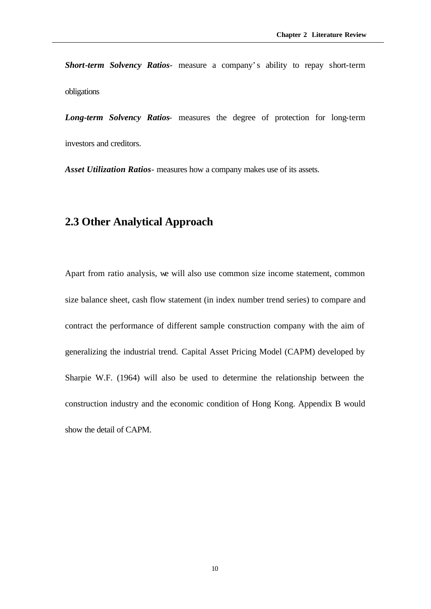*Short-term Solvency Ratios*- measure a company's ability to repay short-term obligations

*Long-term Solvency Ratios*- measures the degree of protection for long-term investors and creditors.

*Asset Utilization Ratios*- measures how a company makes use of its assets.

## **2.3 Other Analytical Approach**

Apart from ratio analysis, we will also use common size income statement, common size balance sheet, cash flow statement (in index number trend series) to compare and contract the performance of different sample construction company with the aim of generalizing the industrial trend. Capital Asset Pricing Model (CAPM) developed by Sharpie W.F. (1964) will also be used to determine the relationship between the construction industry and the economic condition of Hong Kong. Appendix B would show the detail of CAPM.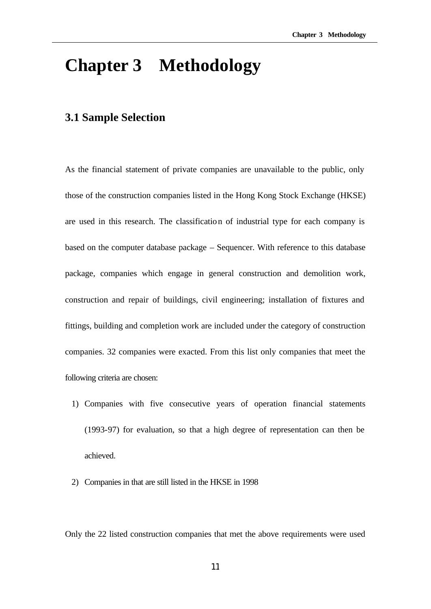# **Chapter 3 Methodology**

### **3.1 Sample Selection**

As the financial statement of private companies are unavailable to the public, only those of the construction companies listed in the Hong Kong Stock Exchange (HKSE) are used in this research. The classification of industrial type for each company is based on the computer database package – Sequencer. With reference to this database package, companies which engage in general construction and demolition work, construction and repair of buildings, civil engineering; installation of fixtures and fittings, building and completion work are included under the category of construction companies. 32 companies were exacted. From this list only companies that meet the following criteria are chosen:

- 1) Companies with five consecutive years of operation financial statements (1993-97) for evaluation, so that a high degree of representation can then be achieved.
- 2) Companies in that are still listed in the HKSE in 1998

Only the 22 listed construction companies that met the above requirements were used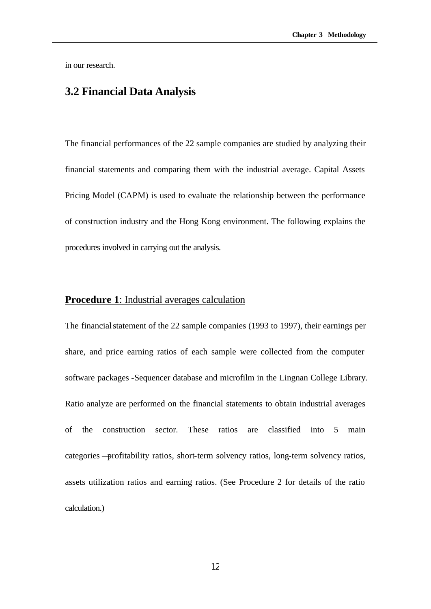in our research.

## **3.2 Financial Data Analysis**

The financial performances of the 22 sample companies are studied by analyzing their financial statements and comparing them with the industrial average. Capital Assets Pricing Model (CAPM) is used to evaluate the relationship between the performance of construction industry and the Hong Kong environment. The following explains the procedures involved in carrying out the analysis.

#### **Procedure 1**: Industrial averages calculation

The financial statement of the 22 sample companies (1993 to 1997), their earnings per share, and price earning ratios of each sample were collected from the computer software packages -Sequencer database and microfilm in the Lingnan College Library. Ratio analyze are performed on the financial statements to obtain industrial averages of the construction sector. These ratios are classified into 5 main categories —profitability ratios, short-term solvency ratios, long-term solvency ratios, assets utilization ratios and earning ratios. (See Procedure 2 for details of the ratio calculation.)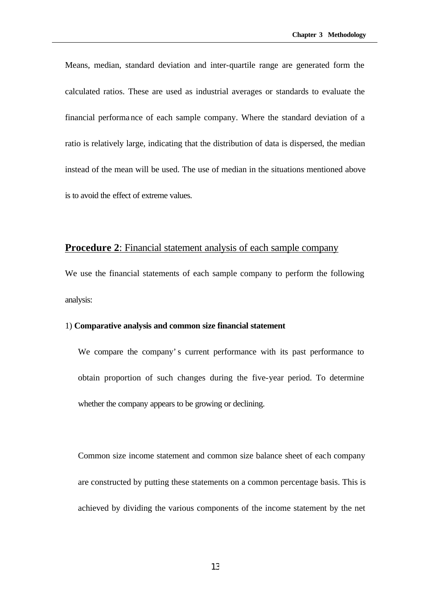Means, median, standard deviation and inter-quartile range are generated form the calculated ratios. These are used as industrial averages or standards to evaluate the financial performance of each sample company. Where the standard deviation of a ratio is relatively large, indicating that the distribution of data is dispersed, the median instead of the mean will be used. The use of median in the situations mentioned above is to avoid the effect of extreme values.

#### **Procedure 2:** Financial statement analysis of each sample company

We use the financial statements of each sample company to perform the following analysis:

#### 1) **Comparative analysis and common size financial statement**

We compare the company's current performance with its past performance to obtain proportion of such changes during the five-year period. To determine whether the company appears to be growing or declining.

Common size income statement and common size balance sheet of each company are constructed by putting these statements on a common percentage basis. This is achieved by dividing the various components of the income statement by the net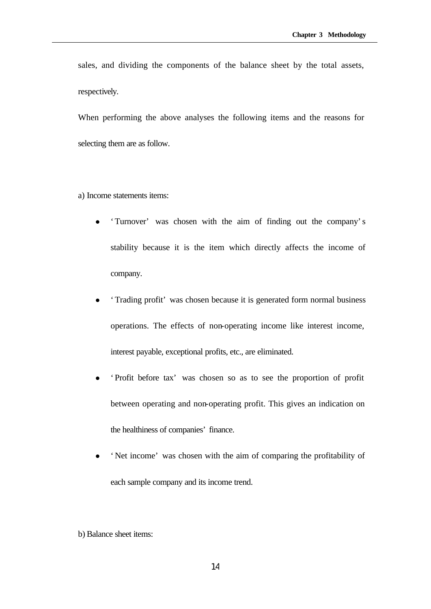sales, and dividing the components of the balance sheet by the total assets, respectively.

When performing the above analyses the following items and the reasons for selecting them are as follow.

a) Income statements items:

- <sup>l</sup> 'Turnover' was chosen with the aim of finding out the company's stability because it is the item which directly affects the income of company.
- <sup>l</sup> 'Trading profit' was chosen because it is generated form normal business operations. The effects of non-operating income like interest income, interest payable, exceptional profits, etc., are eliminated.
- <sup>l</sup> 'Profit before tax' was chosen so as to see the proportion of profit between operating and non-operating profit. This gives an indication on the healthiness of companies' finance.
- 'Net income' was chosen with the aim of comparing the profitability of each sample company and its income trend.

b) Balance sheet items: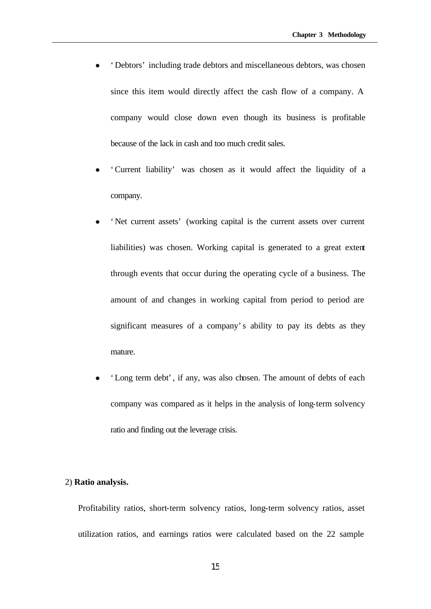- <sup>l</sup> 'Debtors' including trade debtors and miscellaneous debtors, was chosen since this item would directly affect the cash flow of a company. A company would close down even though its business is profitable because of the lack in cash and too much credit sales.
- <sup>l</sup> 'Current liability' was chosen as it would affect the liquidity of a company.
- 'Net current assets' (working capital is the current assets over current liabilities) was chosen. Working capital is generated to a great extent through events that occur during the operating cycle of a business. The amount of and changes in working capital from period to period are significant measures of a company's ability to pay its debts as they mature.
- 'Long term debt', if any, was also chosen. The amount of debts of each company was compared as it helps in the analysis of long-term solvency ratio and finding out the leverage crisis.

#### 2) **Ratio analysis.**

Profitability ratios, short-term solvency ratios, long-term solvency ratios, asset utilization ratios, and earnings ratios were calculated based on the 22 sample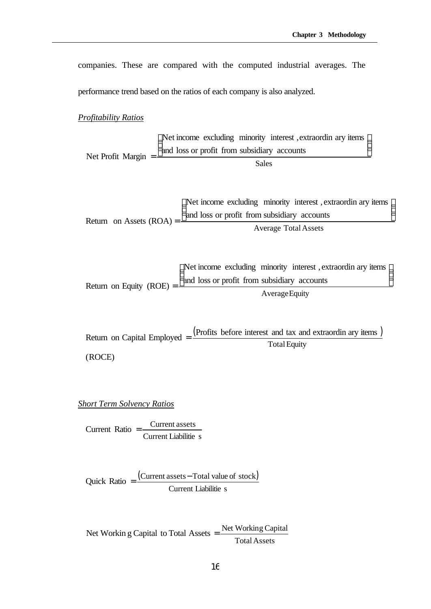companies. These are compared with the computed industrial averages. The

performance trend based on the ratios of each company is also analyzed.

#### *Profitability Ratios*

Sales and loss or profit from subsidiary accounts Net income excluding minority interest ,extraordin ary items Net Profit Margin Net income excluding minority interest, extraordin ary items  $\overline{1}$  $\overline{\phantom{a}}$  $\frac{1}{2}$ 

Return on Assets 
$$
(ROA)
$$
 =  $\frac{\begin{pmatrix} Net income excluding minority interest, extraction any items \\ and loss or profit from subsidiary accounts \\ Average Total Assets \end{pmatrix}}{\text{Average Total Assets}}$ 

Return on Equity (ROE) = 
$$
\frac{\text{Net income excluding minority interest, extraordinary items}}{\text{Average Equity}}
$$

\nOutput

\nDescription:

Return on Capital Employed  $=$   $\frac{\text{(Profits before interest and tax and extractionary items)}}{\text{Re}(P)}$ (ROCE) **Total Equity** 

*Short Term Solvency Ratios*

Current Liabilitie s  $Current Ratio =$  Current assets

 $\text{Quick Ratio} = \frac{\text{(Current assets} - \text{Total value of stock)}}{\text{[Current assets]}}$ Current Liabilitie s

TotalAssets Net Working Capital to Total Assets  $=$  Net Working Capital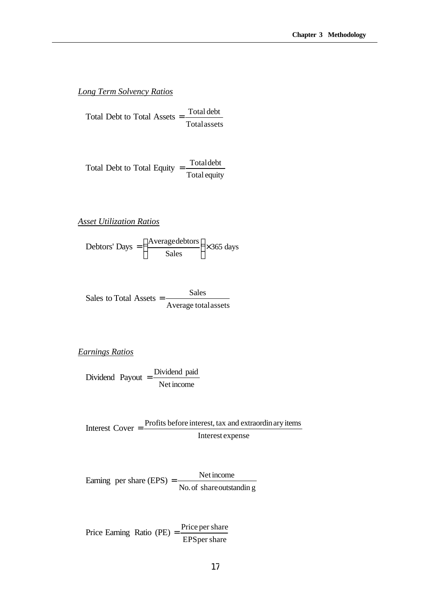#### *Long Term Solvency Ratios*

Totalassets Total Debt to Total Assets  $=$  Total debt

Total equity Total Debt to Total Equity  $=$  Total debt

*Asset Utilization Ratios*

Debtors' Days = 
$$
\left(\frac{\text{Averagedebtors}}{\text{Sales}}\right) \times 365 \text{ days}
$$

$$
Sales to Total Assets = \frac{Sales}{Average total assets}
$$

*Earnings Ratios*

Dividend Payout 
$$
=
$$
  $\frac{\text{Dividend paid}}{\text{Net income}}$ 

Interest expense Interest  $Cover = \frac{Profits before interest, tax and extractionary items}{Inputs = 0}$ 

No.of shareoutstandin g Earning per share  $(EPS) = \frac{\text{Net income}}{\text{OR} \cdot \text{Red} \cdot \text{Red} \cdot \text{Red}}$ 

EPSper share Price Earning Ratio (PE)  $=$   $\frac{\text{Price per share}}{\text{Tree}}$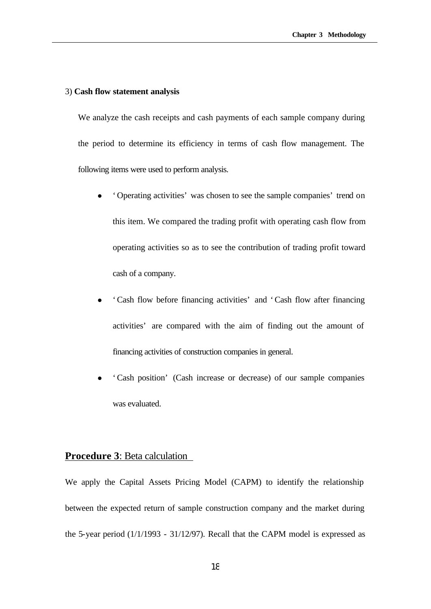#### 3) **Cash flow statement analysis**

We analyze the cash receipts and cash payments of each sample company during the period to determine its efficiency in terms of cash flow management. The following items were used to perform analysis.

- <sup>l</sup> 'Operating activities' was chosen to see the sample companies' trend on this item. We compared the trading profit with operating cash flow from operating activities so as to see the contribution of trading profit toward cash of a company.
- <sup>l</sup> 'Cash flow before financing activities' and 'Cash flow after financing activities' are compared with the aim of finding out the amount of financing activities of construction companies in general.
- <sup>l</sup> 'Cash position' (Cash increase or decrease) of our sample companies was evaluated.

#### **Procedure 3**: Beta calculation

We apply the Capital Assets Pricing Model (CAPM) to identify the relationship between the expected return of sample construction company and the market during the 5-year period (1/1/1993 - 31/12/97). Recall that the CAPM model is expressed as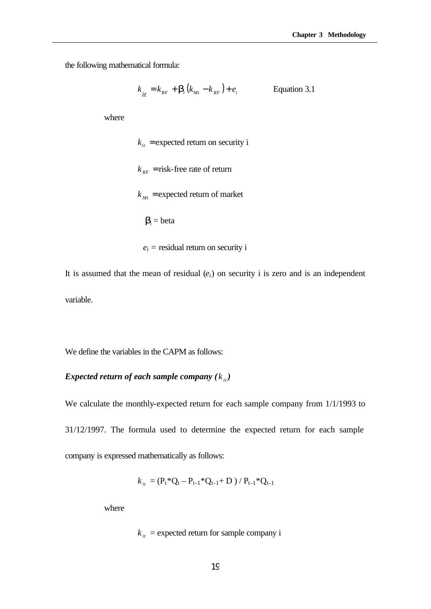the following mathematical formula:

$$
k_{it} = k_{RF} + \mathbf{b}_i (k_{Mt} - k_{RF}) + e_i
$$
 Equation 3.1

where

 $k_{it}$  = expected return on security i  $k_{RF}$  = risk-free rate of return  $k_{Mt}$  = expected return of market *i* **= beta**  $e_i$  = residual return on security i

It is assumed that the mean of residual  $(e_i)$  on security i is zero and is an independent variable.

We define the variables in the CAPM as follows:

#### *Expected return of each sample company*  $(k_{i}^{i})$

We calculate the monthly-expected return for each sample company from 1/1/1993 to 31/12/1997. The formula used to determine the expected return for each sample company is expressed mathematically as follows:

$$
k_{it} = (P_t * Q_t - P_{t-1} * Q_{t-1} + D) / P_{t-1} * Q_{t-1}
$$

where

 $k_{it}$  = expected return for sample company i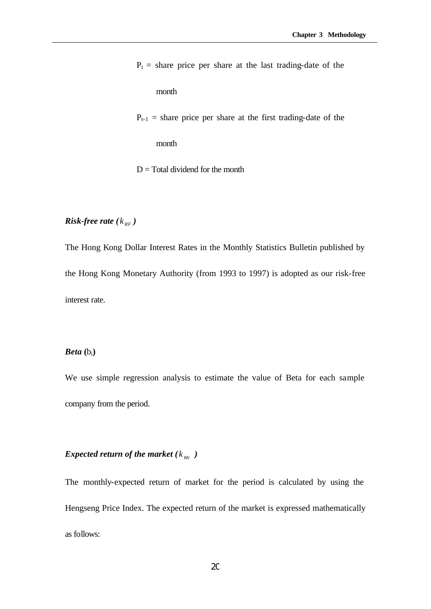$P_t$  = share price per share at the last trading-date of the month  $P_{t-1}$  = share price per share at the first trading-date of the month

## *Risk-free rate*  $(k_{RF})$

The Hong Kong Dollar Interest Rates in the Monthly Statistics Bulletin published by the Hong Kong Monetary Authority (from 1993 to 1997) is adopted as our risk-free interest rate.

 $D = Total dividend for the month$ 

#### $Beta$   $(b_i)$

We use simple regression analysis to estimate the value of Beta for each sample company from the period.

#### *Expected return of the market*  $(k_{Mt})$

The monthly-expected return of market for the period is calculated by using the Hengseng Price Index. The expected return of the market is expressed mathematically as follows: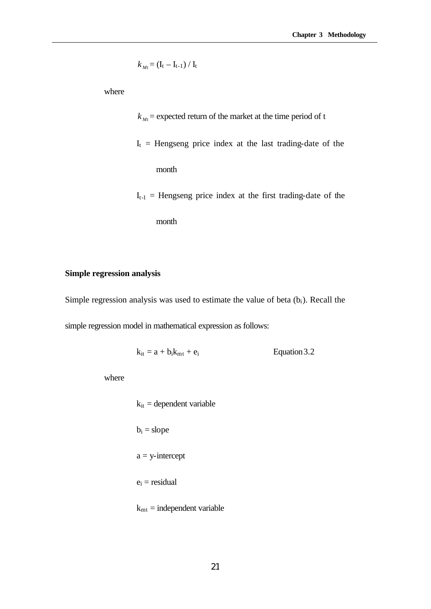$$
k_{\mathit{Mt}} = (I_t - I_{t-1}) / I_t
$$

where

 $k_{Mt}$  = expected return of the market at the time period of t  $I_t$  = Hengseng price index at the last trading-date of the month  $I_{t-1}$  = Hengseng price index at the first trading-date of the

month

#### **Simple regression analysis**

Simple regression analysis was used to estimate the value of beta  $(b<sub>i</sub>)$ . Recall the simple regression model in mathematical expression as follows:

 $k_{it} = a + b_i k_{mt} + e_i$  Equation 3.2

where

 $k_{it}$  = dependent variable  $b_i = slope$  $a = y-intercept$  $e_i$  = residual  $k<sub>mt</sub> = independent variable$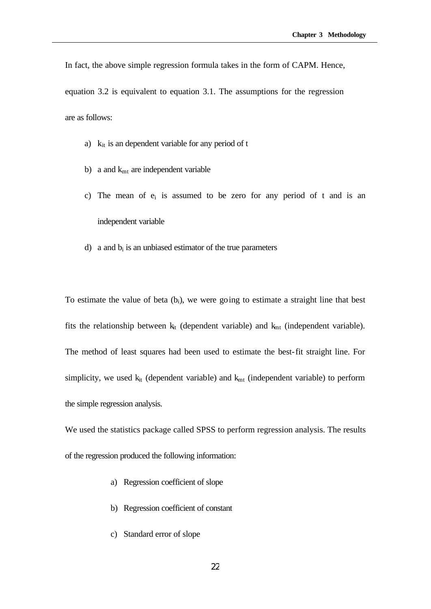In fact, the above simple regression formula takes in the form of CAPM. Hence,

equation 3.2 is equivalent to equation 3.1. The assumptions for the regression are as follows:

- a)  $k_{it}$  is an dependent variable for any period of t
- b) a and  $k<sub>mt</sub>$  are independent variable
- c) The mean of  $e_i$  is assumed to be zero for any period of t and is an independent variable
- d) a and  $b_i$  is an unbiased estimator of the true parameters

To estimate the value of beta  $(b_i)$ , we were going to estimate a straight line that best fits the relationship between  $k<sub>it</sub>$  (dependent variable) and  $k<sub>mt</sub>$  (independent variable). The method of least squares had been used to estimate the best-fit straight line. For simplicity, we used  $k_{it}$  (dependent variable) and  $k_{mt}$  (independent variable) to perform the simple regression analysis.

We used the statistics package called SPSS to perform regression analysis. The results of the regression produced the following information:

- a) Regression coefficient of slope
- b) Regression coefficient of constant
- c) Standard error of slope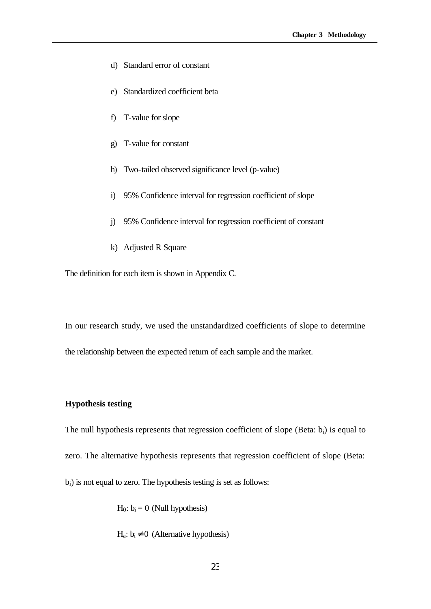- d) Standard error of constant
- e) Standardized coefficient beta
- f) T-value for slope
- g) T-value for constant
- h) Two-tailed observed significance level (p-value)
- i) 95% Confidence interval for regression coefficient of slope
- j) 95% Confidence interval for regression coefficient of constant
- k) Adjusted R Square

The definition for each item is shown in Appendix C.

In our research study, we used the unstandardized coefficients of slope to determine the relationship between the expected return of each sample and the market.

#### **Hypothesis testing**

The null hypothesis represents that regression coefficient of slope (Beta:  $b_i$ ) is equal to zero. The alternative hypothesis represents that regression coefficient of slope (Beta: bi) is not equal to zero. The hypothesis testing is set as follows:

 $H_0: b_i = 0$  (Null hypothesis)

 $H_a: b_i \neq 0$  (Alternative hypothesis)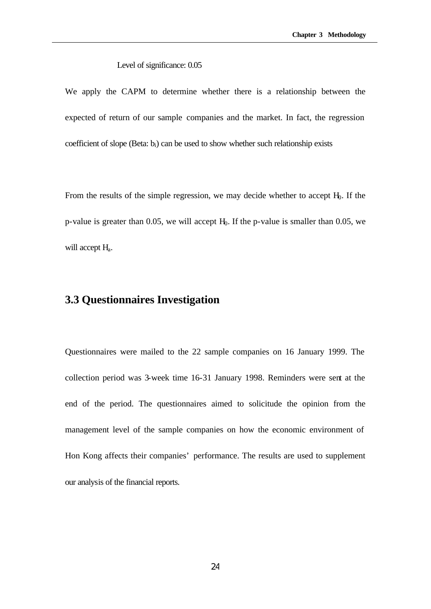#### Level of significance: 0.05

We apply the CAPM to determine whether there is a relationship between the expected of return of our sample companies and the market. In fact, the regression coefficient of slope (Beta:  $b_i$ ) can be used to show whether such relationship exists

From the results of the simple regression, we may decide whether to accept  $H<sub>0</sub>$ . If the p-value is greater than 0.05, we will accept  $H<sub>0</sub>$ . If the p-value is smaller than 0.05, we will accept  $H<sub>a</sub>$ .

## **3.3 Questionnaires Investigation**

Questionnaires were mailed to the 22 sample companies on 16 January 1999. The collection period was 3-week time 16-31 January 1998. Reminders were sent at the end of the period. The questionnaires aimed to solicitude the opinion from the management level of the sample companies on how the economic environment of Hon Kong affects their companies' performance. The results are used to supplement our analysis of the financial reports.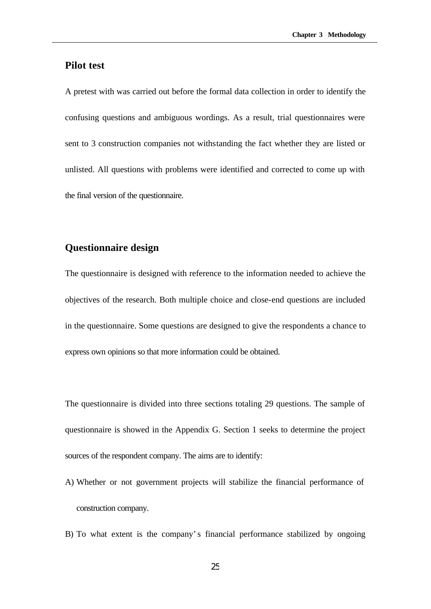#### **Pilot test**

A pretest with was carried out before the formal data collection in order to identify the confusing questions and ambiguous wordings. As a result, trial questionnaires were sent to 3 construction companies not withstanding the fact whether they are listed or unlisted. All questions with problems were identified and corrected to come up with the final version of the questionnaire.

#### **Questionnaire design**

The questionnaire is designed with reference to the information needed to achieve the objectives of the research. Both multiple choice and close-end questions are included in the questionnaire. Some questions are designed to give the respondents a chance to express own opinions so that more information could be obtained.

The questionnaire is divided into three sections totaling 29 questions. The sample of questionnaire is showed in the Appendix G. Section 1 seeks to determine the project sources of the respondent company. The aims are to identify:

- A) Whether or not government projects will stabilize the financial performance of construction company.
- B) To what extent is the company's financial performance stabilized by ongoing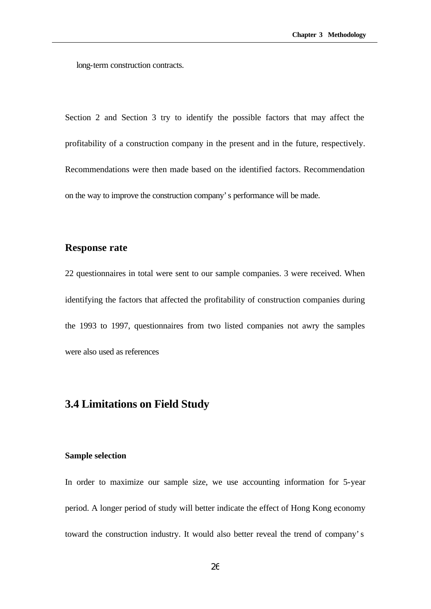long-term construction contracts.

Section 2 and Section 3 try to identify the possible factors that may affect the profitability of a construction company in the present and in the future, respectively. Recommendations were then made based on the identified factors. Recommendation on the way to improve the construction company's performance will be made.

#### **Response rate**

22 questionnaires in total were sent to our sample companies. 3 were received. When identifying the factors that affected the profitability of construction companies during the 1993 to 1997, questionnaires from two listed companies not awry the samples were also used as references

### **3.4 Limitations on Field Study**

#### **Sample selection**

In order to maximize our sample size, we use accounting information for 5-year period. A longer period of study will better indicate the effect of Hong Kong economy toward the construction industry. It would also better reveal the trend of company's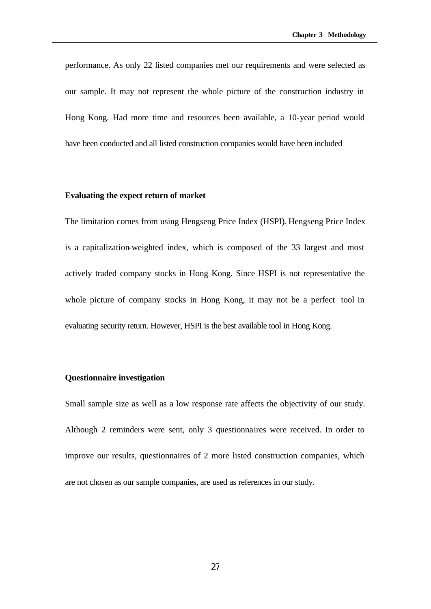performance. As only 22 listed companies met our requirements and were selected as our sample. It may not represent the whole picture of the construction industry in Hong Kong. Had more time and resources been available, a 10-year period would have been conducted and all listed construction companies would have been included

### **Evaluating the expect return of market**

The limitation comes from using Hengseng Price Index (HSPI). Hengseng Price Index is a capitalization-weighted index, which is composed of the 33 largest and most actively traded company stocks in Hong Kong. Since HSPI is not representative the whole picture of company stocks in Hong Kong, it may not be a perfect tool in evaluating security return. However, HSPI is the best available tool in Hong Kong.

#### **Questionnaire investigation**

Small sample size as well as a low response rate affects the objectivity of our study. Although 2 reminders were sent, only 3 questionnaires were received. In order to improve our results, questionnaires of 2 more listed construction companies, which are not chosen as our sample companies, are used as references in our study.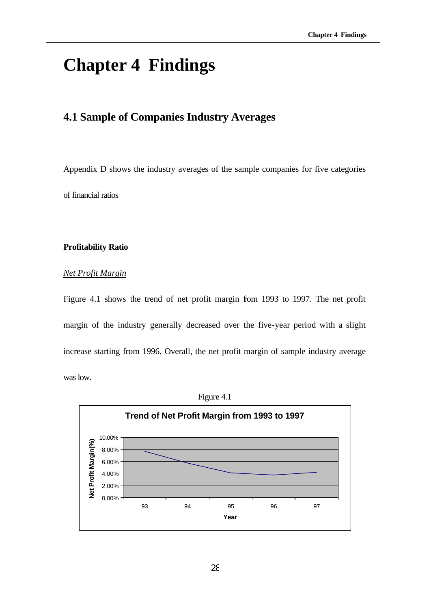# **Chapter 4 Findings**

# **4.1 Sample of Companies Industry Averages**

Appendix D shows the industry averages of the sample companies for five categories of financial ratios

#### **Profitability Ratio**

# *Net Profit Margin*

Figure 4.1 shows the trend of net profit margin from 1993 to 1997. The net profit margin of the industry generally decreased over the five-year period with a slight increase starting from 1996. Overall, the net profit margin of sample industry average was low.



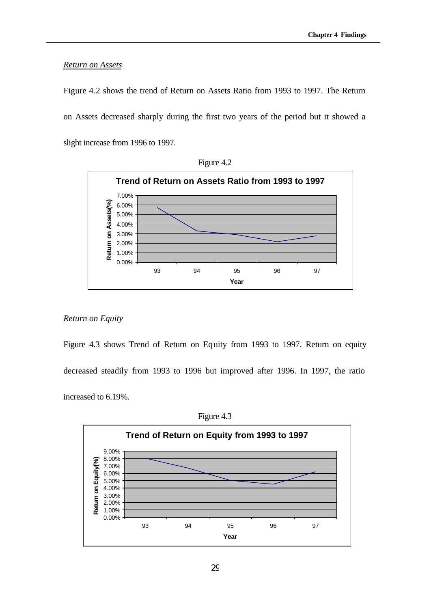#### *Return on Assets*

Figure 4.2 shows the trend of Return on Assets Ratio from 1993 to 1997. The Return on Assets decreased sharply during the first two years of the period but it showed a slight increase from 1996 to 1997.





#### *Return on Equity*

Figure 4.3 shows Trend of Return on Equity from 1993 to 1997. Return on equity decreased steadily from 1993 to 1996 but improved after 1996. In 1997, the ratio increased to 6.19%.



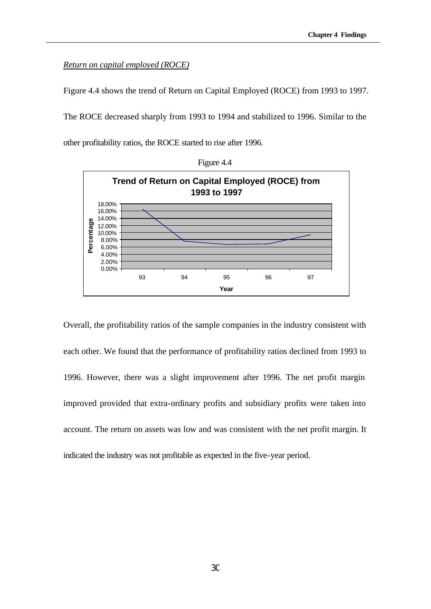#### *Return on capital employed (ROCE)*

Figure 4.4 shows the trend of Return on Capital Employed (ROCE) from 1993 to 1997.

The ROCE decreased sharply from 1993 to 1994 and stabilized to 1996. Similar to the other profitability ratios, the ROCE started to rise after 1996.





Overall, the profitability ratios of the sample companies in the industry consistent with each other. We found that the performance of profitability ratios declined from 1993 to 1996. However, there was a slight improvement after 1996. The net profit margin improved provided that extra-ordinary profits and subsidiary profits were taken into account. The return on assets was low and was consistent with the net profit margin. It indicated the industry was not profitable as expected in the five-year period.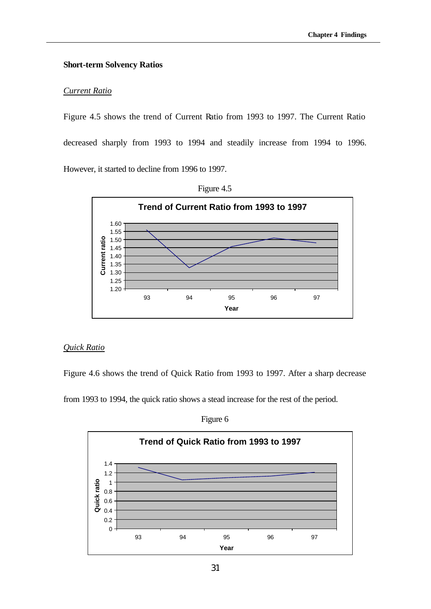# **Short-term Solvency Ratios**

#### *Current Ratio*

Figure 4.5 shows the trend of Current Ratio from 1993 to 1997. The Current Ratio decreased sharply from 1993 to 1994 and steadily increase from 1994 to 1996. However, it started to decline from 1996 to 1997.





# *Quick Ratio*

Figure 4.6 shows the trend of Quick Ratio from 1993 to 1997. After a sharp decrease

from 1993 to 1994, the quick ratio shows a stead increase for the rest of the period.

Figure 6

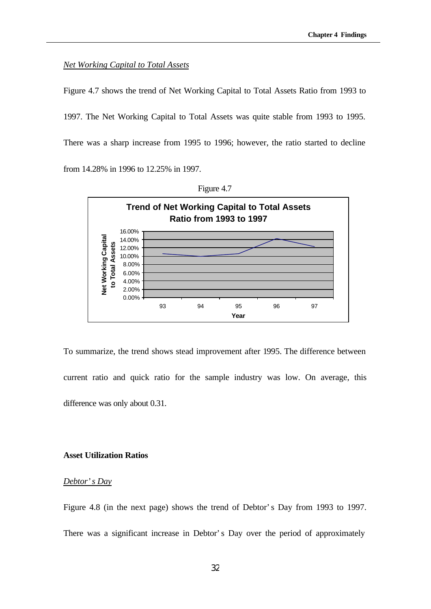#### *Net Working Capital to Total Assets*

Figure 4.7 shows the trend of Net Working Capital to Total Assets Ratio from 1993 to 1997. The Net Working Capital to Total Assets was quite stable from 1993 to 1995. There was a sharp increase from 1995 to 1996; however, the ratio started to decline from 14.28% in 1996 to 12.25% in 1997.



Figure 4.7

To summarize, the trend shows stead improvement after 1995. The difference between current ratio and quick ratio for the sample industry was low. On average, this difference was only about 0.31.

#### **Asset Utilization Ratios**

#### *Debtor's Day*

Figure 4.8 (in the next page) shows the trend of Debtor's Day from 1993 to 1997. There was a significant increase in Debtor's Day over the period of approximately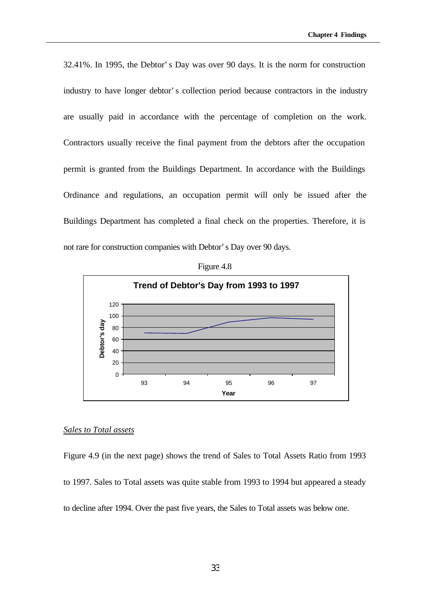32.41%. In 1995, the Debtor's Day was over 90 days. It is the norm for construction industry to have longer debtor's collection period because contractors in the industry are usually paid in accordance with the percentage of completion on the work. Contractors usually receive the final payment from the debtors after the occupation permit is granted from the Buildings Department. In accordance with the Buildings Ordinance and regulations, an occupation permit will only be issued after the Buildings Department has completed a final check on the properties. Therefore, it is not rare for construction companies with Debtor's Day over 90 days.



Figure 4.8

#### *Sales to Total assets*

Figure 4.9 (in the next page) shows the trend of Sales to Total Assets Ratio from 1993 to 1997. Sales to Total assets was quite stable from 1993 to 1994 but appeared a steady to decline after 1994. Over the past five years, the Sales to Total assets was below one.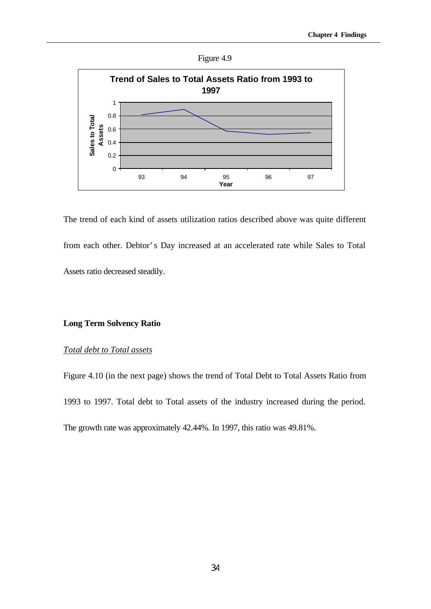



The trend of each kind of assets utilization ratios described above was quite different from each other. Debtor's Day increased at an accelerated rate while Sales to Total Assets ratio decreased steadily.

# **Long Term Solvency Ratio**

# *Total debt to Total assets*

Figure 4.10 (in the next page) shows the trend of Total Debt to Total Assets Ratio from 1993 to 1997. Total debt to Total assets of the industry increased during the period. The growth rate was approximately 42.44%. In 1997, this ratio was 49.81%.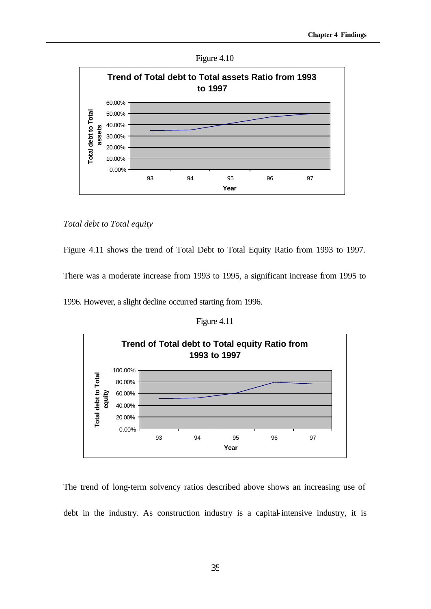



#### *Total debt to Total equity*

Figure 4.11 shows the trend of Total Debt to Total Equity Ratio from 1993 to 1997.

There was a moderate increase from 1993 to 1995, a significant increase from 1995 to

1996. However, a slight decline occurred starting from 1996.

Figure 4.11



The trend of long-term solvency ratios described above shows an increasing use of debt in the industry. As construction industry is a capital-intensive industry, it is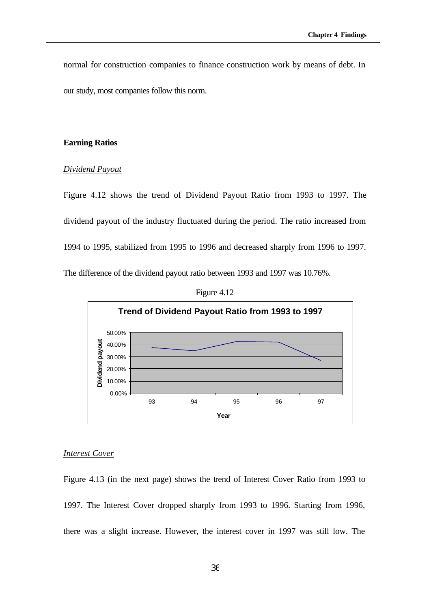normal for construction companies to finance construction work by means of debt. In our study, most companies follow this norm.

# **Earning Ratios**

#### *Dividend Payout*

Figure 4.12 shows the trend of Dividend Payout Ratio from 1993 to 1997. The dividend payout of the industry fluctuated during the period. The ratio increased from 1994 to 1995, stabilized from 1995 to 1996 and decreased sharply from 1996 to 1997. The difference of the dividend payout ratio between 1993 and 1997 was 10.76%.





#### *Interest Cover*

Figure 4.13 (in the next page) shows the trend of Interest Cover Ratio from 1993 to 1997. The Interest Cover dropped sharply from 1993 to 1996. Starting from 1996, there was a slight increase. However, the interest cover in 1997 was still low. The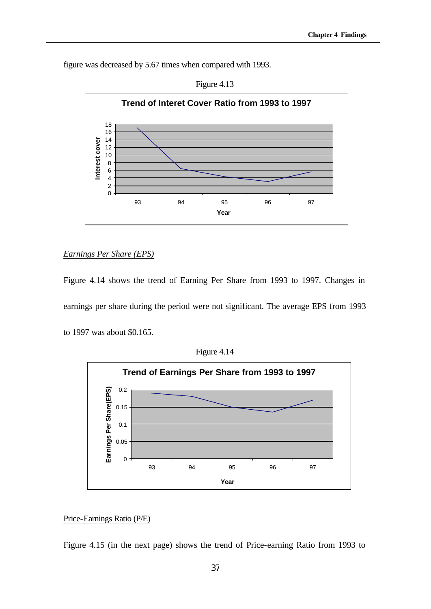figure was decreased by 5.67 times when compared with 1993.



# Figure 4.13

# *Earnings Per Share (EPS)*

Figure 4.14 shows the trend of Earning Per Share from 1993 to 1997. Changes in earnings per share during the period were not significant. The average EPS from 1993 to 1997 was about \$0.165.



Figure 4.14

# Price-Earnings Ratio (P/E)

Figure 4.15 (in the next page) shows the trend of Price-earning Ratio from 1993 to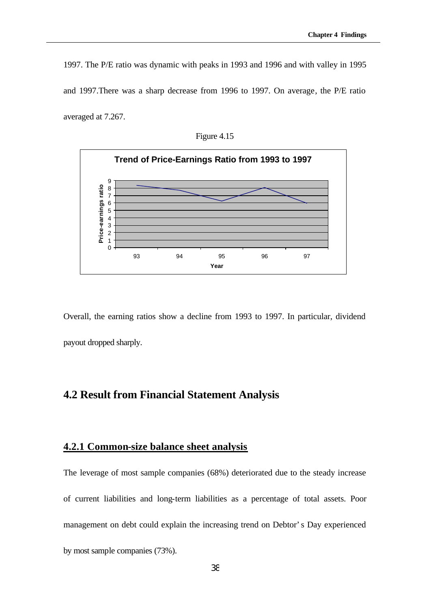1997. The P/E ratio was dynamic with peaks in 1993 and 1996 and with valley in 1995 and 1997.There was a sharp decrease from 1996 to 1997. On average, the P/E ratio averaged at 7.267.

Figure 4.15



Overall, the earning ratios show a decline from 1993 to 1997. In particular, dividend payout dropped sharply.

# **4.2 Result from Financial Statement Analysis**

# **4.2.1 Common-size balance sheet analysis**

The leverage of most sample companies (68%) deteriorated due to the steady increase of current liabilities and long-term liabilities as a percentage of total assets. Poor management on debt could explain the increasing trend on Debtor's Day experienced by most sample companies (73%).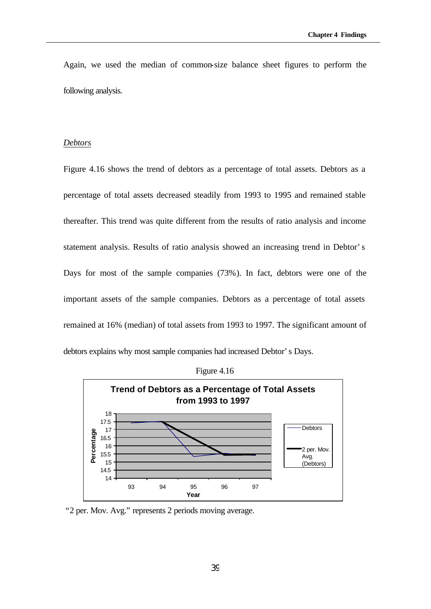Again, we used the median of common-size balance sheet figures to perform the following analysis.

### *Debtors*

Figure 4.16 shows the trend of debtors as a percentage of total assets. Debtors as a percentage of total assets decreased steadily from 1993 to 1995 and remained stable thereafter. This trend was quite different from the results of ratio analysis and income statement analysis. Results of ratio analysis showed an increasing trend in Debtor's Days for most of the sample companies (73%). In fact, debtors were one of the important assets of the sample companies. Debtors as a percentage of total assets remained at 16% (median) of total assets from 1993 to 1997. The significant amount of debtors explains why most sample companies had increased Debtor's Days.



Figure 4.16

"2 per. Mov. Avg." represents 2 periods moving average.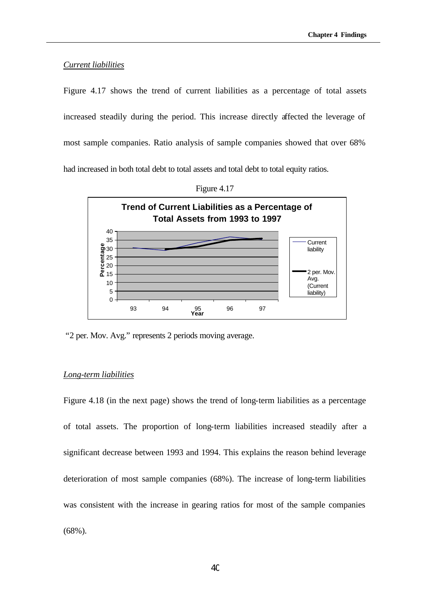#### *Current liabilities*

Figure 4.17 shows the trend of current liabilities as a percentage of total assets increased steadily during the period. This increase directly affected the leverage of most sample companies. Ratio analysis of sample companies showed that over 68% had increased in both total debt to total assets and total debt to total equity ratios.



Figure 4.17

"2 per. Mov. Avg." represents 2 periods moving average.

#### *Long-term liabilities*

Figure 4.18 (in the next page) shows the trend of long-term liabilities as a percentage of total assets. The proportion of long-term liabilities increased steadily after a significant decrease between 1993 and 1994. This explains the reason behind leverage deterioration of most sample companies (68%). The increase of long-term liabilities was consistent with the increase in gearing ratios for most of the sample companies (68%).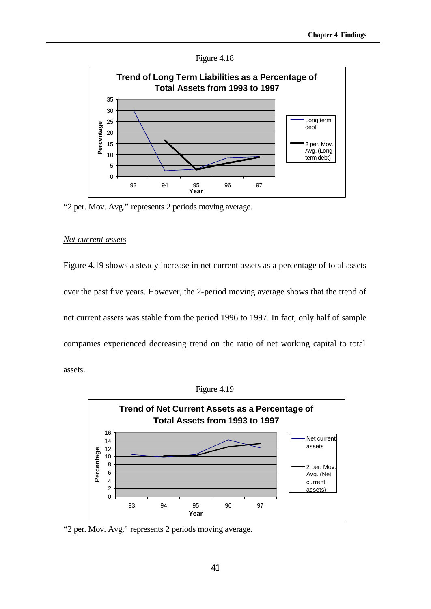



"2 per. Mov. Avg." represents 2 periods moving average.

#### *Net current assets*

Figure 4.19 shows a steady increase in net current assets as a percentage of total assets over the past five years. However, the 2-period moving average shows that the trend of net current assets was stable from the period 1996 to 1997. In fact, only half of sample companies experienced decreasing trend on the ratio of net working capital to total assets.





"2 per. Mov. Avg." represents 2 periods moving average.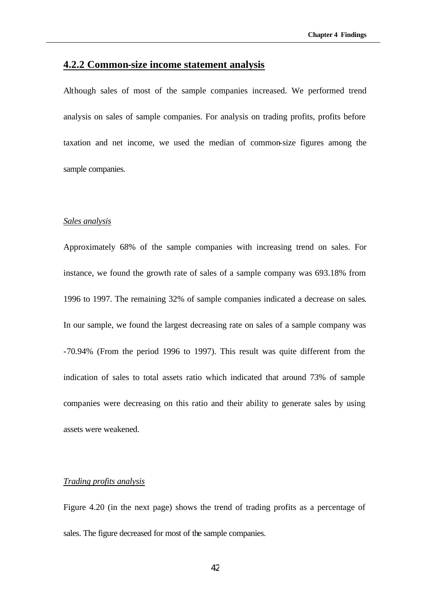# **4.2.2 Common-size income statement analysis**

Although sales of most of the sample companies increased. We performed trend analysis on sales of sample companies. For analysis on trading profits, profits before taxation and net income, we used the median of common-size figures among the sample companies.

#### *Sales analysis*

Approximately 68% of the sample companies with increasing trend on sales. For instance, we found the growth rate of sales of a sample company was 693.18% from 1996 to 1997. The remaining 32% of sample companies indicated a decrease on sales. In our sample, we found the largest decreasing rate on sales of a sample company was -70.94% (From the period 1996 to 1997). This result was quite different from the indication of sales to total assets ratio which indicated that around 73% of sample companies were decreasing on this ratio and their ability to generate sales by using assets were weakened.

#### *Trading profits analysis*

Figure 4.20 (in the next page) shows the trend of trading profits as a percentage of sales. The figure decreased for most of the sample companies.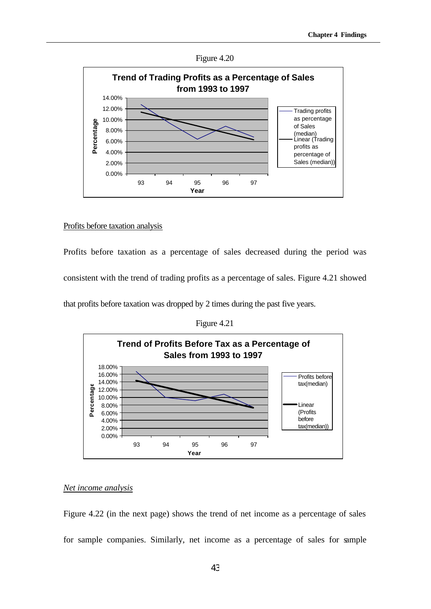



#### Profits before taxation analysis

Profits before taxation as a percentage of sales decreased during the period was consistent with the trend of trading profits as a percentage of sales. Figure 4.21 showed

that profits before taxation was dropped by 2 times during the past five years.

Figure 4.21



#### *Net income analysis*

Figure 4.22 (in the next page) shows the trend of net income as a percentage of sales for sample companies. Similarly, net income as a percentage of sales for sample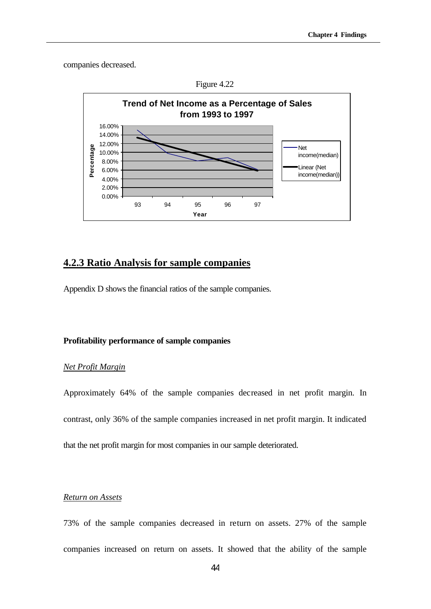companies decreased.





# **4.2.3 Ratio Analysis for sample companies**

Appendix D shows the financial ratios of the sample companies.

#### **Profitability performance of sample companies**

#### *Net Profit Margin*

Approximately 64% of the sample companies decreased in net profit margin. In contrast, only 36% of the sample companies increased in net profit margin. It indicated that the net profit margin for most companies in our sample deteriorated.

# *Return on Assets*

73% of the sample companies decreased in return on assets. 27% of the sample companies increased on return on assets. It showed that the ability of the sample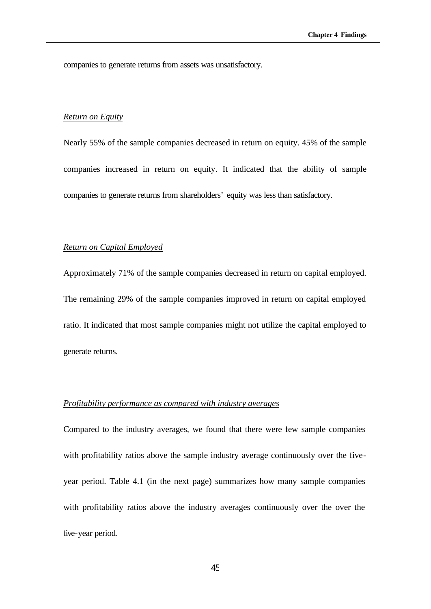companies to generate returns from assets was unsatisfactory.

#### *Return on Equity*

Nearly 55% of the sample companies decreased in return on equity. 45% of the sample companies increased in return on equity. It indicated that the ability of sample companies to generate returns from shareholders' equity was less than satisfactory.

#### *Return on Capital Employed*

Approximately 71% of the sample companies decreased in return on capital employed. The remaining 29% of the sample companies improved in return on capital employed ratio. It indicated that most sample companies might not utilize the capital employed to generate returns.

#### *Profitability performance as compared with industry averages*

Compared to the industry averages, we found that there were few sample companies with profitability ratios above the sample industry average continuously over the fiveyear period. Table 4.1 (in the next page) summarizes how many sample companies with profitability ratios above the industry averages continuously over the over the five-year period.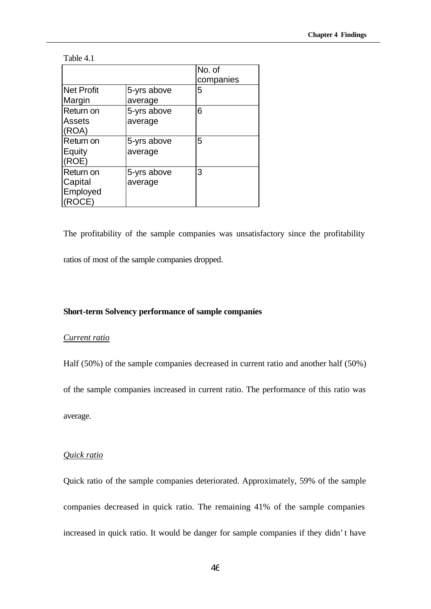#### Table 4.1

|                                           |                        | No. of<br>companies |
|-------------------------------------------|------------------------|---------------------|
| Net Profit<br>Margin                      | 5-yrs above<br>average | 5                   |
| Return on<br><b>Assets</b><br>(ROA)       | 5-yrs above<br>average | 6                   |
| Return on<br>Equity<br>(ROE)              | 5-yrs above<br>average | 5                   |
| Return on<br>Capital<br>Employed<br>ROCE) | 5-yrs above<br>average | 3                   |

The profitability of the sample companies was unsatisfactory since the profitability ratios of most of the sample companies dropped.

#### **Short-term Solvency performance of sample companies**

#### *Current ratio*

Half (50%) of the sample companies decreased in current ratio and another half (50%) of the sample companies increased in current ratio. The performance of this ratio was average.

#### *Quick ratio*

Quick ratio of the sample companies deteriorated. Approximately, 59% of the sample companies decreased in quick ratio. The remaining 41% of the sample companies increased in quick ratio. It would be danger for sample companies if they didn't have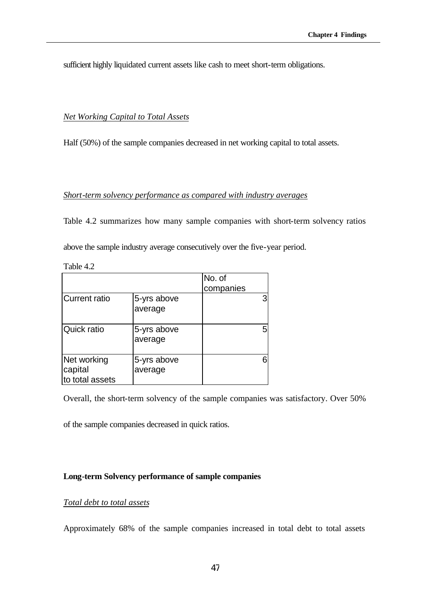sufficient highly liquidated current assets like cash to meet short-term obligations.

# *Net Working Capital to Total Assets*

Half (50%) of the sample companies decreased in net working capital to total assets.

#### *Short-term solvency performance as compared with industry averages*

Table 4.2 summarizes how many sample companies with short-term solvency ratios above the sample industry average consecutively over the five-year period.

| Table | 4 |
|-------|---|
|-------|---|

|                                           |                        | No. of<br>companies |
|-------------------------------------------|------------------------|---------------------|
| <b>Current ratio</b>                      | 5-yrs above<br>average |                     |
| Quick ratio                               | 5-yrs above<br>average |                     |
| Net working<br>capital<br>to total assets | 5-yrs above<br>average |                     |

Overall, the short-term solvency of the sample companies was satisfactory. Over 50%

of the sample companies decreased in quick ratios.

# **Long-term Solvency performance of sample companies**

# *Total debt to total assets*

Approximately 68% of the sample companies increased in total debt to total assets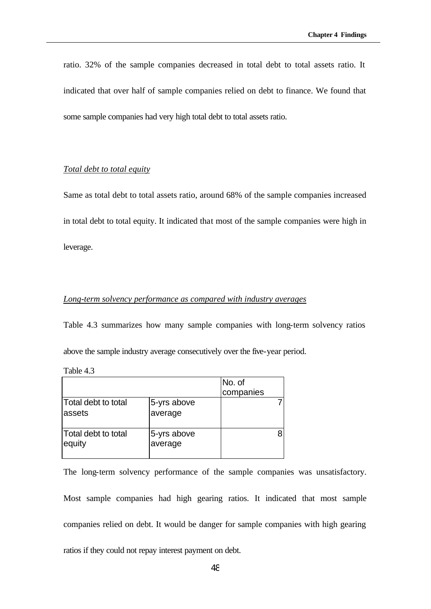ratio. 32% of the sample companies decreased in total debt to total assets ratio. It indicated that over half of sample companies relied on debt to finance. We found that some sample companies had very high total debt to total assets ratio.

### *Total debt to total equity*

Same as total debt to total assets ratio, around 68% of the sample companies increased in total debt to total equity. It indicated that most of the sample companies were high in leverage.

# *Long-term solvency performance as compared with industry averages*

Table 4.3 summarizes how many sample companies with long-term solvency ratios above the sample industry average consecutively over the five-year period.

Table 4.3

|                                |                        | No. of    |  |
|--------------------------------|------------------------|-----------|--|
|                                |                        | companies |  |
| Total debt to total<br>lassets | 5-yrs above<br>average |           |  |
| Total debt to total<br>equity  | 5-yrs above<br>average |           |  |

The long-term solvency performance of the sample companies was unsatisfactory. Most sample companies had high gearing ratios. It indicated that most sample companies relied on debt. It would be danger for sample companies with high gearing ratios if they could not repay interest payment on debt.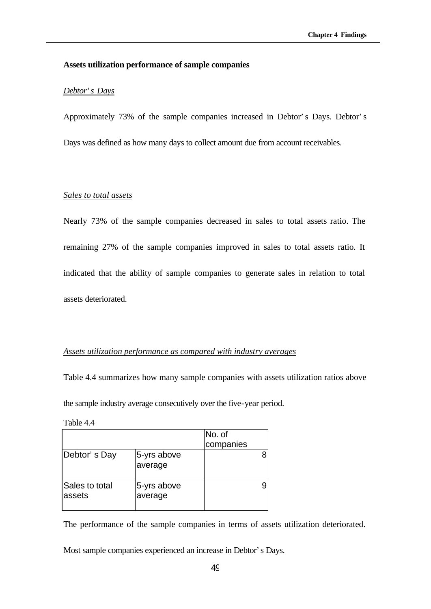### **Assets utilization performance of sample companies**

#### *Debtor's Days*

Approximately 73% of the sample companies increased in Debtor's Days. Debtor's Days was defined as how many days to collect amount due from account receivables.

# *Sales to total assets*

Nearly 73% of the sample companies decreased in sales to total assets ratio. The remaining 27% of the sample companies improved in sales to total assets ratio. It indicated that the ability of sample companies to generate sales in relation to total assets deteriorated.

# *Assets utilization performance as compared with industry averages*

Table 4.4 summarizes how many sample companies with assets utilization ratios above the sample industry average consecutively over the five-year period.

Table 4.4

|                          |                        | No. of<br>companies |  |
|--------------------------|------------------------|---------------------|--|
| Debtor's Day             | 5-yrs above<br>average |                     |  |
| Sales to total<br>assets | 5-yrs above<br>average |                     |  |

The performance of the sample companies in terms of assets utilization deteriorated.

Most sample companies experienced an increase in Debtor's Days.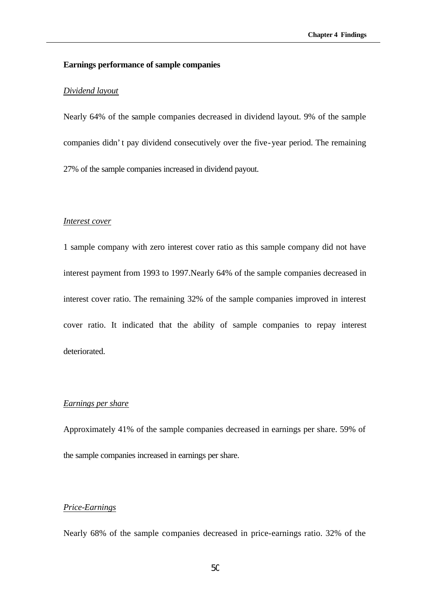#### **Earnings performance of sample companies**

#### *Dividend layout*

Nearly 64% of the sample companies decreased in dividend layout. 9% of the sample companies didn't pay dividend consecutively over the five-year period. The remaining 27% of the sample companies increased in dividend payout.

#### *Interest cover*

1 sample company with zero interest cover ratio as this sample company did not have interest payment from 1993 to 1997.Nearly 64% of the sample companies decreased in interest cover ratio. The remaining 32% of the sample companies improved in interest cover ratio. It indicated that the ability of sample companies to repay interest deteriorated.

#### *Earnings per share*

Approximately 41% of the sample companies decreased in earnings per share. 59% of the sample companies increased in earnings per share.

### *Price-Earnings*

Nearly 68% of the sample companies decreased in price-earnings ratio. 32% of the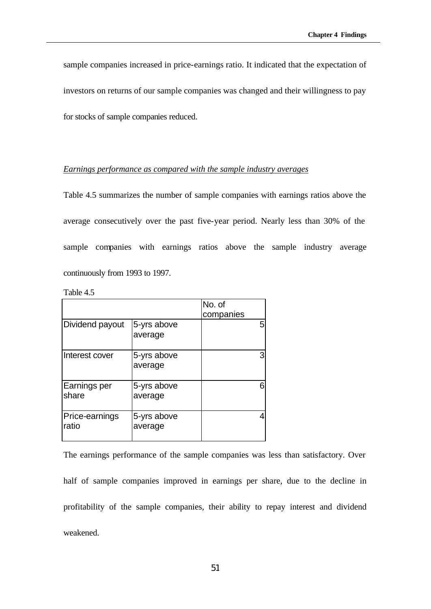sample companies increased in price-earnings ratio. It indicated that the expectation of investors on returns of our sample companies was changed and their willingness to pay for stocks of sample companies reduced.

#### *Earnings performance as compared with the sample industry averages*

Table 4.5 summarizes the number of sample companies with earnings ratios above the average consecutively over the past five-year period. Nearly less than 30% of the sample companies with earnings ratios above the sample industry average continuously from 1993 to 1997.

| Table |  |
|-------|--|
|-------|--|

|                         |                        | No. of<br>companies |
|-------------------------|------------------------|---------------------|
| Dividend payout         | 5-yrs above<br>average |                     |
| Interest cover          | 5-yrs above<br>average |                     |
| Earnings per<br>share   | 5-yrs above<br>average |                     |
| Price-earnings<br>ratio | 5-yrs above<br>average |                     |

The earnings performance of the sample companies was less than satisfactory. Over half of sample companies improved in earnings per share, due to the decline in profitability of the sample companies, their ability to repay interest and dividend weakened.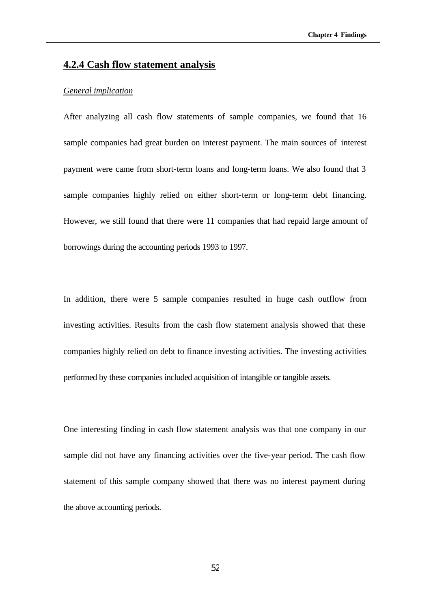# **4.2.4 Cash flow statement analysis**

#### *General implication*

After analyzing all cash flow statements of sample companies, we found that 16 sample companies had great burden on interest payment. The main sources of interest payment were came from short-term loans and long-term loans. We also found that 3 sample companies highly relied on either short-term or long-term debt financing. However, we still found that there were 11 companies that had repaid large amount of borrowings during the accounting periods 1993 to 1997.

In addition, there were 5 sample companies resulted in huge cash outflow from investing activities. Results from the cash flow statement analysis showed that these companies highly relied on debt to finance investing activities. The investing activities performed by these companies included acquisition of intangible or tangible assets.

One interesting finding in cash flow statement analysis was that one company in our sample did not have any financing activities over the five-year period. The cash flow statement of this sample company showed that there was no interest payment during the above accounting periods.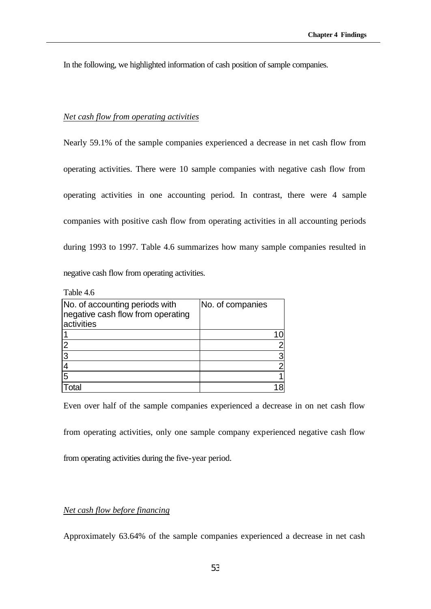In the following, we highlighted information of cash position of sample companies.

# *Net cash flow from operating activities*

Nearly 59.1% of the sample companies experienced a decrease in net cash flow from operating activities. There were 10 sample companies with negative cash flow from operating activities in one accounting period. In contrast, there were 4 sample companies with positive cash flow from operating activities in all accounting periods during 1993 to 1997. Table 4.6 summarizes how many sample companies resulted in negative cash flow from operating activities.

Table 4.6

| No. of accounting periods with<br>negative cash flow from operating<br>activities | No. of companies |
|-----------------------------------------------------------------------------------|------------------|
|                                                                                   |                  |
| $\overline{2}$                                                                    |                  |
| 13                                                                                | 3                |
|                                                                                   |                  |
| 5                                                                                 |                  |
|                                                                                   |                  |

Even over half of the sample companies experienced a decrease in on net cash flow

from operating activities, only one sample company experienced negative cash flow

from operating activities during the five-year period.

# *Net cash flow before financing*

Approximately 63.64% of the sample companies experienced a decrease in net cash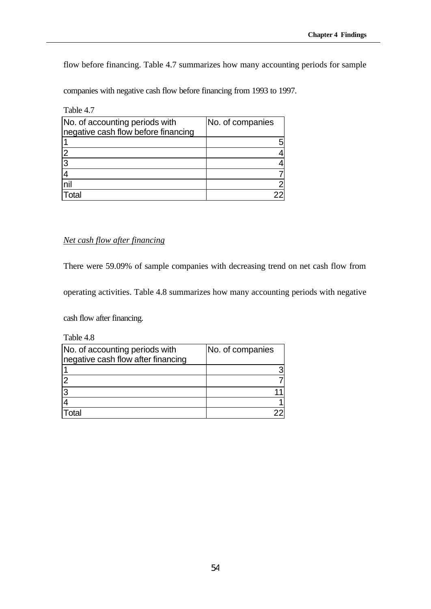flow before financing. Table 4.7 summarizes how many accounting periods for sample

companies with negative cash flow before financing from 1993 to 1997.

| Table 4.7                                                             |                  |
|-----------------------------------------------------------------------|------------------|
| No. of accounting periods with<br>negative cash flow before financing | No. of companies |
|                                                                       | 5                |
|                                                                       |                  |
| 3                                                                     |                  |
|                                                                       |                  |
| nil                                                                   | $\overline{2}$   |
| $r_{\Omega}$                                                          |                  |

# *Net cash flow after financing*

There were 59.09% of sample companies with decreasing trend on net cash flow from

operating activities. Table 4.8 summarizes how many accounting periods with negative

cash flow after financing.

Table 4.8

| No. of accounting periods with<br>negative cash flow after financing | No. of companies |
|----------------------------------------------------------------------|------------------|
|                                                                      |                  |
|                                                                      |                  |
|                                                                      |                  |
|                                                                      |                  |
|                                                                      |                  |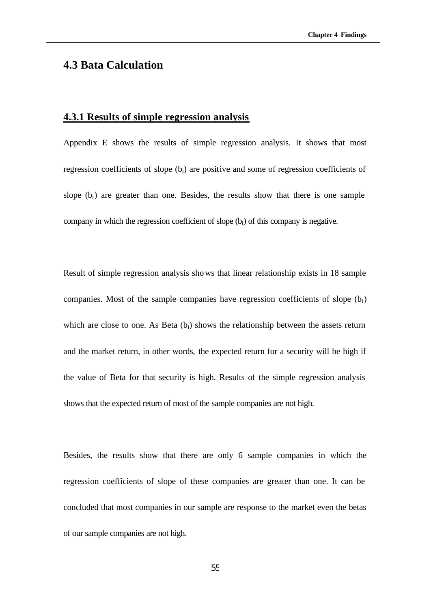# **4.3 Bata Calculation**

# **4.3.1 Results of simple regression analysis**

Appendix E shows the results of simple regression analysis. It shows that most regression coefficients of slope (bi) are positive and some of regression coefficients of slope  $(b_i)$  are greater than one. Besides, the results show that there is one sample company in which the regression coefficient of slope (bi) of this company is negative.

Result of simple regression analysis shows that linear relationship exists in 18 sample companies. Most of the sample companies have regression coefficients of slope  $(b<sub>i</sub>)$ which are close to one. As Beta  $(b_i)$  shows the relationship between the assets return and the market return, in other words, the expected return for a security will be high if the value of Beta for that security is high. Results of the simple regression analysis shows that the expected return of most of the sample companies are not high.

Besides, the results show that there are only 6 sample companies in which the regression coefficients of slope of these companies are greater than one. It can be concluded that most companies in our sample are response to the market even the betas of our sample companies are not high.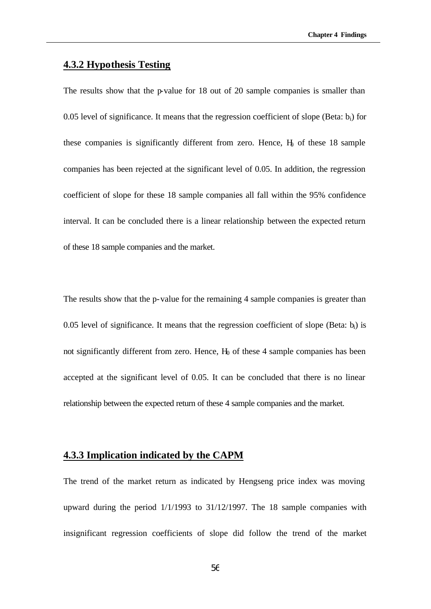# **4.3.2 Hypothesis Testing**

The results show that the p-value for 18 out of 20 sample companies is smaller than 0.05 level of significance. It means that the regression coefficient of slope (Beta:  $b_i$ ) for these companies is significantly different from zero. Hence,  $H<sub>0</sub>$  of these 18 sample companies has been rejected at the significant level of 0.05. In addition, the regression coefficient of slope for these 18 sample companies all fall within the 95% confidence interval. It can be concluded there is a linear relationship between the expected return of these 18 sample companies and the market.

The results show that the p-value for the remaining 4 sample companies is greater than 0.05 level of significance. It means that the regression coefficient of slope (Beta:  $b_i$ ) is not significantly different from zero. Hence,  $H_0$  of these 4 sample companies has been accepted at the significant level of 0.05. It can be concluded that there is no linear relationship between the expected return of these 4 sample companies and the market.

# **4.3.3 Implication indicated by the CAPM**

The trend of the market return as indicated by Hengseng price index was moving upward during the period 1/1/1993 to 31/12/1997. The 18 sample companies with insignificant regression coefficients of slope did follow the trend of the market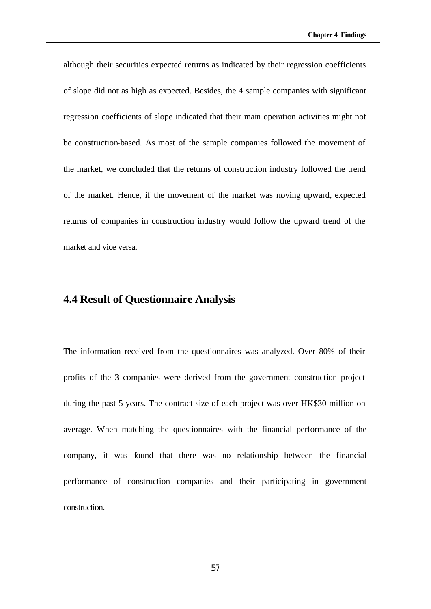although their securities expected returns as indicated by their regression coefficients of slope did not as high as expected. Besides, the 4 sample companies with significant regression coefficients of slope indicated that their main operation activities might not be construction-based. As most of the sample companies followed the movement of the market, we concluded that the returns of construction industry followed the trend of the market. Hence, if the movement of the market was moving upward, expected returns of companies in construction industry would follow the upward trend of the market and vice versa.

# **4.4 Result of Questionnaire Analysis**

The information received from the questionnaires was analyzed. Over 80% of their profits of the 3 companies were derived from the government construction project during the past 5 years. The contract size of each project was over HK\$30 million on average. When matching the questionnaires with the financial performance of the company, it was found that there was no relationship between the financial performance of construction companies and their participating in government construction.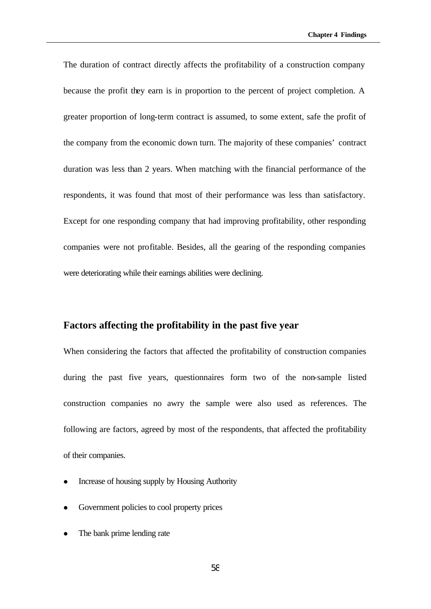The duration of contract directly affects the profitability of a construction company because the profit they earn is in proportion to the percent of project completion. A greater proportion of long-term contract is assumed, to some extent, safe the profit of the company from the economic down turn. The majority of these companies' contract duration was less than 2 years. When matching with the financial performance of the respondents, it was found that most of their performance was less than satisfactory. Except for one responding company that had improving profitability, other responding companies were not profitable. Besides, all the gearing of the responding companies were deteriorating while their earnings abilities were declining.

# **Factors affecting the profitability in the past five year**

When considering the factors that affected the profitability of construction companies during the past five years, questionnaires form two of the non-sample listed construction companies no awry the sample were also used as references. The following are factors, agreed by most of the respondents, that affected the profitability of their companies.

- <sup>l</sup> Increase of housing supply by Housing Authority
- Government policies to cool property prices
- The bank prime lending rate

58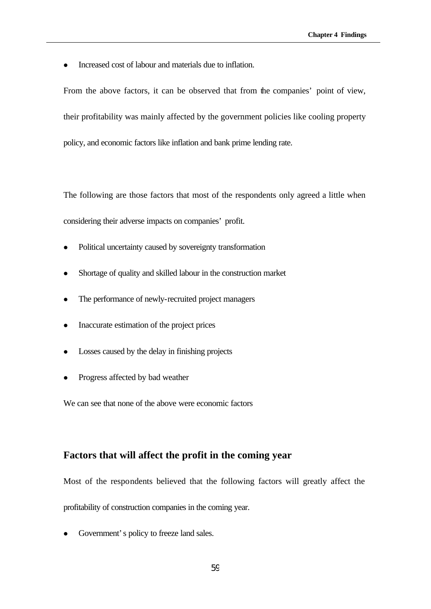<sup>l</sup> Increased cost of labour and materials due to inflation.

From the above factors, it can be observed that from the companies' point of view, their profitability was mainly affected by the government policies like cooling property policy, and economic factors like inflation and bank prime lending rate.

The following are those factors that most of the respondents only agreed a little when considering their adverse impacts on companies' profit.

- Political uncertainty caused by sovereignty transformation
- Shortage of quality and skilled labour in the construction market
- The performance of newly-recruited project managers
- <sup>l</sup> Inaccurate estimation of the project prices
- <sup>l</sup> Losses caused by the delay in finishing projects
- Progress affected by bad weather

We can see that none of the above were economic factors

# **Factors that will affect the profit in the coming year**

Most of the respondents believed that the following factors will greatly affect the profitability of construction companies in the coming year.

Government's policy to freeze land sales.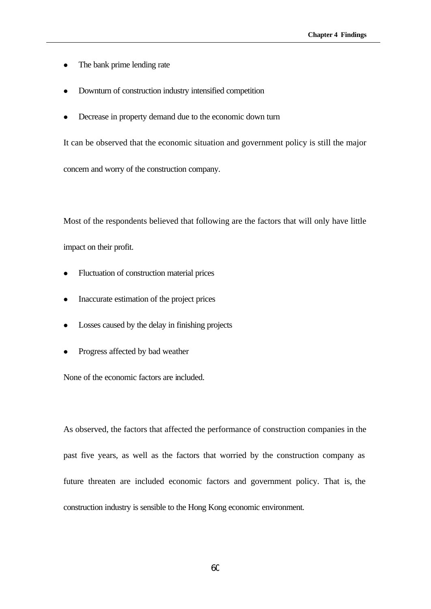- The bank prime lending rate
- <sup>l</sup> Downturn of construction industry intensified competition
- Decrease in property demand due to the economic down turn

It can be observed that the economic situation and government policy is still the major

concern and worry of the construction company.

Most of the respondents believed that following are the factors that will only have little impact on their profit.

- Fluctuation of construction material prices
- Inaccurate estimation of the project prices
- <sup>l</sup> Losses caused by the delay in finishing projects
- Progress affected by bad weather

None of the economic factors are included.

As observed, the factors that affected the performance of construction companies in the past five years, as well as the factors that worried by the construction company as future threaten are included economic factors and government policy. That is, the construction industry is sensible to the Hong Kong economic environment.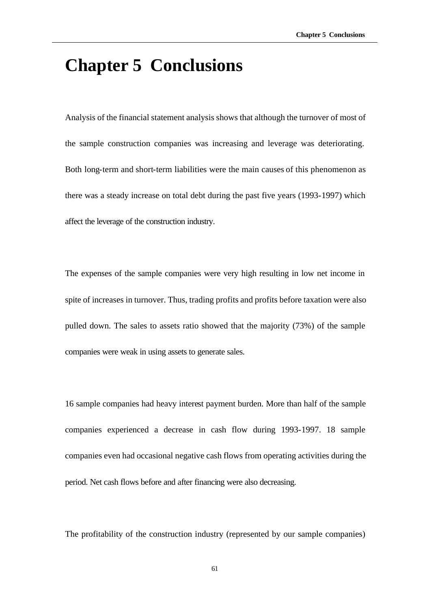# **Chapter 5 Conclusions**

Analysis of the financial statement analysis shows that although the turnover of most of the sample construction companies was increasing and leverage was deteriorating. Both long-term and short-term liabilities were the main causes of this phenomenon as there was a steady increase on total debt during the past five years (1993-1997) which affect the leverage of the construction industry.

The expenses of the sample companies were very high resulting in low net income in spite of increases in turnover. Thus, trading profits and profits before taxation were also pulled down. The sales to assets ratio showed that the majority (73%) of the sample companies were weak in using assets to generate sales.

16 sample companies had heavy interest payment burden. More than half of the sample companies experienced a decrease in cash flow during 1993-1997. 18 sample companies even had occasional negative cash flows from operating activities during the period. Net cash flows before and after financing were also decreasing.

The profitability of the construction industry (represented by our sample companies)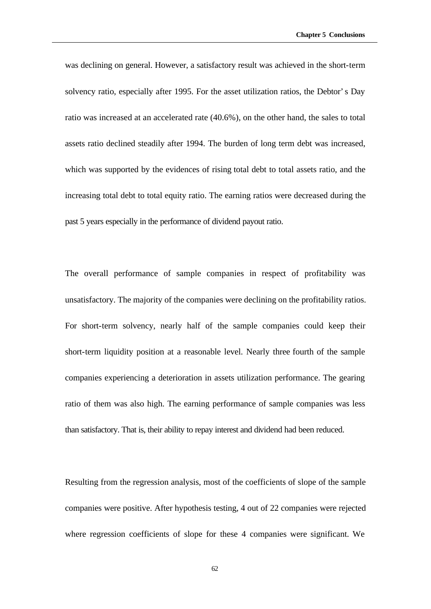was declining on general. However, a satisfactory result was achieved in the short-term solvency ratio, especially after 1995. For the asset utilization ratios, the Debtor's Day ratio was increased at an accelerated rate (40.6%), on the other hand, the sales to total assets ratio declined steadily after 1994. The burden of long term debt was increased, which was supported by the evidences of rising total debt to total assets ratio, and the increasing total debt to total equity ratio. The earning ratios were decreased during the past 5 years especially in the performance of dividend payout ratio.

The overall performance of sample companies in respect of profitability was unsatisfactory. The majority of the companies were declining on the profitability ratios. For short-term solvency, nearly half of the sample companies could keep their short-term liquidity position at a reasonable level. Nearly three fourth of the sample companies experiencing a deterioration in assets utilization performance. The gearing ratio of them was also high. The earning performance of sample companies was less than satisfactory. That is, their ability to repay interest and dividend had been reduced.

Resulting from the regression analysis, most of the coefficients of slope of the sample companies were positive. After hypothesis testing, 4 out of 22 companies were rejected where regression coefficients of slope for these 4 companies were significant. We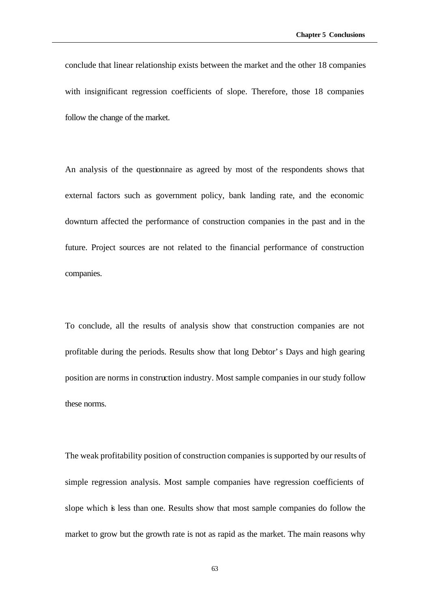conclude that linear relationship exists between the market and the other 18 companies with insignificant regression coefficients of slope. Therefore, those 18 companies follow the change of the market.

An analysis of the questionnaire as agreed by most of the respondents shows that external factors such as government policy, bank landing rate, and the economic downturn affected the performance of construction companies in the past and in the future. Project sources are not related to the financial performance of construction companies.

To conclude, all the results of analysis show that construction companies are not profitable during the periods. Results show that long Debtor's Days and high gearing position are norms in construction industry. Most sample companies in our study follow these norms.

The weak profitability position of construction companies is supported by our results of simple regression analysis. Most sample companies have regression coefficients of slope which is less than one. Results show that most sample companies do follow the market to grow but the growth rate is not as rapid as the market. The main reasons why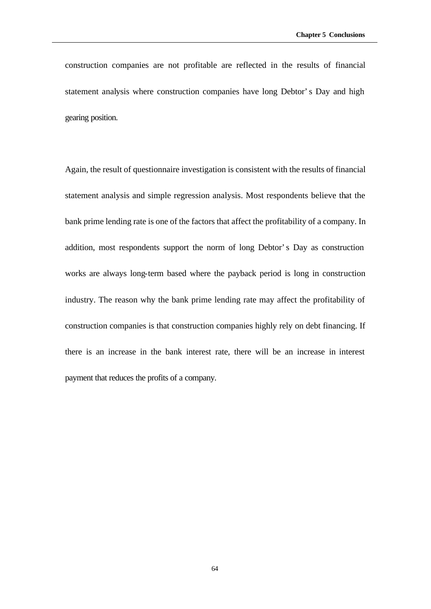construction companies are not profitable are reflected in the results of financial statement analysis where construction companies have long Debtor's Day and high gearing position.

Again, the result of questionnaire investigation is consistent with the results of financial statement analysis and simple regression analysis. Most respondents believe that the bank prime lending rate is one of the factors that affect the profitability of a company. In addition, most respondents support the norm of long Debtor's Day as construction works are always long-term based where the payback period is long in construction industry. The reason why the bank prime lending rate may affect the profitability of construction companies is that construction companies highly rely on debt financing. If there is an increase in the bank interest rate, there will be an increase in interest payment that reduces the profits of a company.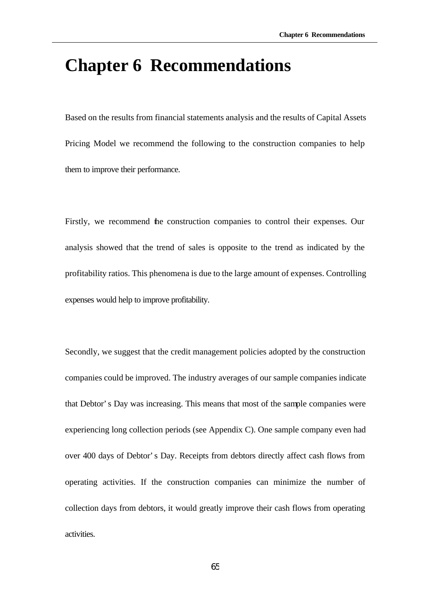# **Chapter 6 Recommendations**

Based on the results from financial statements analysis and the results of Capital Assets Pricing Model we recommend the following to the construction companies to help them to improve their performance.

Firstly, we recommend the construction companies to control their expenses. Our analysis showed that the trend of sales is opposite to the trend as indicated by the profitability ratios. This phenomena is due to the large amount of expenses. Controlling expenses would help to improve profitability.

Secondly, we suggest that the credit management policies adopted by the construction companies could be improved. The industry averages of our sample companies indicate that Debtor's Day was increasing. This means that most of the sample companies were experiencing long collection periods (see Appendix C). One sample company even had over 400 days of Debtor's Day. Receipts from debtors directly affect cash flows from operating activities. If the construction companies can minimize the number of collection days from debtors, it would greatly improve their cash flows from operating activities.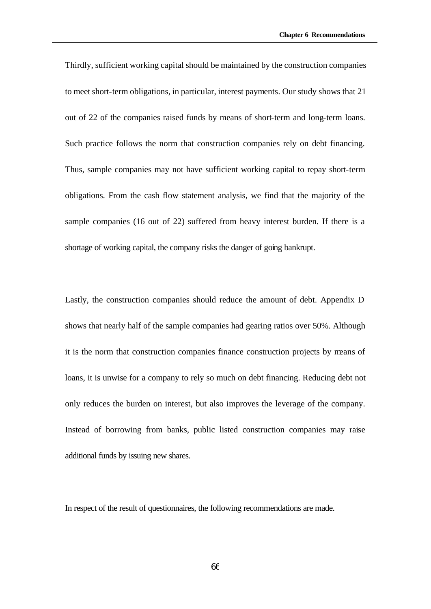Thirdly, sufficient working capital should be maintained by the construction companies to meet short-term obligations, in particular, interest payments. Our study shows that 21 out of 22 of the companies raised funds by means of short-term and long-term loans. Such practice follows the norm that construction companies rely on debt financing. Thus, sample companies may not have sufficient working capital to repay short-term obligations. From the cash flow statement analysis, we find that the majority of the sample companies (16 out of 22) suffered from heavy interest burden. If there is a shortage of working capital, the company risks the danger of going bankrupt.

Lastly, the construction companies should reduce the amount of debt. Appendix D shows that nearly half of the sample companies had gearing ratios over 50%. Although it is the norm that construction companies finance construction projects by means of loans, it is unwise for a company to rely so much on debt financing. Reducing debt not only reduces the burden on interest, but also improves the leverage of the company. Instead of borrowing from banks, public listed construction companies may raise additional funds by issuing new shares.

In respect of the result of questionnaires, the following recommendations are made.

 $66$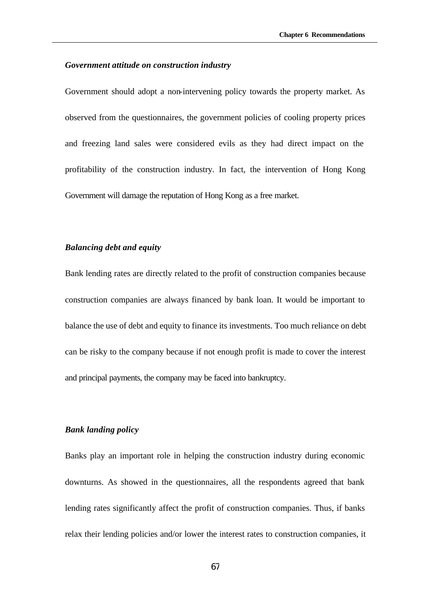#### *Government attitude on construction industry*

Government should adopt a non-intervening policy towards the property market. As observed from the questionnaires, the government policies of cooling property prices and freezing land sales were considered evils as they had direct impact on the profitability of the construction industry. In fact, the intervention of Hong Kong Government will damage the reputation of Hong Kong as a free market.

### *Balancing debt and equity*

Bank lending rates are directly related to the profit of construction companies because construction companies are always financed by bank loan. It would be important to balance the use of debt and equity to finance its investments. Too much reliance on debt can be risky to the company because if not enough profit is made to cover the interest and principal payments, the company may be faced into bankruptcy.

### *Bank landing policy*

Banks play an important role in helping the construction industry during economic downturns. As showed in the questionnaires, all the respondents agreed that bank lending rates significantly affect the profit of construction companies. Thus, if banks relax their lending policies and/or lower the interest rates to construction companies, it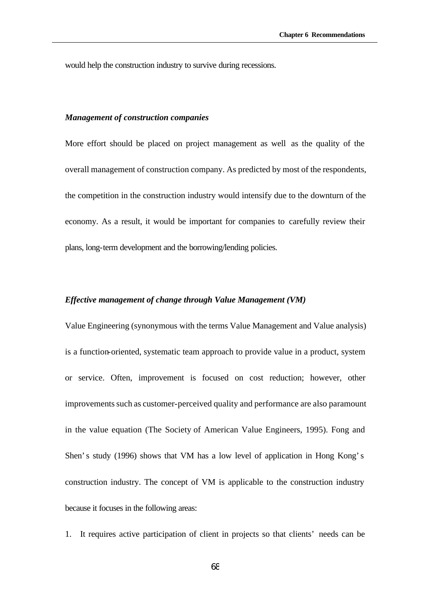would help the construction industry to survive during recessions.

#### *Management of construction companies*

More effort should be placed on project management as well as the quality of the overall management of construction company. As predicted by most of the respondents, the competition in the construction industry would intensify due to the downturn of the economy. As a result, it would be important for companies to carefully review their plans, long-term development and the borrowing/lending policies.

### *Effective management of change through Value Management (VM)*

Value Engineering (synonymous with the terms Value Management and Value analysis) is a function-oriented, systematic team approach to provide value in a product, system or service. Often, improvement is focused on cost reduction; however, other improvements such as customer-perceived quality and performance are also paramount in the value equation (The Society of American Value Engineers, 1995). Fong and Shen's study (1996) shows that VM has a low level of application in Hong Kong's construction industry. The concept of VM is applicable to the construction industry because it focuses in the following areas:

1. It requires active participation of client in projects so that clients' needs can be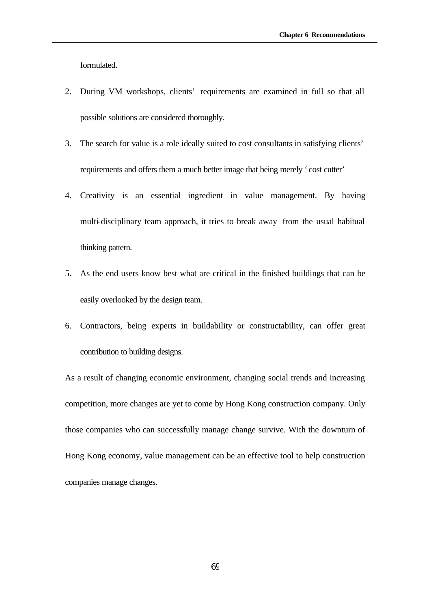formulated.

- 2. During VM workshops, clients' requirements are examined in full so that all possible solutions are considered thoroughly.
- 3. The search for value is a role ideally suited to cost consultants in satisfying clients' requirements and offers them a much better image that being merely 'cost cutter'
- 4. Creativity is an essential ingredient in value management. By having multi-disciplinary team approach, it tries to break away from the usual habitual thinking pattern.
- 5. As the end users know best what are critical in the finished buildings that can be easily overlooked by the design team.
- 6. Contractors, being experts in buildability or constructability, can offer great contribution to building designs.

As a result of changing economic environment, changing social trends and increasing competition, more changes are yet to come by Hong Kong construction company. Only those companies who can successfully manage change survive. With the downturn of Hong Kong economy, value management can be an effective tool to help construction companies manage changes.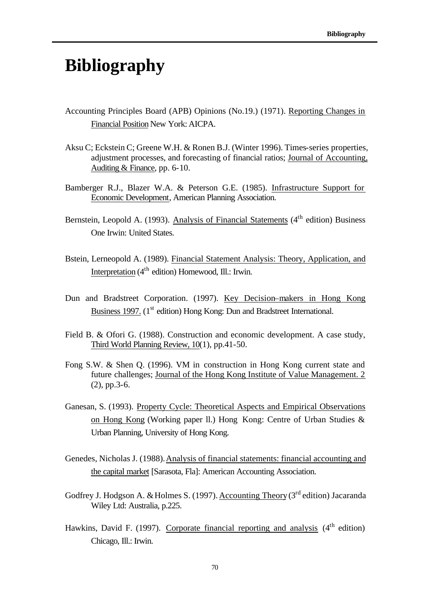# **Bibliography**

- Accounting Principles Board (APB) Opinions (No.19.) (1971). Reporting Changes in Financial Position New York: AICPA.
- Aksu C; Eckstein C; Greene W.H. & Ronen B.J. (Winter 1996). Times-series properties, adjustment processes, and forecasting of financial ratios; Journal of Accounting, Auditing & Finance, pp. 6-10.
- Bamberger R.J., Blazer W.A. & Peterson G.E. (1985). Infrastructure Support for Economic Development, American Planning Association.
- Bernstein, Leopold A. (1993). Analysis of Financial Statements ( $4<sup>th</sup>$  edition) Business One Irwin: United States.
- Bstein, Lerneopold A. (1989). Financial Statement Analysis: Theory, Application, and Interpretation  $(4<sup>th</sup>$  edition) Homewood, Ill.: Irwin.
- Dun and Bradstreet Corporation. (1997). Key Decision–makers in Hong Kong Business 1997. (1<sup>st</sup> edition) Hong Kong: Dun and Bradstreet International.
- Field B. & Ofori G. (1988). Construction and economic development. A case study, Third World Planning Review, 10(1), pp.41-50.
- Fong S.W. & Shen Q. (1996). VM in construction in Hong Kong current state and future challenges; Journal of the Hong Kong Institute of Value Management. 2 (2), pp.3-6.
- Ganesan, S. (1993). Property Cycle: Theoretical Aspects and Empirical Observations on Hong Kong (Working paper ll.) Hong Kong: Centre of Urban Studies & Urban Planning, University of Hong Kong.
- Genedes, Nicholas J. (1988). Analysis of financial statements: financial accounting and the capital market [Sarasota, Fla]: American Accounting Association.
- Godfrey J. Hodgson A. & Holmes S. (1997). Accounting Theory ( $3<sup>rd</sup>$  edition) Jacaranda Wiley Ltd: Australia, p.225.
- Hawkins, David F. (1997). Corporate financial reporting and analysis  $(4<sup>th</sup>$  edition) Chicago, Ill.: Irwin.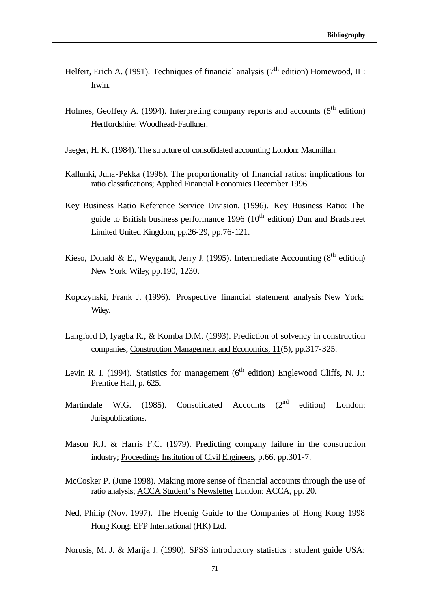- Helfert, Erich A. (1991). Techniques of financial analysis (7<sup>th</sup> edition) Homewood, IL: Irwin.
- Holmes, Geoffery A. (1994). Interpreting company reports and accounts  $(5<sup>th</sup>$  edition) Hertfordshire: Woodhead-Faulkner.
- Jaeger, H. K. (1984). The structure of consolidated accounting London: Macmillan.
- Kallunki, Juha-Pekka (1996). The proportionality of financial ratios: implications for ratio classifications; Applied Financial Economics December 1996.
- Key Business Ratio Reference Service Division. (1996). Key Business Ratio: The guide to British business performance 1996 ( $10<sup>th</sup>$  edition) Dun and Bradstreet Limited United Kingdom, pp.26-29, pp.76-121.
- Kieso, Donald & E., Weygandt, Jerry J. (1995). Intermediate Accounting ( $8<sup>th</sup>$  edition) New York: Wiley, pp.190, 1230.
- Kopczynski, Frank J. (1996). Prospective financial statement analysis New York: Wiley.
- Langford D, Iyagba R., & Komba D.M. (1993). Prediction of solvency in construction companies; Construction Management and Economics, 11(5), pp.317-325.
- Levin R. I. (1994). Statistics for management (6<sup>th</sup> edition) Englewood Cliffs, N. J.: Prentice Hall, p. 625.
- Martindale W.G. (1985). Consolidated Accounts  $(2<sup>nd</sup>$  edition) London: Jurispublications.
- Mason R.J. & Harris F.C. (1979). Predicting company failure in the construction industry; Proceedings Institution of Civil Engineers, p.66, pp.301-7.
- McCosker P. (June 1998). Making more sense of financial accounts through the use of ratio analysis; ACCA Student's Newsletter London: ACCA, pp. 20.
- Ned, Philip (Nov. 1997). The Hoenig Guide to the Companies of Hong Kong 1998 Hong Kong: EFP International (HK) Ltd.

Norusis, M. J. & Marija J. (1990). SPSS introductory statistics : student guide USA: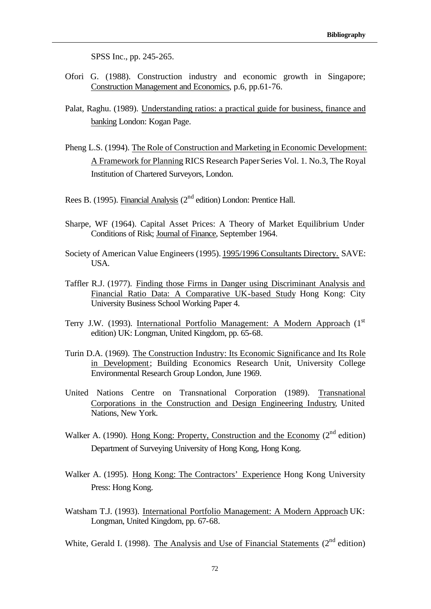SPSS Inc., pp. 245-265.

- Ofori G. (1988). Construction industry and economic growth in Singapore; Construction Management and Economics, p.6, pp.61-76.
- Palat, Raghu. (1989). Understanding ratios: a practical guide for business, finance and banking London: Kogan Page.
- Pheng L.S. (1994). The Role of Construction and Marketing in Economic Development: A Framework for Planning RICS Research Paper Series Vol. 1. No.3, The Royal Institution of Chartered Surveyors, London.
- Rees B. (1995). Financial Analysis (2<sup>nd</sup> edition) London: Prentice Hall.
- Sharpe, WF (1964). Capital Asset Prices: A Theory of Market Equilibrium Under Conditions of Risk; Journal of Finance, September 1964.
- Society of American Value Engineers (1995). 1995/1996 Consultants Directory. SAVE: USA.
- Taffler R.J. (1977). Finding those Firms in Danger using Discriminant Analysis and Financial Ratio Data: A Comparative UK-based Study Hong Kong: City University Business School Working Paper 4.
- Terry J.W. (1993). International Portfolio Management: A Modern Approach (1<sup>st</sup>) edition) UK: Longman, United Kingdom, pp. 65-68.
- Turin D.A. (1969). The Construction Industry: Its Economic Significance and Its Role in Development; Building Economics Research Unit, University College Environmental Research Group London, June 1969.
- United Nations Centre on Transnational Corporation (1989). Transnational Corporations in the Construction and Design Engineering Industry, United Nations, New York.
- Walker A. (1990). Hong Kong: Property, Construction and the Economy (2<sup>nd</sup> edition) Department of Surveying University of Hong Kong, Hong Kong.
- Walker A. (1995). Hong Kong: The Contractors' Experience Hong Kong University Press: Hong Kong.
- Watsham T.J. (1993). International Portfolio Management: A Modern Approach UK: Longman, United Kingdom, pp. 67-68.

White, Gerald I. (1998). The Analysis and Use of Financial Statements  $(2<sup>nd</sup>$  edition)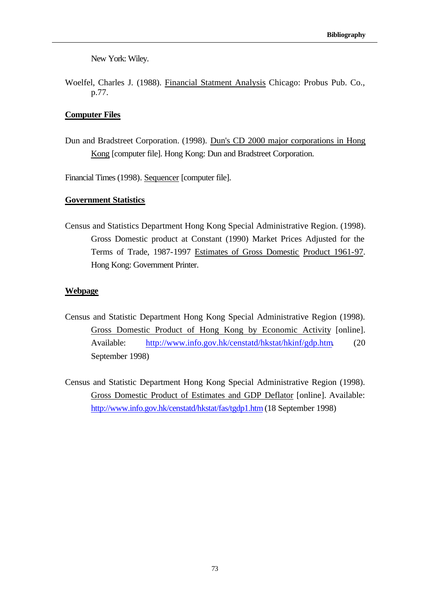New York: Wiley.

Woelfel, Charles J. (1988). Financial Statment Analysis Chicago: Probus Pub. Co., p.77.

### **Computer Files**

Dun and Bradstreet Corporation. (1998). Dun's CD 2000 major corporations in Hong Kong [computer file]. Hong Kong: Dun and Bradstreet Corporation.

Financial Times (1998). Sequencer [computer file].

### **Government Statistics**

Census and Statistics Department Hong Kong Special Administrative Region. (1998). Gross Domestic product at Constant (1990) Market Prices Adjusted for the Terms of Trade, 1987-1997 Estimates of Gross Domestic Product 1961-97. Hong Kong: Government Printer.

#### **Webpage**

- Census and Statistic Department Hong Kong Special Administrative Region (1998). Gross Domestic Product of Hong Kong by Economic Activity [online]. Available: http://www.info.gov.hk/censtatd/hkstat/hkinf/gdp.htm. (20 September 1998)
- Census and Statistic Department Hong Kong Special Administrative Region (1998). Gross Domestic Product of Estimates and GDP Deflator [online]. Available: http://www.info.gov.hk/censtatd/hkstat/fas/tgdp1.htm (18 September 1998)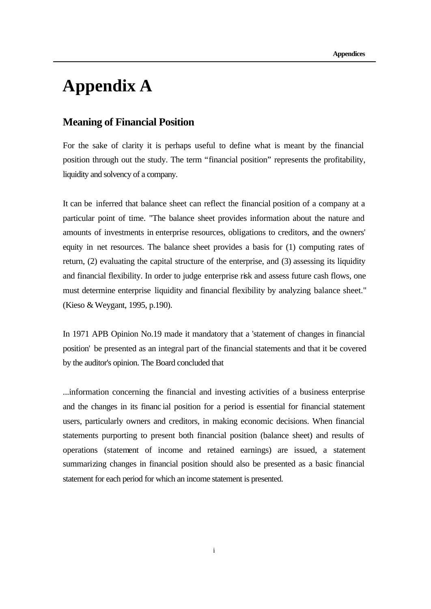# **Appendix A**

## **Meaning of Financial Position**

For the sake of clarity it is perhaps useful to define what is meant by the financial position through out the study. The term "financial position" represents the profitability, liquidity and solvency of a company.

It can be inferred that balance sheet can reflect the financial position of a company at a particular point of time. "The balance sheet provides information about the nature and amounts of investments in enterprise resources, obligations to creditors, and the owners' equity in net resources. The balance sheet provides a basis for (1) computing rates of return, (2) evaluating the capital structure of the enterprise, and (3) assessing its liquidity and financial flexibility. In order to judge enterprise risk and assess future cash flows, one must determine enterprise liquidity and financial flexibility by analyzing balance sheet." (Kieso & Weygant, 1995, p.190).

In 1971 APB Opinion No.19 made it mandatory that a 'statement of changes in financial position' be presented as an integral part of the financial statements and that it be covered by the auditor's opinion. The Board concluded that

...information concerning the financial and investing activities of a business enterprise and the changes in its financ ial position for a period is essential for financial statement users, particularly owners and creditors, in making economic decisions. When financial statements purporting to present both financial position (balance sheet) and results of operations (statement of income and retained earnings) are issued, a statement summarizing changes in financial position should also be presented as a basic financial statement for each period for which an income statement is presented.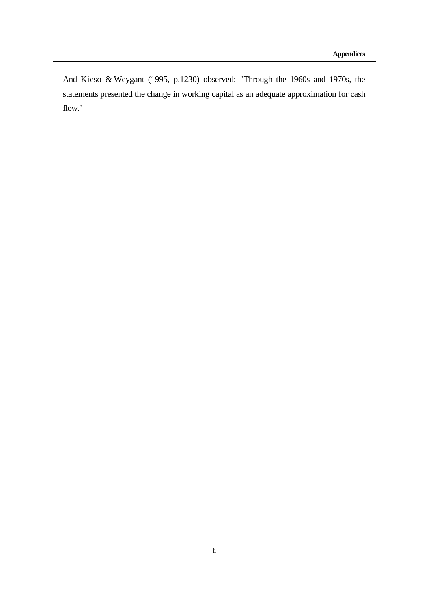And Kieso & Weygant (1995, p.1230) observed: "Through the 1960s and 1970s, the statements presented the change in working capital as an adequate approximation for cash flow."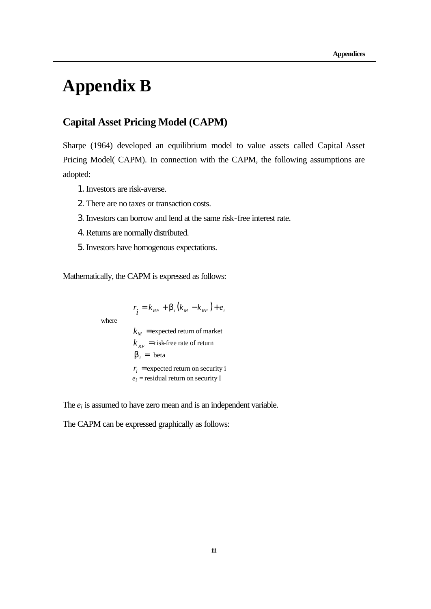# **Appendix B**

## **Capital Asset Pricing Model (CAPM)**

Sharpe (1964) developed an equilibrium model to value assets called Capital Asset Pricing Model( CAPM). In connection with the CAPM, the following assumptions are adopted:

- 1.Investors are risk-averse.
- 2.There are no taxes or transaction costs.
- 3.Investors can borrow and lend at the same risk-free interest rate.
- 4.Returns are normally distributed.
- 5.Investors have homogenous expectations.

Mathematically, the CAPM is expressed as follows:

where

 $r_i = k_{RF} + \mathbf{b}_i (k_M - k_{RF}) + e_i$ 

 $k_M$  = expected return of market  $k_{RF}$  = risk-free rate of return **<sub>***i***</sub> = beta**  $r_i$  = expected return on security i *ei =* residual return on security I

The  $e_i$  is assumed to have zero mean and is an independent variable.

The CAPM can be expressed graphically as follows: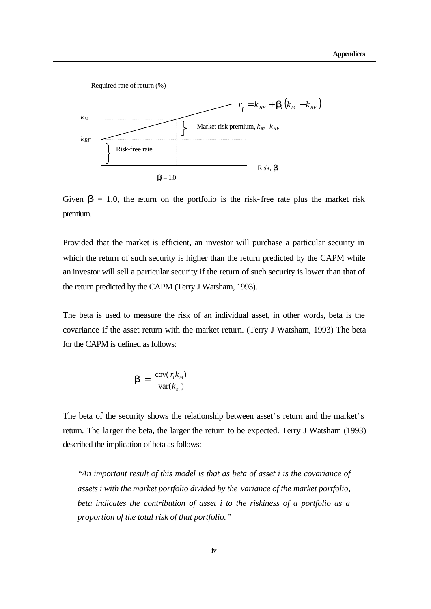

Given  $\mathbf{b}_i = 1.0$ , the return on the portfolio is the risk-free rate plus the market risk premium.

Provided that the market is efficient, an investor will purchase a particular security in which the return of such security is higher than the return predicted by the CAPM while an investor will sell a particular security if the return of such security is lower than that of the return predicted by the CAPM (Terry J Watsham, 1993).

The beta is used to measure the risk of an individual asset, in other words, beta is the covariance if the asset return with the market return. (Terry J Watsham, 1993) The beta for the CAPM is defined as follows:

$$
\mathbf{b}_i = \frac{\text{cov}(r_i k_m)}{\text{var}(k_m)}
$$

The beta of the security shows the relationship between asset's return and the market's return. The larger the beta, the larger the return to be expected. Terry J Watsham (1993) described the implication of beta as follows:

*"An important result of this model is that as beta of asset i is the covariance of assets i with the market portfolio divided by the variance of the market portfolio, beta indicates the contribution of asset i to the riskiness of a portfolio as a proportion of the total risk of that portfolio."*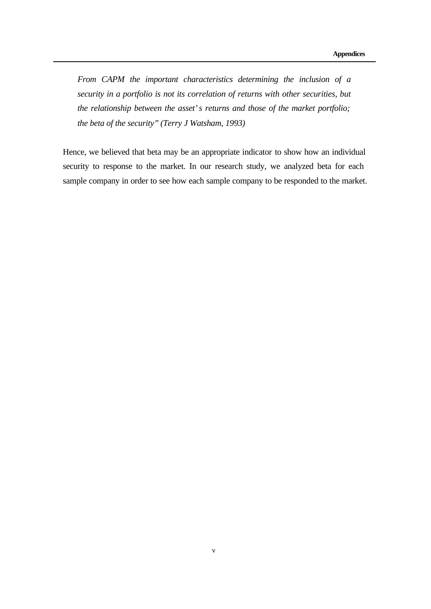*From CAPM the important characteristics determining the inclusion of a security in a portfolio is not its correlation of returns with other securities, but the relationship between the asset's returns and those of the market portfolio; the beta of the security" (Terry J Watsham, 1993)* 

Hence, we believed that beta may be an appropriate indicator to show how an individual security to response to the market. In our research study, we analyzed beta for each sample company in order to see how each sample company to be responded to the market.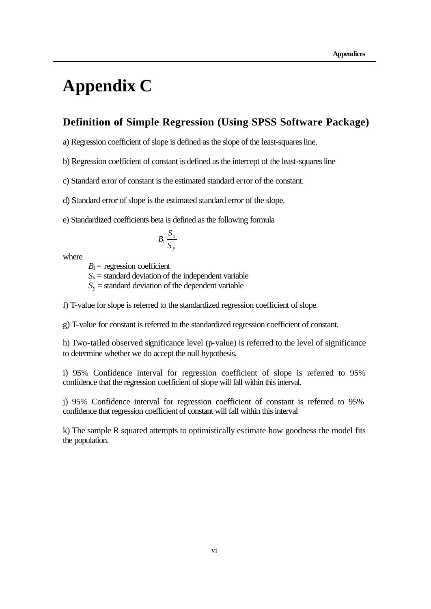# **Appendix C**

## **Definition of Simple Regression (Using SPSS Software Package)**

a) Regression coefficient of slope is defined as the slope of the least-squares line.

b) Regression coefficient of constant is defined as the intercept of the least-squares line

c) Standard error of constant is the estimated standard error of the constant.

d) Standard error of slope is the estimated standard error of the slope.

e) Standardized coefficients beta is defined as the following formula

$$
B_1\frac{S_x}{S_y}
$$

where

 $B_1$  = regression coefficient

 $S_x$  = standard deviation of the independent variable

 $S<sub>v</sub>$  = standard deviation of the dependent variable

f) T-value for slope is referred to the standardized regression coefficient of slope.

g) T-value for constant is referred to the standardized regression coefficient of constant.

h) Two-tailed observed significance level (p-value) is referred to the level of significance to determine whether we do accept the null hypothesis.

i) 95% Confidence interval for regression coefficient of slope is referred to 95% confidence that the regression coefficient of slope will fall within this interval.

j) 95% Confidence interval for regression coefficient of constant is referred to 95% confidence that regression coefficient of constant will fall within this interval

k) The sample R squared attempts to optimistically estimate how goodness the model fits the population.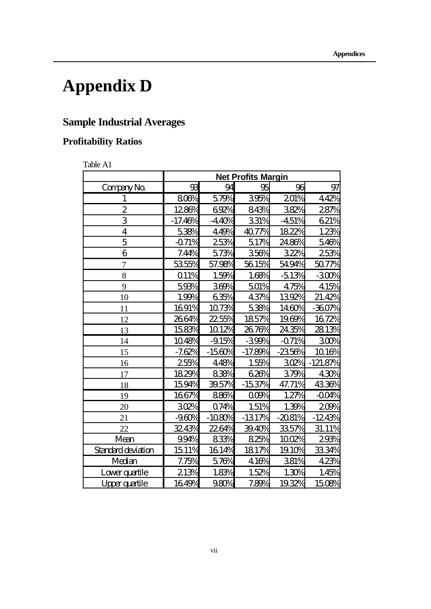# **Appendix D**

## **Sample Industrial Averages**

## **Profitability Ratios**

Table A1

|                           | <b>Net Profits Margin</b> |          |           |          |            |  |
|---------------------------|---------------------------|----------|-----------|----------|------------|--|
| Company No.               | 93                        | 94       | 95        | 96       | 97         |  |
| 1                         | 800%                      | 579%     | 395%      | 201%     | 442%       |  |
| $\overline{2}$            | 1286%                     | 692%     | 843%      | 382%     | 287%       |  |
| 3                         | $-17.46%$                 | $-440%$  | 331%      | $-451%$  | 621%       |  |
| $\overline{\mathbf{4}}$   | 538%                      | 449%     | 40.77%    | 1822%    | 1.23%      |  |
| 5                         | $-071%$                   | 253%     | 517%      | 2486%    | 546%       |  |
| 6                         | 7.44%                     | 573%     | 356%      | 322%     | 253%       |  |
| 7                         | 5355%                     | 57.98%   | 5615%     | 5494%    | 5077%      |  |
| 8                         | Q11%                      | 1.59%    | 1.68%     | $-513%$  | $-300%$    |  |
| 9                         | 593%                      | 369%     | 501%      | 475%     | 415%       |  |
| 10                        | 1.99%                     | 635%     | 437%      | 1392%    | 21.42%     |  |
| 11                        | 1691%                     | 1073%    | 538%      | 1460%    | $-360%$    |  |
| 12                        | 2664%                     | $225\%$  | 1857%     | 1969%    | 1672%      |  |
| 13                        | 1583%                     | 1012%    | 2676%     | 2435%    | 2813%      |  |
| 14                        | 1048%                     | $-915%$  | $-399%$   | $-071%$  | 300%       |  |
| 15                        | $-7.62%$                  | $-1560%$ | $-17.89%$ | $-2350%$ | 1016%      |  |
| 16                        | 255%                      | 448%     | 1.55%     | 302%     | $-121.87%$ |  |
| 17                        | 1829%                     | 838%     | 626%      | 379%     | 430%       |  |
| 18                        | 1594%                     | 39.57%   | $-153%$   | 47.71%   | 4336%      |  |
| 19                        | 1667%                     | 886%     | 000%      | 1.27%    | $-004%$    |  |
| 20                        | 302%                      | 074%     | 1.51%     | 1.39%    | 200%       |  |
| 21                        | $-960%$                   | $-1080%$ | $-131\%$  | $-2081%$ | $-1243%$   |  |
| 22                        | 3243%                     | 2264%    | 3940%     | 3357%    | 31.11%     |  |
| Mean                      | 994%                      | 83%      | 825%      | 1002%    | 293%       |  |
| <b>Standard deviation</b> | 1511%                     | 1614%    | 1817%     | 1910%    | 3334%      |  |
| Median                    | 7.75%                     | 576%     | 416%      | 381%     | 423%       |  |
| Lowerquartile             | 213%                      | 1.83%    | 1.52%     | 1.30%    | 1.45%      |  |
| Upperquantile             | 1649%                     | 980%     | 7.89%     | 1932%    | 1508%      |  |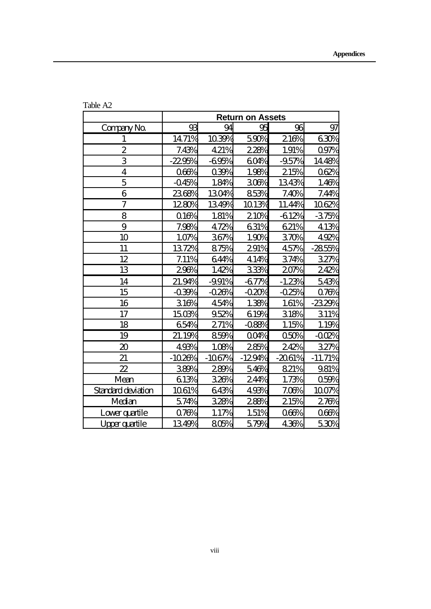|                             | <b>Return on Assets</b> |          |            |          |           |
|-----------------------------|-------------------------|----------|------------|----------|-----------|
| Company No.                 | 93                      | 94       | 95         | 96       | 97        |
| $\mathbf{1}$                | 14.71%                  | 1039%    | 590%       | 216%     | 630%      |
| $\overline{2}$              | 7.43%                   | 421%     | 228%       | 1.91%    | 097%      |
| 3                           | $-2295%$                | $-695%$  | <b>60%</b> | $-95%$   | 1448%     |
| $\overline{4}$              | 066%                    | 039%     | 1.98%      | 215%     | 062%      |
| $\overline{5}$              | $-045%$                 | 1.84%    | 306%       | 1343%    | 1.46%     |
| 6                           | 2368%                   | 1304%    | 853%       | 7.40%    | 7.44%     |
| $\overline{\mathcal{U}}$    | 1280%                   | 1349%    | 1013%      | 11.44%   | 1062%     |
| 8                           | 016%                    | 1.81%    | 210%       | $-612%$  | $-375%$   |
| 9                           | 7.98%                   | 472%     | 631%       | 621%     | 413%      |
| 10                          | 1.07%                   | 367%     | 1.90%      | 370%     | 492%      |
| 11                          | 1372%                   | 875%     | 291%       | 457%     | $-285%$   |
| 12                          | 7.11%                   | 644%     | 414%       | 374%     | 32%       |
| 13                          | 296%                    | 1.42%    | 33%        | 207%     | 242%      |
| 14                          | 21.94%                  | -991%    | $-677%$    | $-1.23%$ | 543%      |
| 15                          | $-039%$                 | $-020%$  | $-0.20%$   | $-025%$  | 078%      |
| 16                          | 316%                    | 454%     | 1.38%      | 1.61%    | -2329%    |
| 17                          | 1503%                   | 952%     | 619%       | 318%     | 311%      |
| 18                          | 654%                    | 271%     | $-088%$    | 1.15%    | 1.19%     |
| 19                          | 21.19%                  | 859%     | 004%       | 050%     | $-002%$   |
| $\boldsymbol{\mathfrak{D}}$ | 493%                    | 1.08%    | 285%       | 242%     | 327%      |
| 21                          | $-1020%$                | $-1067%$ | $-1294%$   | $-2061%$ | $-11.71%$ |
| $\boldsymbol{\mathcal{Z}}$  | 389%                    | 289%     | 546%       | 821%     | 981%      |
| Mean                        | 613%                    | 326%     | 24%        | 1.73%    | 059%      |
| Standard deviation          | 1061%                   | 643%     | 493%       | 7.06%    | 1007%     |
| Median                      | 574%                    | 328%     | 288%       | 215%     | 276%      |
| Lowerquartile               | 078%                    | 1.17%    | 1.51%      | 060%     | 060%      |
| Upperquartile               | 1349%                   | 805%     | 579%       | 436%     | 530%      |

Table A2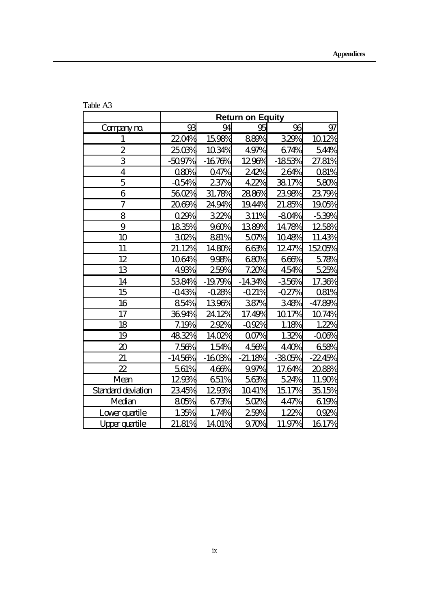|                             | <b>Return on Equity</b> |          |           |          |           |
|-----------------------------|-------------------------|----------|-----------|----------|-----------|
| Companym                    | 93                      | 94       | 95        | 96       | 97        |
| $\mathbf{1}$                | 2204%                   | 1598%    | 889%      | 329%     | 1012%     |
| $\overline{2}$              | 2503%                   | 1034%    | 497%      | 674%     | 544%      |
| 3                           | $-509%$                 | $-1676%$ | 1296%     | $-1853%$ | 27.81%    |
| $\overline{\mathbf{4}}$     | 080%                    | Q47%     | 242%      | 264%     | Q81%      |
| 5                           | $-054%$                 | 237%     | 422%      | 3817%    | 580%      |
| 6                           | 5602%                   | 31.78%   | 2886%     | 2398%    | 2379%     |
| 7                           | 2069%                   | 2494%    | 1944%     | 21.85%   | 1905%     |
| 8                           | 029%                    | 322%     | 311%      | $-804%$  | $-539%$   |
| 9                           | 1835%                   | 960%     | 1389%     | 1478%    | 1258%     |
| 10                          | 302%                    | 881%     | 507%      | 1048%    | 11.43%    |
| 11                          | 21.12%                  | 1480%    | 663%      | 1247%    | 15205%    |
| 12                          | 1064%                   | 998%     | 680%      | 666%     | 578%      |
| 13                          | 493%                    | 259%     | 7.20%     | 454%     | 525%      |
| 14                          | 5384%                   | $-1979%$ | $-1434%$  | $-350%$  | 17.36%    |
| 15                          | $-043%$                 | $-0.28%$ | $-021%$   | $-027%$  | Q81%      |
| 16                          | 854%                    | 1396%    | 387%      | 348%     | $-47.89%$ |
| 17                          | 3694%                   | 2412%    | 17.49%    | 1017%    | 1074%     |
| 18                          | 7.19%                   | 292%     | $-092%$   | 1.18%    | 1.22%     |
| 19                          | 4832%                   | 1402%    | $00\%$    | 1.32%    | $-000%$   |
| $\boldsymbol{\mathfrak{D}}$ | 7.56%                   | 1.54%    | 456%      | 440%     | 658%      |
| 21                          | $-1450%$                | $-1603%$ | $-21.18%$ | $-3805%$ | $-2245%$  |
| $\boldsymbol{\mathcal{Z}}$  | 561%                    | 466%     | 997%      | 17.64%   | 2088%     |
| Mean                        | 1293%                   | 651%     | 563%      | 524%     | 11.90%    |
| Standard deviation          | 2345%                   | 1293%    | 1041%     | 1517%    | 3515%     |
| Median                      | 805%                    | 673%     | 502%      | 447%     | 619%      |
| Lowerquartile               | 1.35%                   | 1.74%    | 259%      | 1.22%    | 092%      |
| Upperquartile               | 21.81%                  | 1401%    | 970%      | 11.97%   | 1617%     |

Table A3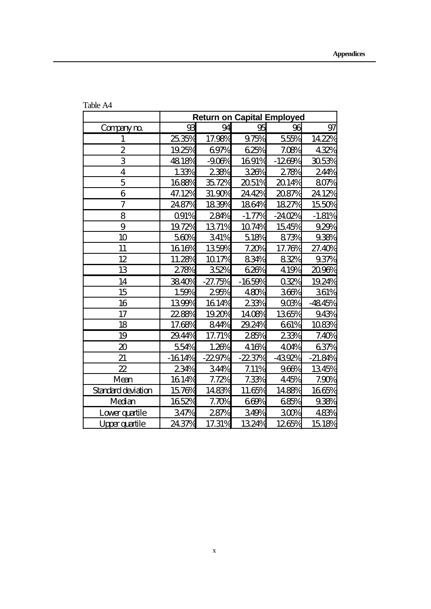|                             | <b>Return on Capital Employed</b> |           |          |          |           |  |
|-----------------------------|-----------------------------------|-----------|----------|----------|-----------|--|
| Companym                    | 93                                | 94        | 95       | 96       | 97        |  |
| $\mathbf{1}$                | 2535%                             | 17.98%    | 975%     | 555%     | 1422%     |  |
| $\overline{2}$              | 1925%                             | 697%      | 625%     | 7.08%    | 432%      |  |
| 3                           | 4818%                             | $-900%$   | 1691%    | $-1269%$ | 3053%     |  |
| $\overline{4}$              | 1.33%                             | 238%      | 326%     | 278%     | 24%       |  |
| 5                           | 1688%                             | 3572%     | 2051%    | 2014%    | 807%      |  |
| 6                           | 47.12%                            | 31.90%    | 2442%    | 2087%    | 2412%     |  |
| 7                           | 2487%                             | 1839%     | 1864%    | 1827%    | 1550%     |  |
| 8                           | <b>Q91%</b>                       | 284%      | $-1.77%$ | $-2402%$ | $-1.81%$  |  |
| 9                           | 1972%                             | 1371%     | 1074%    | 1545%    | 929%      |  |
| 10                          | 560%                              | 341%      | 518%     | 873%     | 938%      |  |
| 11                          | 1616%                             | 1359%     | 7.20%    | 17.76%   | 27.40%    |  |
| 12                          | 11.28%                            | 1017%     | 834%     | 832%     | 937%      |  |
| 13                          | 278%                              | 352%      | 626%     | 419%     | 2096%     |  |
| 14                          | 3840%                             | $-27.75%$ | $-1659%$ | 032%     | 1924%     |  |
| 15                          | 1.59%                             | 295%      | 480%     | 366%     | 361%      |  |
| 16                          | 1399%                             | 1614%     | 233%     | 903%     | $-4845%$  |  |
| 17                          | 22.88%                            | 1920%     | 1408%    | 1365%    | 943%      |  |
| 18                          | 17.68%                            | 844%      | 29.24%   | 661%     | 1083%     |  |
| 19                          | 2944%                             | 17.71%    | 285%     | 233%     | 7.40%     |  |
| $\boldsymbol{\mathfrak{D}}$ | 554%                              | 1.26%     | 416%     | 40%      | 637%      |  |
| 21                          | $-1614%$                          | $-2297%$  | $-2237%$ | $-4392%$ | $-21.84%$ |  |
| $\boldsymbol{\mathcal{Z}}$  | 234%                              | 34%       | 7.11%    | 966%     | 1345%     |  |
| Mean                        | 1614%                             | 7.72%     | 7.33%    | 445%     | 7.90%     |  |
| Standard deviation          | 1576%                             | 1483%     | 11.65%   | 1488%    | 1665%     |  |
| Median                      | 1652%                             | 7.70%     | 669%     | 685%     | 938%      |  |
| Lowerquartile               | 347%                              | 287%      | 349%     | 300%     | 483%      |  |
| Upperquartile               | 24.37%                            | 17.31%    | 1324%    | 1265%    | 1518%     |  |

Table A4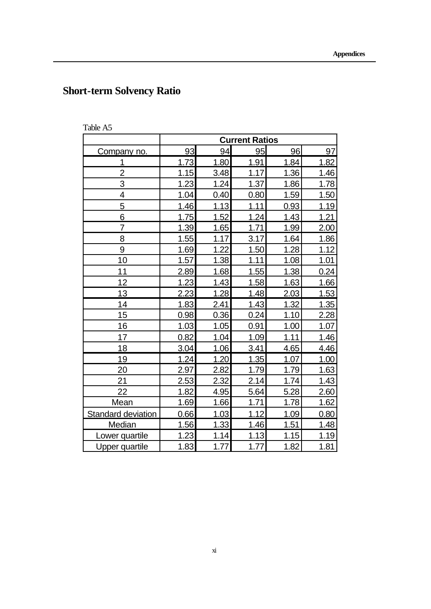# **Short-term Solvency Ratio**

| Table A: |
|----------|
|----------|

|                           | <b>Current Ratios</b> |             |      |      |      |
|---------------------------|-----------------------|-------------|------|------|------|
| Company no.               | 93                    | 94          | 95   | 96   | 97   |
| 1                         | 1.73                  | 1.80        | 1.91 | 1.84 | 1.82 |
| $\overline{c}$            | 1.15                  | 3.48        | 1.17 | 1.36 | 1.46 |
| 3                         | 1.23                  | 1.24        | 1.37 | 1.86 | 1.78 |
| 4                         | 1.04                  | 0.40        | 0.80 | 1.59 | 1.50 |
| 5                         | 1.46                  | 1.13        | 1.11 | 0.93 | 1.19 |
| 6                         | 1.75                  | 1.52        | 1.24 | 1.43 | 1.21 |
| $\overline{7}$            | 1.39                  | <u>1.65</u> | 1.71 | 1.99 | 2.00 |
| 8                         | 1.55                  | 1.17        | 3.17 | 1.64 | 1.86 |
| 9                         | 1.69                  | 1.22        | 1.50 | 1.28 | 1.12 |
| 10                        | 1.57                  | 1.38        | 1.11 | 1.08 | 1.01 |
| 11                        | 2.89                  | 1.68        | 1.55 | 1.38 | 0.24 |
| 12                        | 1.23                  | 1.43        | 1.58 | 1.63 | 1.66 |
| 13                        | 2.23                  | 1.28        | 1.48 | 2.03 | 1.53 |
| 14                        | 1.83                  | 2.41        | 1.43 | 1.32 | 1.35 |
| 15                        | 0.98                  | 0.36        | 0.24 | 1.10 | 2.28 |
| 16                        | 1.03                  | 1.05        | 0.91 | 1.00 | 1.07 |
| 17                        | 0.82                  | 1.04        | 1.09 | 1.11 | 1.46 |
| 18                        | 3.04                  | 1.06        | 3.41 | 4.65 | 4.46 |
| 19                        | 1.24                  | 1.20        | 1.35 | 1.07 | 1.00 |
| 20                        | 2.97                  | 2.82        | 1.79 | 1.79 | 1.63 |
| 21                        | <u>2.53</u>           | 2.32        | 2.14 | 1.74 | 1.43 |
| 22                        | 1.82                  | 4.95        | 5.64 | 5.28 | 2.60 |
| Mean                      | 1.69                  | 1.66        | 1.71 | 1.78 | 1.62 |
| <b>Standard deviation</b> | 0.66                  | 1.03        | 1.12 | 1.09 | 0.80 |
| Median                    | 1.56                  | 1.33        | 1.46 | 1.51 | 1.48 |
| Lower quartile            | 1.23                  | 1.14        | 1.13 | 1.15 | 1.19 |
| <b>Upper quartile</b>     | 1.83                  | 1.77        | 1.77 | 1.82 | 1.81 |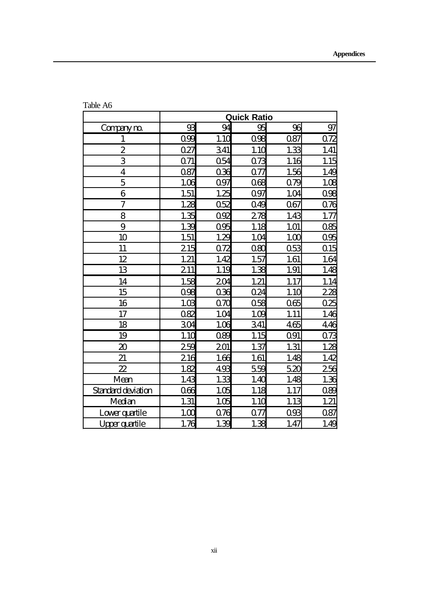|                             | <b>Quick Ratio</b> |                  |          |            |                  |
|-----------------------------|--------------------|------------------|----------|------------|------------------|
| Companym                    | 93                 | 94               | 95       | 96         | 97               |
| $\mathbf{1}$                | 099                | 1.1 <sub>C</sub> | 098      | 087        | 072              |
| $\overline{\mathbf{c}}$     | 027                | 341              | 1.10     | 1.33       | 1.41             |
| 3                           | 071                | Q54              | 073      | 1.16       | <u>1.15</u>      |
| $\overline{\mathbf{4}}$     | 087                | 036              | 077      | 1.56       | 1.49             |
| $\overline{5}$              | 106                | 097              | 068      | 079        | 1.05             |
| 6                           | 1.51               | 1.25             | 097      | 1.04       | 096              |
| $\overline{7}$              | 1.28               | 052              | 049      | 067        | 076              |
| 8                           | 1.35               | 0 <sup>92</sup>  | 278      | 1.43       | 1.77             |
| 9                           | 1.39               | 095              | 1.18     | 1.01       | 085              |
| 10                          | 1.51               | 1.29             | 1.04     | 100        | 095              |
| 11                          | 215                | 072              | $\alpha$ | Q53        | Q15              |
| 12                          | 1.21               | 1.42             | 1.57     | 1.61       | 1.64             |
| 13                          | 211                | 1.19             | 1.38     | 1.91       | 1.48             |
| 14                          | 1.58               | 204              | 1.21     | 1.17       | 1.14             |
| 15                          | 098                | 036              | Q24      | 1.10       | <u>228</u>       |
| 16                          | 10B                | $\alpha$         | 058      | 065        | 025              |
| 17                          | 082                | 1.04             | 100      | 1.11       | 1.46             |
| 18                          | 304                | 1.06             | 341      | 465        | 446              |
| 19                          | 1.10               | 089              | 1.15     | <b>Q91</b> | 07 <sup>2</sup>  |
| $\boldsymbol{\mathfrak{D}}$ | 259                | 201              | 1.37     | 1.31       | 1.25             |
| 21                          | 216                | 1.66             | 1.61     | 1.48       | 1.42             |
| $\mathbf{z}$                | 182                | 493              | 559      | 520        | <u>256</u>       |
| Mean                        | 1.43               | 1.33             | 1.40     | 1.48       | 1.36             |
| <b>Standard deviation</b>   | 066                | 1.05             | 1.18     | 1.17       | $\overline{08}$  |
| Median                      | 1.31               | 1.05             | 1.10     | 1.13       | 1.21             |
| Lowerquartile               | 100                | 076              | 077      | 093        | 087              |
| Upper quantile              | 1.76               | 1.39             | 1.38     | 1.47       | 1.4 <sub>C</sub> |

Table A6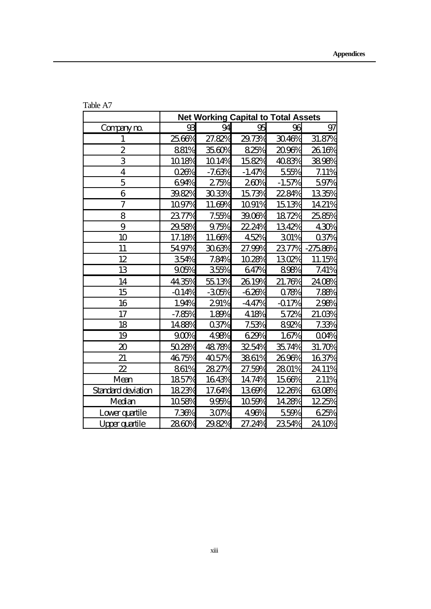|                             | <b>Net Working Capital to Total Assets</b> |          |          |          |        |  |
|-----------------------------|--------------------------------------------|----------|----------|----------|--------|--|
| Compaym                     | 93                                         | 94       | 95       | 96       | 97     |  |
| $\mathbf{1}$                | 2566%                                      | 27.82%   | 29.73%   | 3046%    | 31.87% |  |
| $\overline{2}$              | 881%                                       | 3560%    | 825%     | 2096%    | 2616%  |  |
| 3                           | 1018%                                      | 1014%    | 1582%    | 4083%    | 3898%  |  |
| 4                           | 028%                                       | $-7.63%$ | $-1.47%$ | 555%     | 7.11%  |  |
| 5                           | 694%                                       | 275%     | 260%     | $-1.57%$ | 597%   |  |
| 6                           | 3982%                                      | 3033%    | 1573%    | 2284%    | 1335%  |  |
| $\overline{\mathcal{U}}$    | 1097%                                      | 11.69%   | 1091%    | 1513%    | 1421%  |  |
| 8                           | 237%                                       | 7.55%    | 3906%    | 1872%    | 2585%  |  |
| 9                           | 2958%                                      | 975%     | 22.24%   | 1342%    | 430%   |  |
| 10                          | 17.18%                                     | 11.66%   | 452%     | 301%     | 03%    |  |
| 11                          | 5497%                                      | 3063%    | 27.99%   | 2377%    | 27586% |  |
| 12                          | 354%                                       | 7.84%    | 1028%    | 1302%    | 11.15% |  |
| 13                          | 906%                                       | 355%     | 647%     | 898%     | 7.41%  |  |
| 14                          | 44.35%                                     | 5513%    | 2619%    | 21.76%   | 2408%  |  |
| 15                          | $-014%$                                    | $-305%$  | $-620%$  | 078%     | 7.88%  |  |
| 16                          | 1.94%                                      | 291%     | $-447%$  | $-017%$  | 298%   |  |
| 17                          | $-7.85%$                                   | 1.89%    | 418%     | 572%     | 21.03% |  |
| 18                          | 1488%                                      | 037%     | 7.53%    | 892%     | 7.33%  |  |
| 19                          | 90%                                        | 498%     | 629%     | 1.67%    | QOP%   |  |
| $\boldsymbol{\mathfrak{D}}$ | 5028%                                      | 4878%    | 3254%    | 3574%    | 31.70% |  |
| 21                          | 4675%                                      | 4057%    | 3861%    | 2696%    | 1637%  |  |
| $\boldsymbol{\mathcal{Z}}$  | 861%                                       | 2827%    | 27.59%   | 2801%    | 2411%  |  |
| Mean                        | 1857%                                      | 1643%    | 14.74%   | 1566%    | 211%   |  |
| Standard deviation          | 1823%                                      | 17.64%   | 1369%    | 1226%    | 6308%  |  |
| Median                      | 1058%                                      | 995%     | 1059%    | 1428%    | 1225%  |  |
| Lowerquartile               | 7.36%                                      | 30%      | 496%     | 559%     | 625%   |  |
| Upperquartile               | 2860%                                      | 2982%    | 27.24%   | 2354%    | 2410%  |  |

Table A7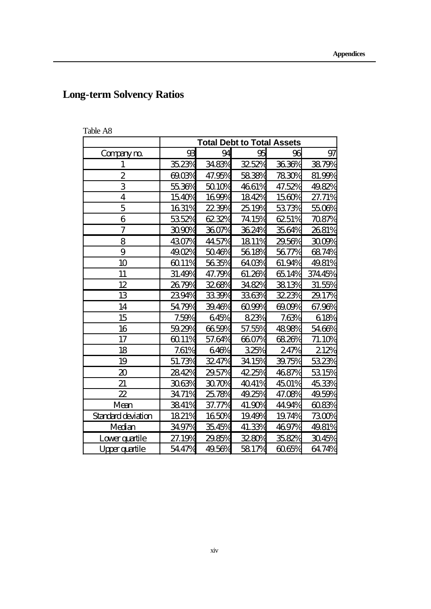# **Long-term Solvency Ratios**

| Table A8 |  |
|----------|--|
|----------|--|

|                             | <b>Total Debt to Total Assets</b> |         |         |          |        |  |
|-----------------------------|-----------------------------------|---------|---------|----------|--------|--|
| Companym                    | 93                                | 94      | 95      | 96       | 97     |  |
| 1                           | 3523%                             | 3483%   | 32.52%  | 3636%    | 3879%  |  |
| $\boldsymbol{2}$            | 6903%                             | 47.95%  | 5838%   | 7830%    | 81.99% |  |
| 3                           | 5536%                             | 5010%   | 4661%   | 47.52%   | 4982%  |  |
| $\overline{\mathbf{4}}$     | 1540%                             | 1699%   | 1842%   | 1560%    | 27.71% |  |
| 5                           | 1631%                             | $223\%$ | 25.19%  | 5373%    | 5506%  |  |
| 6                           | 5352%                             | 6232%   | 74.15%  | 6251%    | 7087%  |  |
| $\overline{\mathcal{U}}$    | 3090%                             | 3607%   | 3624%   | 3564%    | 2681%  |  |
| 8                           | 4307%                             | 44,57%  | 1811%   | 2956%    | 3009%  |  |
| 9                           | 4902%                             | 5046%   | 5618%   | 5677%    | 6874%  |  |
| 10                          | 6011%                             | 5635%   | 6403%   | 61.94%   | 4981%  |  |
| 11                          | 31.49%                            | 47.79%  | 61.26%  | 6514%    | 37445% |  |
| 12                          | 2679%                             | 3268%   | $348\%$ | 3813%    | 31.55% |  |
| 13                          | 2394%                             | 3339%   | 3363%   | 32.23%   | 29.17% |  |
| 14                          | 5479%                             | 3946%   | $609\%$ | $\omega$ | 67.96% |  |
| 15                          | 7.59%                             | 645%    | 823%    | 7.63%    | 618%   |  |
| 16                          | 5929%                             | 6659%   | 57.55%  | 4898%    | 5466%  |  |
| 17                          | 6011%                             | 57.64%  | 6607%   | 6826%    | 71.10% |  |
| 18                          | 7.61%                             | 646%    | 325%    | 247%     | 212%   |  |
| 19                          | 51.73%                            | 32.47%  | 3415%   | 39.75%   | 5323%  |  |
| $\boldsymbol{\mathfrak{D}}$ | 2842%                             | 2957%   | 42.25%  | 4687%    | 5315%  |  |
| 21                          | 3063%                             | 3070%   | 4041%   | 4501%    | 4533%  |  |
| $\mathbf{z}$                | 3471%                             | 2578%   | 49.25%  | 47.08%   | 4959%  |  |
| Mean                        | 3841%                             | 37.77%  | 41.90%  | 44.94%   | 6083%  |  |
| Standard deviation          | 1821%                             | 1650%   | 1949%   | 1974%    | 7300%  |  |
| Median                      | 3497%                             | 3545%   | 41.33%  | 4697%    | 4981%  |  |
| Loverguartile               | 27.19%                            | 2985%   | 32.80%  | 3582%    | 3045%  |  |
| Upperquartile               | 5447%                             | 4956%   | 5817%   | 6065%    | 6474%  |  |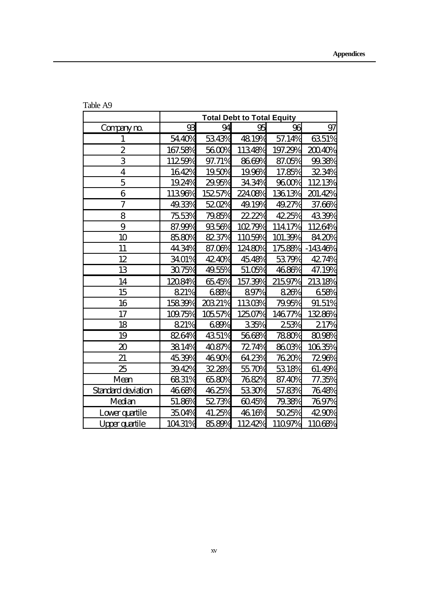|                          | <b>Total Debt to Total Equity</b> |        |         |         |           |
|--------------------------|-----------------------------------|--------|---------|---------|-----------|
| Companym                 | 93                                | 94     | 95      | 96      | 97        |
| $\mathbf{1}$             | 5440%                             | 5343%  | 4819%   | 57.14%  | 6351%     |
| 2                        | 167.58%                           | 5600%  | 11348%  | 197.29% | 20040%    |
| 3                        | 11259%                            | 97.71% | 8669%   | 87.05%  | 99.38%    |
| $\overline{4}$           | 1642%                             | 1950%  | 1996%   | 17.85%  | 3234%     |
| 5                        | 1924%                             | 2995%  | 3434%   | 9600%   | 11213%    |
| 6                        | 11396%                            | 15257% | 22408%  | 13613%  | 201.42%   |
| $\overline{\mathcal{U}}$ | 4933%                             | 5202%  | 49.19%  | 49.27%  | 37.66%    |
| 8                        | 7553%                             | 7985%  | 22.22%  | 4225%   | 4339%     |
| 9                        | 87.99%                            | 9356%  | 10279%  | 11417%  | 11264%    |
| 10                       | 8580%                             | 8237%  | 11059%  | 101.39% | 8420%     |
| 11                       | 44.34%                            | 87.06% | 12480%  | 17588%  | $-14346%$ |
| 12                       | 3401%                             | 42.40% | 4548%   | 5379%   | 42.74%    |
| 13                       | 3075%                             | 4955%  | 51.05%  | 4686%   | 47.19%    |
| 14                       | 12084%                            | 6545%  | 157.39% | 21597%  | 21318%    |
| 15                       | 821%                              | 688%   | 897%    | 826%    | 658%      |
| 16                       | 15839%                            | 20321% | 11303%  | 7995%   | 91.51%    |
| 17                       | 10975%                            | 10557% | 12507%  | 14677%  | 13286%    |
| 18                       | 821%                              | 689%   | 335%    | 253%    | $21\%$    |
| 19                       | 8264%                             | 4351%  | 5668%   | 7880%   | 8098%     |
| $\pmb{\mathfrak{D}}$     | 3814%                             | 4087%  | 72.74%  | 8603%   | 10635%    |
| 21                       | 4539%                             | 4690%  | 6423%   | 7620%   | 7296%     |
| 25                       | 3942%                             | 32.28% | 5570%   | 5318%   | 61.49%    |
| Mean                     | 6831%                             | 6580%  | 7682%   | 87.40%  | 77.35%    |
| Standard deviation       | 4668%                             | 4625%  | 5330%   | 57.83%  | 7648%     |
| Median                   | 51.86%                            | 5273%  | 6045%   | 7938%   | 7697%     |
| Lowerquartile            | 3504%                             | 41.25% | 4616%   | 5025%   | 4290%     |
| Upperquartile            | 10431%                            | 8589%  | 11242%  | 11097%  | 11068%    |

Table A9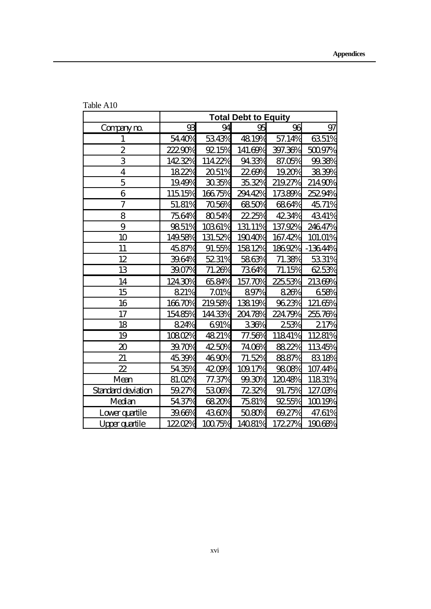|                            | <b>Total Debt to Equity</b> |         |         |         |          |
|----------------------------|-----------------------------|---------|---------|---------|----------|
| Companym                   | 93                          | 94      | 95      | 96      | 97       |
| $\mathbf{1}$               | 5440%                       | 5343%   | 4819%   | 57.14%  | 6351%    |
| $\boldsymbol{2}$           | 22290%                      | 9215%   | 141.69% | 397.36% | 50097%   |
| 3                          | 14232%                      | 11422%  | 9433%   | 87.05%  | 99.38%   |
| $\overline{4}$             | 1822%                       | 2051%   | 2269%   | 1920%   | 3839%    |
| 5                          | 1949%                       | 3035%   | 3532%   | 21927%  | 21490%   |
| 6                          | 11515%                      | 16675%  | 29442%  | 17389%  | 25294%   |
| $\overline{\mathcal{U}}$   | 51.81%                      | 7056%   | 6850%   | 6864%   | 4571%    |
| 8                          | 7564%                       | 8054%   | 22.25%  | 4234%   | 4341%    |
| 9                          | 9851%                       | 10361%  | 131.11% | 137.92% | 24647%   |
| 10                         | 14958%                      | 131.52% | 19040%  | 167.42% | 101.01%  |
| 11                         | 4587%                       | 91.55%  | 15812%  | 18692%  | $-1364%$ |
| 12                         | 3964%                       | 5231%   | 5863%   | 71.38%  | 5331%    |
| 13                         | 3907%                       | 71.26%  | 7364%   | 71.15%  | 6253%    |
| 14                         | 12430%                      | 6584%   | 157.70% | 22553%  | 21369%   |
| 15                         | 821%                        | 7.01%   | 897%    | 826%    | 658%     |
| 16                         | 16670%                      | 21958%  | 13819%  | 9623%   | 121.65%  |
| 17                         | 15485%                      | 14433%  | 20478%  | 22479%  | 25576%   |
| 18                         | 824%                        | 691%    | 336%    | 253%    | 21%      |
| 19                         | 10802%                      | 4821%   | 77.56%  | 11841%  | 11281%   |
| $\pmb{\mathfrak{D}}$       | 39.70%                      | 4250%   | 7406%   | 8822%   | 11345%   |
| 21                         | 4539%                       | 4690%   | 71.52%  | 8887%   | 8318%    |
| $\boldsymbol{\mathcal{Z}}$ | 5435%                       | 4200%   | 10917%  | 9808%   | 107.44%  |
| Mean                       | 81.02%                      | 77.37%  | 99.30%  | 12048%  | 11831%   |
| Standard deviation         | 5927%                       | 5306%   | 72.32%  | 91.75%  | 127.03%  |
| Median                     | 5437%                       | 6820%   | 7581%   | 9255%   | 10019%   |
| Lowerquartile              | 3966%                       | 4360%   | 5080%   | 69.27%  | 47.61%   |
| Upperquartile              | 12202%                      | 10075%  | 14081%  | 17227%  | 19068%   |

Table A10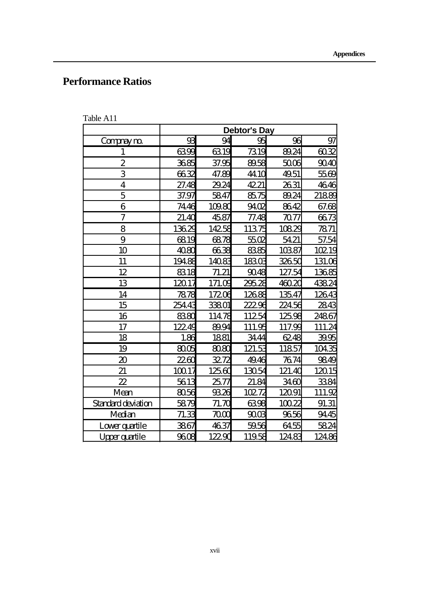## **Performance Ratios**

| Table A11 |
|-----------|
|-----------|

|                            | <b>Debtor's Day</b> |          |                  |        |        |  |  |
|----------------------------|---------------------|----------|------------------|--------|--------|--|--|
| Compaym                    | 93                  | 96       | 97               |        |        |  |  |
| $\mathbf{1}$               | 6399                | 6319     | 7319             | 8924   | 6032   |  |  |
| $\boldsymbol{2}$           | 3685                | 37.95    | 8958             | 5006   | 9040   |  |  |
| 3                          | 6632                | 47.89    | 441 <sub>C</sub> | 4951   | 5569   |  |  |
| $\overline{\mathbf{4}}$    | 27.48               | 2924     | 4221             | 2631   | 4646   |  |  |
| 5                          | 37.97               | 5847     | 8575             | 8924   | 21889  |  |  |
| 6                          | 7446                | 10980    | 9402             | 8642   | 67.68  |  |  |
| $\overline{7}$             | 21.40               | 4587     | 77.48            | 7077   | 6673   |  |  |
| 8                          | 13629               | 14258    | 11375            | 10829  | 7871   |  |  |
| 9                          | 6819                | 6878     | 5502             | 5421   | 57.54  |  |  |
| 10                         | 4080                | 6638     | 8385             | 10387  | 10219  |  |  |
| 11                         | 19485               | 14083    | 18303            | 32650  | 131.06 |  |  |
| 12                         | 8318                | 71.21    | 9048             | 127.54 | 13685  |  |  |
| 13                         | 12017               | 171.09   | 29528            | 46020  | 43824  |  |  |
| 14                         | 7878                | 17206    | 12685            | 13547  | 12643  |  |  |
| 15                         | 25443               | 33801    | 22296            | 22456  | 2843   |  |  |
| 16                         | 8380                | 11478    | 11254            | 12598  | 24867  |  |  |
| 17                         | 12249               | 8994     | 111.95           | 117.99 | 111.24 |  |  |
| 18                         | 1.86                | 1881     | 3444             | 6248   | 3995   |  |  |
| 19                         | 8005                | 8080     | 121.53           | 11857  | 10435  |  |  |
| $\boldsymbol{\mathcal{Z}}$ | 2260                | 3272     | 4946             | 7674   | 9849   |  |  |
| 21                         | 10017               | 12560    | 13054            | 121.40 | 12015  |  |  |
| 22                         | 5613                | 2577     | 21.84            | 3460   | 3384   |  |  |
| Mean                       | 8056                | 9326     | 10272            | 12091  | 111.92 |  |  |
| <b>Standard deviation</b>  | 5879                | 71.70    | 6398             | 10022  | 91.31  |  |  |
| Median                     | 71.33               | $\infty$ | 9003             | 9656   | 9445   |  |  |
| Loverguartile              | 3867                | 4637     | 5956             | 6455   | 5824   |  |  |
| <b>Upper quartile</b>      | 9608                | 12290    | 11958            | 12483  | 12486  |  |  |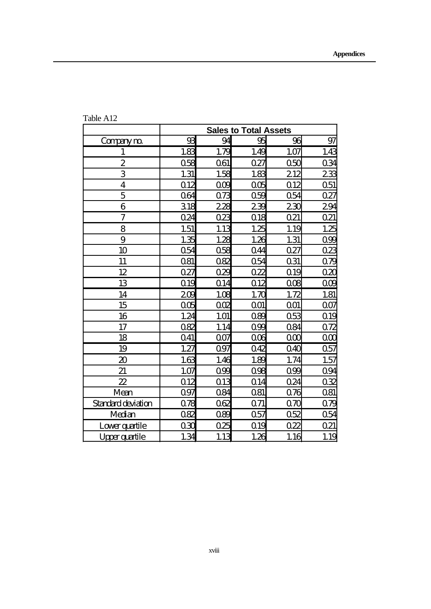|                             | <b>Sales to Total Assets</b> |                 |             |          |                  |  |  |
|-----------------------------|------------------------------|-----------------|-------------|----------|------------------|--|--|
| Companym                    | 93                           | 94              | 95          | 96       | 97               |  |  |
| $\mathbf{1}$                | 1.83                         | 1.79            | 1.49        | 1.07     | 1.4 <sup>c</sup> |  |  |
| $\overline{2}$              | 058                          | 061             | 027         | 050      | 034              |  |  |
| 3                           | 1.31                         | 1.58            | 1.83        | 212      | 233              |  |  |
| $\overline{\mathbf{4}}$     | Q12                          | OOB             | 005         | Q12      | 051              |  |  |
| 5                           | 064                          | 073             | O59         | 054      | 027              |  |  |
| 6                           | 318                          | 228             | 239         | 230      | <u> 294</u>      |  |  |
| 7                           | 024                          | 023             | $\Omega$ 18 | 021      | Q21              |  |  |
| 8                           | 1.51                         | 1.13            | 1.25        | 1.19     | 1.25             |  |  |
| 9                           | 1.35                         | 1.28            | 1.26        | 1.31     | 0 <sup>9</sup>   |  |  |
| 10                          | Q54                          | 058             | 044         | 027      | $\overline{023}$ |  |  |
| 11                          | 081                          | 082             | Q54         | 031      | 0 <sub>x</sub>   |  |  |
| 12                          | 027                          | 029             | 022         | Q19      | $\alpha$         |  |  |
| 13                          | Q <sub>19</sub>              | Q <sub>14</sub> | Q12         | 008      | 000              |  |  |
| 14                          | 209                          | 1.08            | 1.70        | 1.72     | 1.81             |  |  |
| 15                          | 005                          | OOR             | 001         | 001      | 007              |  |  |
| 16                          | 1.24                         | 1.01            | 089         | 053      | Q1 <sub>S</sub>  |  |  |
| 17                          | 082                          | 1.14            | O99         | Q84      | 072              |  |  |
| 18                          | Q41                          | 007             | 006         | $\Omega$ | $\alpha$         |  |  |
| 19                          | 1.27                         | 097             | 042         | 040      | 057              |  |  |
| $\boldsymbol{\mathfrak{D}}$ | 163                          | 1.46            | 1.89        | 1.74     | 1.57             |  |  |
| 21                          | 1.07                         | OQQ             | 098         | O39      | <b>Q94</b>       |  |  |
| $\boldsymbol{\mathcal{Z}}$  | Q <sub>12</sub>              | Q13             | Q14         | 024      | 032              |  |  |
| Mean                        | 097                          | <b>Q84</b>      | Q81         | 076      | 081              |  |  |
| <b>Standard deviation</b>   | 078                          | 062             | 071         | $\alpha$ | 0 <sub>x</sub>   |  |  |
| Median                      | 082                          | 089             | 057         | 052      | <u>054</u>       |  |  |
| Lowerquartile               | 030                          | 025             | Q19         | 022      | 021              |  |  |
| Upperquartile               | 1.34                         | 1.13            | 1.26        | 1.16     | 1.19             |  |  |

Table A12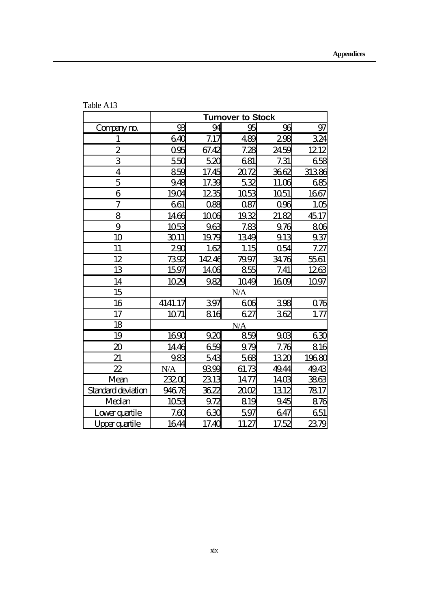|                             | <b>Turnover to Stock</b> |       |       |                 |            |  |
|-----------------------------|--------------------------|-------|-------|-----------------|------------|--|
| Companym                    | 93                       | 94    | 95    | 96              | 97         |  |
| $\mathbf{1}$                | 640                      | 7.17  | 489   | 298             | 324        |  |
| $\boldsymbol{2}$            | 095                      | 67.42 | 7.28  | 2459            | 1212       |  |
| 3                           | 550                      | 520   | 681   | 7.31            | 658        |  |
| $\overline{\mathbf{4}}$     | 859                      | 17.45 | 2072  | 3662            | 31386      |  |
| 5                           | 948                      | 17.39 | 532   | 11.06           | 685        |  |
| 6                           | 1904                     | 1235  | 1053  | 1051            | 1667       |  |
| $\overline{\mathbf{7}}$     | 661                      | 088   | 087   | 096             | 1.05       |  |
| 8                           | 1466                     | 1006  | 1932  | 21.82           | 4517       |  |
| 9                           | 1053                     | 963   | 7.83  | 976             | <b>806</b> |  |
| 10                          | 3011                     | 1979  | 1349  | 913             | 937        |  |
| 11                          | 290                      | 162   | 1.15  | 054             | 7.27       |  |
| 12                          | 7392                     | 14246 | 7997  | 3476            | 5561       |  |
| 13                          | 1597                     | 1406  | 855   | 7.41            | 1263       |  |
| 14                          | 1029                     | 982   | 1049  | 1609            | 1097       |  |
| 15                          |                          |       | N/A   |                 |            |  |
| 16                          | 4141.17                  | 397   | 608   | 398             | 076        |  |
| 17                          | 1071                     | 816   | 627   | 362             | 1.77       |  |
| 18                          |                          |       | N/A   |                 |            |  |
| 19                          | 1690                     | 920   | 859   | 90 <sup>8</sup> | 63C        |  |
| $\boldsymbol{\mathfrak{D}}$ | 1446                     | 659   | 979   | 7.76            | 816        |  |
| 21                          | 983                      | 543   | 568   | 1320            | 19680      |  |
| $\boldsymbol{\mathcal{Z}}$  | N/A                      | 9399  | 61.73 | 4944            | 4943       |  |
| Mean                        | 23200                    | 2313  | 1477  | 1403            | 3863       |  |
| Standard deviation          | 94678                    | 3622  | 2002  | 1312            | 7817       |  |
| Median                      | 1053                     | 972   | 819   | 945             | 876        |  |
| Lowerquartile               | 760                      | 630   | 597   | 647             | 651        |  |
| Upperquartile               | 1644                     | 17.40 | 11.27 | 17.52           | 2379       |  |

Table A13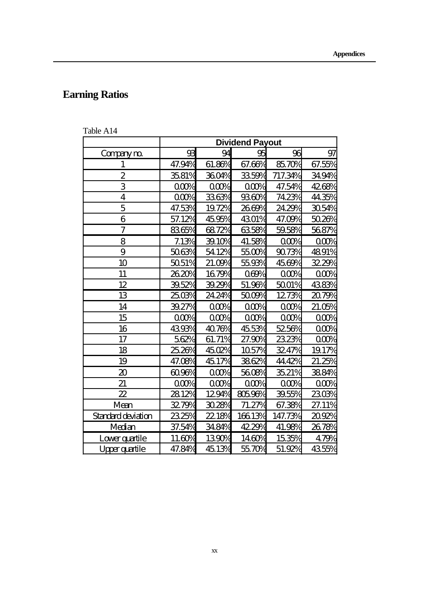# **Earning Ratios**

| Table A14 |  |  |  |  |
|-----------|--|--|--|--|
|-----------|--|--|--|--|

|                             | <b>Dividend Payout</b> |        |          |         |        |  |
|-----------------------------|------------------------|--------|----------|---------|--------|--|
| Company m                   | $\mathfrak{B}$         | 94     | 96       | 97      |        |  |
| 1                           | 47.94%                 | 61.86% | 67.66%   | 8570%   | 67.55% |  |
| $\overline{\mathcal{Z}}$    | 3581%                  | 3604%  | 3359%    | 717.34% | 3494%  |  |
| 3                           | 000%                   | 000%   | 000%     | 47.54%  | 4268%  |  |
| $\overline{\mathbf{4}}$     | 000%                   | 3363%  | 9360%    | 7423%   | 44.35% |  |
| 5                           | 47.53%                 | 1972%  | 2669%    | 2429%   | 3054%  |  |
| 6                           | 57.12%                 | 4595%  | 4301%    | 47.09%  | 5026%  |  |
| 7                           | 8365%                  | 6872%  | 6358%    | 5958%   | 5687%  |  |
| 8                           | 7.13%                  | 39.10% | 41.58%   | 000%    | 000%   |  |
| 9                           | 5063%                  | 5412%  | 5500%    | 9073%   | 4891%  |  |
| 10                          | 5051%                  | 21.00% | 5593%    | 4569%   | 32.29% |  |
| 11                          | 2620%                  | 1679%  | 069%     | 000%    | 000%   |  |
| 12                          | 3952%                  | 3929%  | 51.96%   | 5001%   | 4383%  |  |
| 13                          | 2503%                  | 24.24% | 5009%    | 1273%   | 2079%  |  |
| 14                          | 39.27%                 | 000%   | 000%     | 000%    | 21.05% |  |
| 15                          | 000%                   | 000%   | 000%     | 000%    | 000%   |  |
| 16                          | 4393%                  | 4076%  | 4553%    | 5256%   | 000%   |  |
| 17                          | 562%                   | 61.71% | 27.90%   | 2323%   | 000%   |  |
| 18                          | 25.26%                 | 4502%  | 1057%    | 3247%   | 1917%  |  |
| 19                          | 47.08%                 | 4517%  | 3862%    | 44.42%  | 21.25% |  |
| $\boldsymbol{\mathfrak{D}}$ | 6096%                  | 000%   | 5608%    | 3521%   | 3884%  |  |
| 21                          | 00%                    | 000%   | 000%     | 000%    | 000%   |  |
| $\mathbf{z}$                | 2812%                  | 1294%  | $8059\%$ | 3955%   | 2303%  |  |
| Mean                        | 3279%                  | 3028%  | 71.27%   | 67.38%  | 27.11% |  |
| Standard deviation          | 2325%                  | 22.18% | 16613%   | 147.73% | 2092%  |  |
| Median                      | 37.54%                 | 3484%  | 422%     | 41.98%  | 2678%  |  |
| Loverguartile               | 11.60%                 | 1390%  | 1460%    | 1535%   | 479%   |  |
| Upperquartile               | 47.84%                 | 4513%  | 5570%    | 51.92%  | 4355%  |  |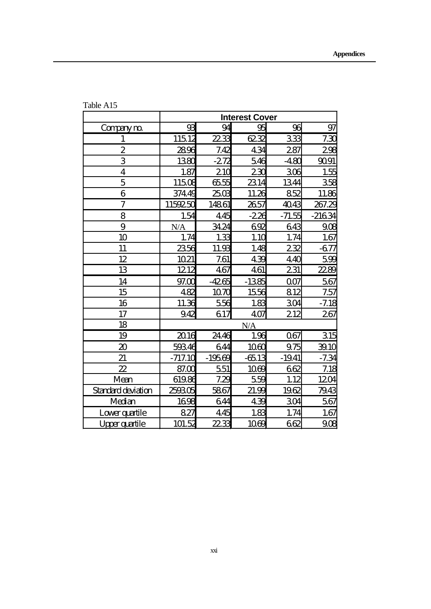|                             | <b>Interest Cover</b> |          |                  |          |                 |  |
|-----------------------------|-----------------------|----------|------------------|----------|-----------------|--|
| Companym                    | $\mathfrak{B}$        | 94       | 95               | 96       | 97              |  |
| $\mathbf{1}$                | 11512                 | 2233     | 6232             | 333      | 7.3C            |  |
| $\overline{2}$              | 2896                  | 7.42     | 434              | 287      | 298             |  |
| 3                           | 1380                  | $-272$   | 546              | $-480$   | 9091            |  |
| $\overline{4}$              | 1.87                  | 210      | 230              | 306      | 1.55            |  |
| 5                           | 11508                 | 6555     | 2314             | 1344     | 358             |  |
| 6                           | 37449                 | 2503     | 11.26            | 852      | 11.86           |  |
| 7                           | 1159250               | 14861    | 2657             | 4043     | 267.29          |  |
| 8                           | 1.54                  | 445      | $-226$           | $-71.55$ | $-21634$        |  |
| 9                           | N/A                   | 3424     | 692              | 643      | 90 <sup>2</sup> |  |
| 10                          | 1.74                  | 1.33     | 1.1 <sub>C</sub> | 1.74     | 1.67            |  |
| 11                          | 2356                  | 11.93    | 1.48             | 232      | $-677$          |  |
| 12                          | 1021                  | 761      | 439              | 440      | 599             |  |
| 13                          | 1212                  | 467      | 461              | 231      | <u>2289</u>     |  |
| 14                          | 97.00                 | $-4265$  | $-1385$          | 007      | 567             |  |
| 15                          | 482                   | 1070     | 1556             | 812      | 7.57            |  |
| 16                          | 11.36                 | 556      | 1.83             | 304      | $-7.18$         |  |
| 17                          | 942                   | 617      | 407              | 212      | 267             |  |
| 18                          |                       |          | N/A              |          |                 |  |
| 19                          | 2016                  | 2446     | 1.96             | 067      | <u>315</u>      |  |
| $\boldsymbol{\mathfrak{D}}$ | 59346                 | 644      | 10 <sup>6</sup>  | 975      | 3910            |  |
| 21                          | $-717.10$             | $-19569$ | $-6513$          | $-1941$  | $-7.34$         |  |
| $\boldsymbol{\mathcal{Z}}$  | 87.00                 | 551      | 1069             | 662      | 7.18            |  |
| Mean                        | 61986                 | 7.29     | 559              | 1.12     | 1204            |  |
| Standard deviation          | 250305                | 5867     | 21.99            | 1962     | 7943            |  |
| Median                      | 1698                  | 644      | 439              | 304      | 567             |  |
| Lowerquartile               | 827                   | 445      | 1.83             | 1.74     | 1.67            |  |
| <b>Upper quartile</b>       | 101.52                | 2233     | 1069             | 662      | 90 <sup>2</sup> |  |

Table A15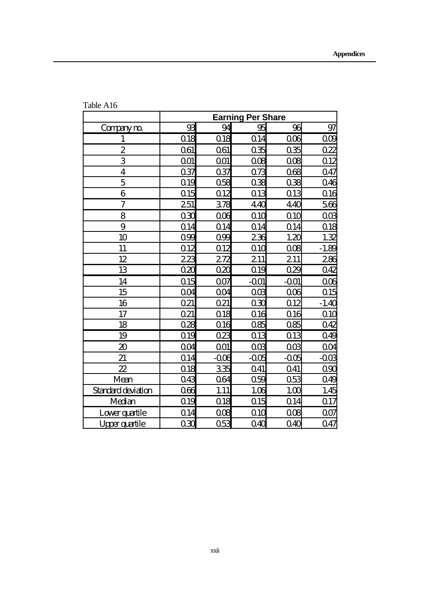|                             | <b>Earning Per Share</b> |                  |                 |                 |                |  |
|-----------------------------|--------------------------|------------------|-----------------|-----------------|----------------|--|
| Compaym                     | 93                       | 94               | 95              | 96              | 97             |  |
| $\mathbf{1}$                | Q18                      | $\overline{018}$ | Q14             | 006             | 000            |  |
| $\boldsymbol{2}$            | 061                      | O61              | 035             | 035             | 022            |  |
| 3                           | 001                      | 001              | 008             | 008             | Q12            |  |
| $\overline{\mathbf{4}}$     | 037                      | 037              | 073             | 068             | 047            |  |
| 5                           | Q19                      | 058              | 038             | 038             | 046            |  |
| 6                           | Q15                      | Q12              | 013             | Q <sub>13</sub> | <u>016</u>     |  |
| 7                           | 251                      | 378              | 440             | 440             | 566            |  |
| 8                           | 030                      | 006              | Q1 <sub>G</sub> | 010             | OOB            |  |
| 9                           | Q <sub>14</sub>          | Q14              | Q14             | Q14             | $\Omega$ 18    |  |
| 10                          | O99                      | O39              | 236             | 1.20            | 1.32           |  |
| 11                          | 012                      | Q12              | Q1C             | 008             | $-1.89$        |  |
| 12                          | 223                      | 272              | 211             | 211             | <u>286</u>     |  |
| 13                          | $\alpha$                 | $\alpha x$       | 019             | 029             | 042            |  |
| 14                          | 015                      | 007              | $-001$          | $-001$          | 006            |  |
| 15                          | 0 <sub>O</sub> 4         | OO4              | OOB             | 006             | 015            |  |
| 16                          | 021                      | O21              | 030             | Q12             | $-1.40$        |  |
| 17                          | 021                      | Q18              | Q16             | 016             | 010            |  |
| 18                          | 028                      | Q <sub>16</sub>  | 085             | 085             | 042            |  |
| 19                          | 019                      | 023              | Q <sub>13</sub> | 013             | 049            |  |
| $\boldsymbol{\mathfrak{D}}$ | OO4                      | 001              | OOB             | OOB             | 004            |  |
| 21                          | Q14                      | $-006$           | $-005$          | $-005$          | $-003$         |  |
| $\boldsymbol{\mathcal{Z}}$  | 018                      | 335              | 041             | Q41             | 0 <sup>9</sup> |  |
| Mean                        | 043                      | <b>Q64</b>       | 059             | 053             | 049            |  |
| <b>Standard deviation</b>   | 066                      | 1.11             | 1.06            | 100             | 1.45           |  |
| Median                      | Q <sub>19</sub>          | 018              | 015             | Q14             | <u>017</u>     |  |
| Lowerquartile               | Q <sub>14</sub>          | 008              | Q1Q             | 008             | 007            |  |
| Upperquartile               | 030                      | 053              | $Q_4Q$          | 040             | 047            |  |

Table A16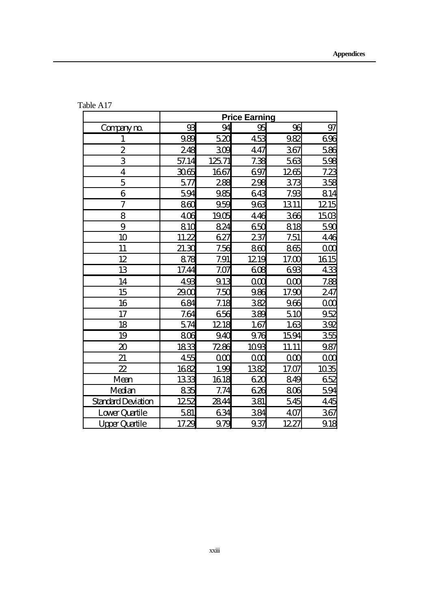|                             | <b>Price Earning</b> |       |          |       |                  |  |
|-----------------------------|----------------------|-------|----------|-------|------------------|--|
| Compaym                     | 93                   | 94    | 95       | 96    | 97               |  |
| $\mathbf{1}$                | 989                  | 520   | 453      | 982   | 696              |  |
| $\boldsymbol{2}$            | 248                  | 309   | 447      | 367   | 58               |  |
| 3                           | 57.14                | 12571 | 7.38     | 563   | 59               |  |
| $\overline{\mathbf{4}}$     | 3065                 | 1667  | 697      | 1265  | <u>7.23</u>      |  |
| 5                           | 577                  | 288   | 298      | 373   | 355              |  |
| 6                           | 594                  | 985   | 643      | 7.93  | 814              |  |
| 7                           | 8 <sup>0</sup>       | 959   | 963      | 1311  | 1215             |  |
| 8                           | 406                  | 1905  | 446      | 366   | 150 <sup>°</sup> |  |
| 9                           | 810                  | 824   | 650      | 818   | 59               |  |
| 10                          | 11.22                | 627   | 237      | 7.51  | 446              |  |
| 11                          | 21.30                | 7.56  | 860      | 865   | $\alpha$         |  |
| 12                          | 878                  | 7.91  | 1219     | 1700  | 1615             |  |
| 13                          | 17.44                | 7.07  | 608      | 693   | 43 <sup>°</sup>  |  |
| 14                          | 493                  | 913   | $\alpha$ | 000   | 785              |  |
| 15                          | 2900                 | 7.50  | 986      | 17.90 | 247              |  |
| 16                          | 684                  | 7.18  | 382      | 966   | $\alpha$         |  |
| 17                          | 7.64                 | 656   | 389      | 510   | 952              |  |
| 18                          | 574                  | 1218  | 1.67     | 1.63  | 392              |  |
| 19                          | 806                  | 940   | 976      | 1594  | <u>356</u>       |  |
| $\boldsymbol{\mathfrak{D}}$ | 1833                 | 7286  | 1093     | 11.11 | 987              |  |
| 21                          | 455                  | 000   | $\alpha$ | 000   | $\alpha$         |  |
| $\overline{\mathcal{Z}}$    | 1682                 | 1.99  | 1382     | 17.07 | 1035             |  |
| Mean                        | 1333                 | 1618  | 620      | 849   | 652              |  |
| Median                      | 835                  | 7.74  | 626      | 806   | 594              |  |
| Standard Deviation          | 1252                 | 2844  | 381      | 545   | 445              |  |
| Lower Quartile              | 581                  | 634   | 384      | 407   | 367              |  |
| <b>Upper Quartile</b>       | 17.29                | 979   | 937      | 1227  | 918              |  |

| Table A17 |  |  |
|-----------|--|--|
|-----------|--|--|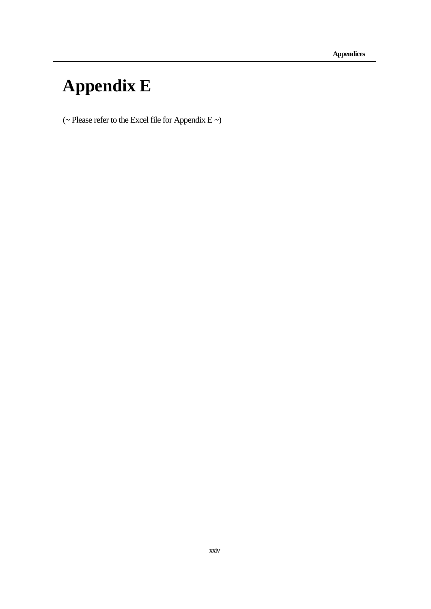# **Appendix E**

(~ Please refer to the Excel file for Appendix E ~)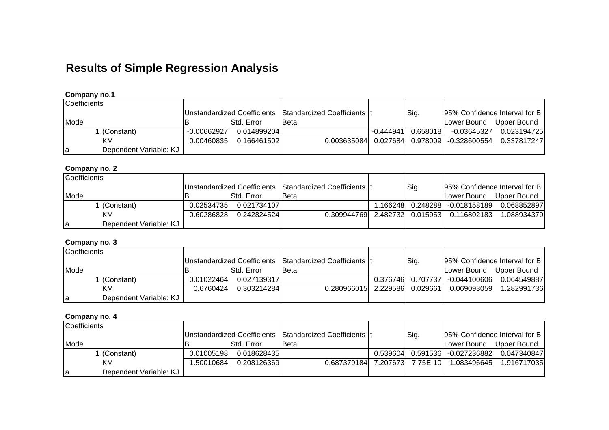# **Results of Simple Regression Analysis**

| Coefficients                 |             |              |                                                          |             |          |                                                  |                                |
|------------------------------|-------------|--------------|----------------------------------------------------------|-------------|----------|--------------------------------------------------|--------------------------------|
|                              |             |              | Unstandardized Coefficients Standardized Coefficients It |             | Sig.     |                                                  | 195% Confidence Interval for B |
| Model                        |             | Std. Error   | <b>I</b> Beta                                            |             |          | Lower Bound                                      | Upper Bound                    |
| (Constant)                   | -0.00662927 | 0.014899204  |                                                          | $-0.444941$ | 0.658018 | -0.03645327                                      | 0.023194725                    |
| KМ                           | 0.00460835  | 0.166461502L |                                                          |             |          | 0.003635084   0.027684   0.978009   -0.328600554 | 0.337817247                    |
| Dependent Variable: KJ<br>la |             |              |                                                          |             |          |                                                  |                                |

#### **Company no.1**

### **Company no. 2**

| Coefficients                 |            |              |                                                          |      |                                 |                               |
|------------------------------|------------|--------------|----------------------------------------------------------|------|---------------------------------|-------------------------------|
|                              |            |              | Unstandardized Coefficients Standardized Coefficients It | Sig. |                                 | 95% Confidence Interval for B |
| Model                        |            | Std. Error   | <b>I</b> Beta                                            |      | ILower Bound                    | Upper Bound                   |
| I (Constant)                 | 0.02534735 | 0.0217341071 |                                                          |      | .166248  0.248288  -0.018158189 | 0.068852897                   |
| KМ                           | 0.60286828 | 0.242824524  | 0.309944769 2.482732 0.015953                            |      | 0.116802183                     | 1.0889343791                  |
| Dependent Variable: KJ<br>la |            |              |                                                          |      |                                 |                               |

## **Company no. 3**

| Coefficients                 |                                                          |              |                               |      |                                    |              |
|------------------------------|----------------------------------------------------------|--------------|-------------------------------|------|------------------------------------|--------------|
|                              | Unstandardized Coefficients Standardized Coefficients It |              |                               | Sig. | 95% Confidence Interval for B      |              |
| Model                        |                                                          | Std. Error   | <b>IBeta</b>                  |      | ILower Bound                       | Upper Bound  |
| . (Constant)                 | 0.01022464                                               | 0.0271393171 |                               |      | 0.376746   0.707737   -0.044100606 | 0.064549887  |
| KM                           | 0.6760424                                                | 0.3032142841 | 0.280966015 2.229586 0.029661 |      | 0.069093059                        | 1.2829917361 |
| Dependent Variable: KJ<br>ıa |                                                          |              |                               |      |                                    |              |

### **Company no. 4**

| Coefficients                 |                                                          |              |                               |          |      |                                  |              |
|------------------------------|----------------------------------------------------------|--------------|-------------------------------|----------|------|----------------------------------|--------------|
|                              | Unstandardized Coefficients Standardized Coefficients It |              |                               |          | Sig. | [95% Confidence Interval for B ] |              |
| Model                        |                                                          | Std. Error   | Beta                          |          |      | Lower Bound                      | Upper Bound  |
| (Constant)                   | 0.01005198                                               | 0.0186284351 |                               | 0.539604 |      | 0.591536 -0.027236882            | 0.0473408471 |
| KM                           | 1.50010684                                               | 0.2081263691 | 0.687379184 7.207673 7.75E-10 |          |      | 1.083496645                      | 1.9167170351 |
| Dependent Variable: KJ<br>ıa |                                                          |              |                               |          |      |                                  |              |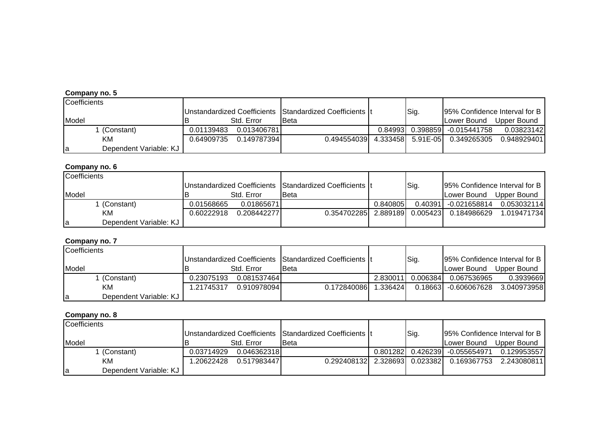| Coefficients                 |            |             |                                                          |         |      |                                           |                               |
|------------------------------|------------|-------------|----------------------------------------------------------|---------|------|-------------------------------------------|-------------------------------|
|                              |            |             | Unstandardized Coefficients Standardized Coefficients It |         | Sig. |                                           | 95% Confidence Interval for B |
| Model                        |            | Std. Error  | <b>Beta</b>                                              |         |      | Lower Bound                               | Upper Bound                   |
| (Constant)                   | 0.01139483 | 0.013406781 |                                                          | 0.84993 |      | 0.398859  -0.015441758                    | 0.03823142                    |
| KM                           | 0.64909735 | 0.149787394 |                                                          |         |      | 0.494554039 4.333458 5.91E-05 0.349265305 | 0.948929401                   |
| Dependent Variable: KJ<br>ıa |            |             |                                                          |         |      |                                           |                               |

#### **Company no. 6**

| <b>Coefficients</b>          |            |              |                                                          |          |          |              |                               |
|------------------------------|------------|--------------|----------------------------------------------------------|----------|----------|--------------|-------------------------------|
|                              |            |              | Unstandardized Coefficients Standardized Coefficients It |          | Sig.     |              | 95% Confidence Interval for B |
| Model                        |            | Std. Error   | <b>Beta</b>                                              |          |          | ILower Bound | Upper Bound                   |
| l (Constant)                 | 0.01568665 | 0.01865671   |                                                          | 0.840805 | 0.40391  | -0.021658814 | 0.053032114                   |
| KM.                          | 0.60222918 | 0.2084422771 | 0.354702285 2.889189                                     |          | 0.005423 | 0.184986629  | 1.019471734                   |
| Dependent Variable: KJ<br>la |            |              |                                                          |          |          |              |                               |

#### **Company no. 7**

| <b>Coefficients</b>          |            |              |                                                          |          |          |                       |                               |
|------------------------------|------------|--------------|----------------------------------------------------------|----------|----------|-----------------------|-------------------------------|
|                              |            |              | Unstandardized Coefficients Standardized Coefficients It |          | Sig.     |                       | 95% Confidence Interval for B |
| Model                        |            | Std. Error   | <b>Beta</b>                                              |          |          | Lower Bound           | Upper Bound                   |
| (Constant)                   | 0.23075193 | 0.081537464  |                                                          | 2.830011 | 0.006384 | 0.067536965           | 0.3939669                     |
| ΚM                           | 1.21745317 | 0.9109780941 | 0.172840086                                              | 1.336424 |          | 0.18663 - 0.606067628 | 3.040973958                   |
| Dependent Variable: KJ<br>la |            |              |                                                          |          |          |                       |                               |

| Coefficients                 |            |              |                                                          |      |                                |             |
|------------------------------|------------|--------------|----------------------------------------------------------|------|--------------------------------|-------------|
|                              |            |              | Unstandardized Coefficients Standardized Coefficients It | Sig. | 95% Confidence Interval for B  |             |
| <b>Model</b>                 |            | Std. Error   | Beta                                                     |      | Lower Bound                    | Upper Bound |
| l (Constant)                 | 0.03714929 | 0.046362318  |                                                          |      | 0.801282 0.426239 -0.055654971 | 0.129953557 |
| KМ                           | .20622428  | 0.5179834471 | 0.292408132 2.328693 0.023382                            |      | 0.169367753                    | 2.243080811 |
| Dependent Variable: KJ<br>la |            |              |                                                          |      |                                |             |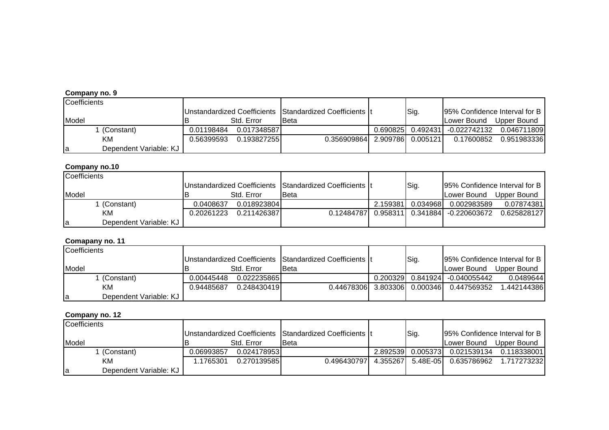| Coefficients |                        |            |              |                                                          |      |                                  |             |
|--------------|------------------------|------------|--------------|----------------------------------------------------------|------|----------------------------------|-------------|
|              |                        |            |              | Unstandardized Coefficients Standardized Coefficients It | Sig. | 95% Confidence Interval for B    |             |
| Model        |                        |            | Std. Error   | <b>Beta</b>                                              |      | ILower Bound                     | Upper Bound |
|              | 1 (Constant)           | 0.01198484 | 0.0173485871 |                                                          |      | 0.690825  0.492431  -0.022742132 | 0.046711809 |
|              | KМ                     | 0.56399593 | 0.193827255  | 0.356909864 2.909786 0.005121                            |      | 0.17600852                       | 0.951983336 |
| la           | Dependent Variable: KJ |            |              |                                                          |      |                                  |             |

#### **Company no.10**

| <b>Coefficients</b>          |            |             |                                                          |          |          |                               |             |
|------------------------------|------------|-------------|----------------------------------------------------------|----------|----------|-------------------------------|-------------|
|                              |            |             | Unstandardized Coefficients Standardized Coefficients It |          | Sig.     | 95% Confidence Interval for B |             |
| Model                        |            | Std. Error  | <b>Beta</b>                                              |          |          | ILower Bound                  | Upper Bound |
| (Constant)                   | 0.0408637  | 0.018923804 |                                                          | 2.159381 | 0.034968 | 0.002983589                   | 0.07874381  |
| KM                           | 0.20261223 | 0.211426387 | 0.12484787                                               | 0.958311 |          | 0.341884 -0.220603672         | 0.625828127 |
| Dependent Variable: KJ<br>la |            |             |                                                          |          |          |                               |             |

#### **Comapany no. 11**

| <b>Coefficients</b>          |            |              |                                                          |      |                                |                               |
|------------------------------|------------|--------------|----------------------------------------------------------|------|--------------------------------|-------------------------------|
|                              |            |              | Unstandardized Coefficients Standardized Coefficients It | Sig. |                                | 95% Confidence Interval for B |
| Model                        |            | Std. Error   | <b>Beta</b>                                              |      | Lower Bound                    | Upper Bound                   |
| ∣ (Constant)                 | 0.00445448 | 0.0222358651 |                                                          |      | 0.200329 0.841924 -0.040055442 | 0.0489644                     |
| KМ                           | 0.94485687 | 0.248430419  | 0.44678306 3.803306 0.000346                             |      | 0.447569352                    | 1.442144386                   |
| Dependent Variable: KJ<br>la |            |              |                                                          |      |                                |                               |

| Coefficients                 |            |              |                                                          |          |           |             |                               |
|------------------------------|------------|--------------|----------------------------------------------------------|----------|-----------|-------------|-------------------------------|
|                              |            |              | Unstandardized Coefficients Standardized Coefficients It |          | Sig.      |             | 95% Confidence Interval for B |
| Model                        |            | Std. Error   | <b>I</b> Beta                                            |          |           | Lower Bound | Upper Bound                   |
| 1 (Constant)                 | 0.06993857 | 0.024178953  |                                                          | 2.892539 | 0.0053731 | 0.021539134 | 0.1183380011                  |
| KМ                           | 1.1765301  | 0.2701395851 | 0.4964307971                                             | 4.355267 | 5.48E-05  | 0.635786962 | 1.7172732321                  |
| Dependent Variable: KJ<br>la |            |              |                                                          |          |           |             |                               |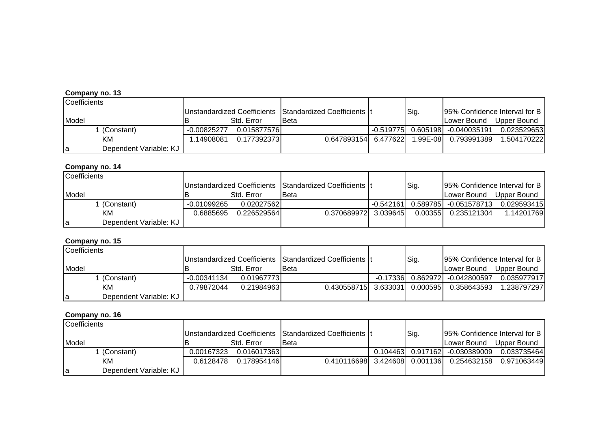| Coefficients                 |               |              |                                                          |          |                                   |             |
|------------------------------|---------------|--------------|----------------------------------------------------------|----------|-----------------------------------|-------------|
|                              |               |              | Unstandardized Coefficients Standardized Coefficients It | Sig.     | 95% Confidence Interval for B     |             |
| Model                        |               | Std. Error   | <b>I</b> Beta                                            |          | Lower Bound                       | Upper Bound |
| (Constant)                   | $-0.00825277$ | 0.0158775761 |                                                          |          | -0.519775  0.605198  -0.040035191 | 0.023529653 |
| KM                           | .14908081     | 0.1773923731 | 0.647893154 6.477622                                     | 1.99E-08 | 0.793991389                       | 1.504170222 |
| Dependent Variable: KJ<br>la |               |              |                                                          |          |                                   |             |

#### **Company no. 14**

| Coefficients                 |             |             |                                                          |             |         |                       |                               |
|------------------------------|-------------|-------------|----------------------------------------------------------|-------------|---------|-----------------------|-------------------------------|
|                              |             |             | Unstandardized Coefficients Standardized Coefficients It |             | Sig.    |                       | 95% Confidence Interval for B |
| Model                        |             | Std. Error  | <b>I</b> Beta                                            |             |         | ILower Bound          | Upper Bound                   |
| l (Constant)                 | -0.01099265 | 0.02027562  |                                                          | $-0.542161$ |         | 0.589785 -0.051578713 | 0.029593415                   |
| KM                           | 0.6885695   | 0.226529564 | 0.370689972 3.039645                                     |             | 0.00355 | 0.235121304           | 1.14201769                    |
| Dependent Variable: KJ<br>la |             |             |                                                          |             |         |                       |                               |

#### **Company no. 15**

| <b>Coefficients</b>          |             |             |                                                          |      |                                |                               |
|------------------------------|-------------|-------------|----------------------------------------------------------|------|--------------------------------|-------------------------------|
|                              |             |             | Unstandardized Coefficients Standardized Coefficients It | Sig. |                                | 95% Confidence Interval for B |
| Model                        |             | Std. Error  | <b>Beta</b>                                              |      | Lower Bound                    | Upper Bound                   |
| ∣ (Constant)                 | -0.00341134 | 0.019677731 |                                                          |      | -0.17336 0.862972 -0.042800597 | 0.035977917                   |
| KМ                           | 0.79872044  | 0.21984963  | 0.430558715 3.633031 0.000595                            |      | 0.358643593                    | 1.238797297                   |
| Dependent Variable: KJ<br>la |             |             |                                                          |      |                                |                               |

| Coefficients                 |            |              |                                                          |      |                                  |                               |
|------------------------------|------------|--------------|----------------------------------------------------------|------|----------------------------------|-------------------------------|
|                              |            |              | Unstandardized Coefficients Standardized Coefficients It | Sig. |                                  | 95% Confidence Interval for B |
| Model                        |            | Std. Error   | <b>I</b> Beta                                            |      | Lower Bound                      | Upper Bound                   |
| 1 (Constant)                 | 0.00167323 | 0.016017363  |                                                          |      | 0.104463  0.917162  -0.030389009 | 0.033735464                   |
| KМ                           | 0.6128478  | 0.1789541461 | 0.410116698 3.424608 0.001136                            |      | 0.254632158                      | 0.9710634491                  |
| Dependent Variable: KJ<br>la |            |              |                                                          |      |                                  |                               |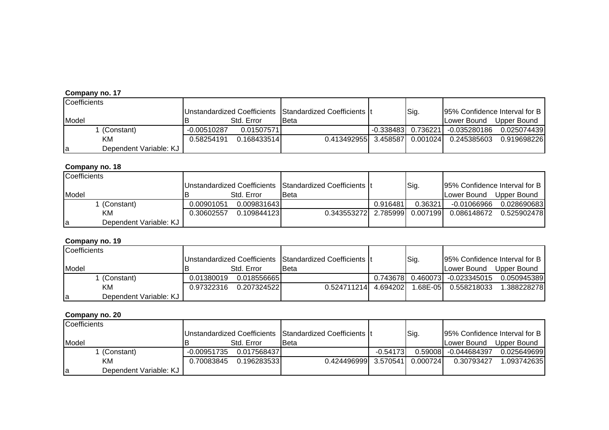| Coefficients                 |               |              |                                                          |      |                                   |             |
|------------------------------|---------------|--------------|----------------------------------------------------------|------|-----------------------------------|-------------|
|                              |               |              | Unstandardized Coefficients Standardized Coefficients It | Sig. | 95% Confidence Interval for B     |             |
| Model                        |               | Std. Error   | Beta                                                     |      | Lower Bound                       | Upper Bound |
| (Constant)                   | $-0.00510287$ | 0.01507571   |                                                          |      | -0.338483  0.736221  -0.035280186 | 0.025074439 |
| ΚM                           | 0.58254191    | 0.1684335141 | 0.413492955 3.458587 0.001024                            |      | 0.245385603                       | 0.919698226 |
| Dependent Variable: KJ<br>la |               |              |                                                          |      |                                   |             |

#### **Company no. 18**

| Coefficients                 |            |             |                                                          |          |         |             |                                |
|------------------------------|------------|-------------|----------------------------------------------------------|----------|---------|-------------|--------------------------------|
|                              |            |             | Unstandardized Coefficients Standardized Coefficients It |          | Sig.    |             | 195% Confidence Interval for B |
| Model                        |            | Std. Error  | <b>Beta</b>                                              |          |         | Lower Bound | Upper Bound                    |
| (Constant)                   | 0.00901051 | 0.009831643 |                                                          | 0.916481 | 0.36321 | -0.01066966 | 0.028690683                    |
| KM.                          | 0.30602557 | 0.109844123 | 0.343553272 2.785999 0.007199                            |          |         | 0.086148672 | 0.5259024781                   |
| Dependent Variable: KJ<br>la |            |             |                                                          |          |         |             |                                |

#### **Company no. 19**

| <b>Coefficients</b>          |            |              |                                                          |           |              |                        |                               |
|------------------------------|------------|--------------|----------------------------------------------------------|-----------|--------------|------------------------|-------------------------------|
|                              |            |              | Unstandardized Coefficients Standardized Coefficients It |           | Sig.         |                        | 95% Confidence Interval for B |
| Model                        |            | Std. Error   | <b>Beta</b>                                              |           |              | Lower Bound            | Upper Bound                   |
| l (Constant)                 | 0.01380019 | 0.0185566651 |                                                          | 0.7436781 |              | 0.460073  -0.023345015 | 0.0509453891                  |
| KM.                          | 0.97322316 | 0.207324522  | 0.524711214 4.694202                                     |           | $1.68E - 05$ | 0.558218033            | 1.3882282781                  |
| Dependent Variable: KJ<br>la |            |              |                                                          |           |              |                        |                               |

| Coefficients                 |             |              |                                                          |            |           |                      |                               |
|------------------------------|-------------|--------------|----------------------------------------------------------|------------|-----------|----------------------|-------------------------------|
|                              |             |              | Unstandardized Coefficients Standardized Coefficients It |            | Sig.      |                      | 95% Confidence Interval for B |
| Model                        |             | Std. Error   | <b>I</b> Beta                                            |            |           | Lower Bound          | Upper Bound                   |
| (Constant)                   | -0.00951735 | 0.0175684371 |                                                          | $-0.54173$ |           | 0.59008 -0.044684397 | 0.0256496991                  |
| KM                           | 0.70083845  | 0.1962835331 | 0.424496999 3.570541                                     |            | 0.0007241 | 0.30793427           | 1.0937426351                  |
| Dependent Variable: KJ<br>la |             |              |                                                          |            |           |                      |                               |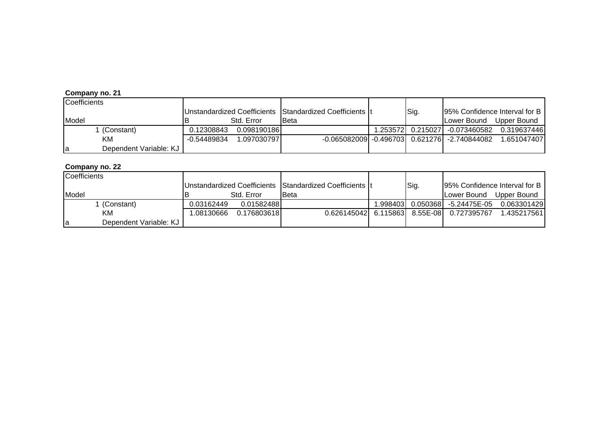| Coefficients                 |             |              |                                                          |      |                                                |             |
|------------------------------|-------------|--------------|----------------------------------------------------------|------|------------------------------------------------|-------------|
|                              |             |              | Unstandardized Coefficients Standardized Coefficients It | Sig. | 95% Confidence Interval for B                  |             |
| Model                        |             | Std. Error   | <b>Beta</b>                                              |      | Lower Bound                                    | Upper Bound |
| 1 (Constant)                 | 0.12308843  | 0.098190186  |                                                          |      | 1.253572  0.215027  -0.073460582               | 0.319637446 |
| KМ                           | -0.54489834 | 1.0970307971 |                                                          |      | -0.065082009 -0.496703  0.621276  -2.740844082 | 1.651047407 |
| Dependent Variable: KJ<br>la |             |              |                                                          |      |                                                |             |

| Coefficients                 |            |             |                                                          |         |      |                                           |                               |
|------------------------------|------------|-------------|----------------------------------------------------------|---------|------|-------------------------------------------|-------------------------------|
|                              |            |             | Unstandardized Coefficients Standardized Coefficients It |         | Sig. |                                           | 95% Confidence Interval for B |
| Model                        |            | Std. Error  | <b>I</b> Beta                                            |         |      | ILower Bound                              | Upper Bound                   |
| . (Constant)                 | 0.03162449 | 0.01582488  |                                                          | .998403 |      | 0.050368 -5.24475E-05                     | 0.063301429                   |
| KM                           | 1.08130666 | 0.176803618 |                                                          |         |      | 0.626145042 6.115863 8.55E-08 0.727395767 | 1.435217561                   |
| Dependent Variable: KJ<br>la |            |             |                                                          |         |      |                                           |                               |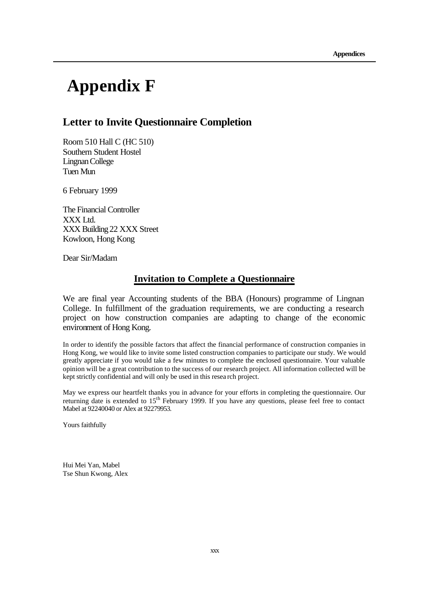# **Appendix F**

#### **Letter to Invite Questionnaire Completion**

Room 510 Hall C (HC 510) Southern Student Hostel Lingnan College Tuen Mun

6 February 1999

The Financial Controller XXX Ltd. XXX Building22 XXX Street Kowloon, Hong Kong

Dear Sir/Madam

#### **Invitation to Complete a Questionnaire**

We are final year Accounting students of the BBA (Honours) programme of Lingnan College. In fulfillment of the graduation requirements, we are conducting a research project on how construction companies are adapting to change of the economic environment of Hong Kong.

In order to identify the possible factors that affect the financial performance of construction companies in Hong Kong, we would like to invite some listed construction companies to participate our study. We would greatly appreciate if you would take a few minutes to complete the enclosed questionnaire. Your valuable opinion will be a great contribution to the success of our research project. All information collected will be kept strictly confidential and will only be used in this resea rch project.

May we express our heartfelt thanks you in advance for your efforts in completing the questionnaire. Our returning date is extended to 15<sup>th</sup> February 1999. If you have any questions, please feel free to contact Mabel at 92240040 or Alex at 92279953.

Yours faithfully

Hui Mei Yan, Mabel Tse Shun Kwong, Alex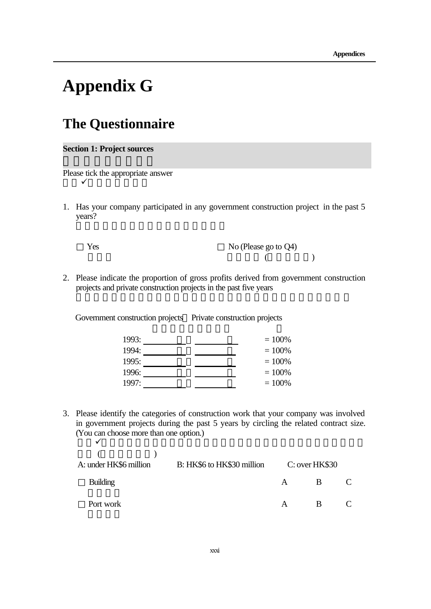# **Appendix G**

## **The Questionnaire**

**Section 1: Project sources**

Please tick the appropriate answer  $\checkmark$ 

1. Has your company participated in any government construction project in the past 5 years?

Yes No (Please go to 
$$
Q4
$$
)

2. Please indicate the proportion of gross profits derived from government construction projects and private construction projects in the past five years

Government construction projects Private construction projects

| 1993: | $= 100\%$ |
|-------|-----------|
| 1994: | $= 100\%$ |
| 1995: | $= 100\%$ |
| 1996: | $=100%$   |
| 1997: | $=100%$   |

3. Please identify the categories of construction work that your company was involved in government projects during the past 5 years by circling the related contract size. (You can choose more than one option.)  $\sqrt{}$ 

| A: under HK\$6 million | B: HK\$6 to HK\$30 million |              | C: over HK\$30 |  |
|------------------------|----------------------------|--------------|----------------|--|
| <b>Building</b>        |                            | $\mathsf{A}$ | R              |  |
| Port work              |                            | $\mathbf{A}$ | R              |  |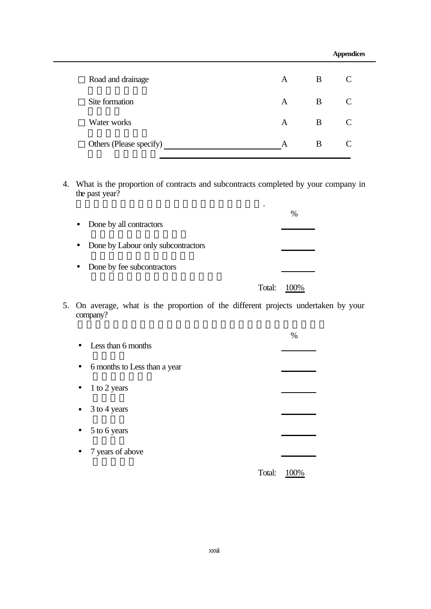|                         |   |   | <b>Appendices</b> |
|-------------------------|---|---|-------------------|
| Road and drainage       | A | B | C                 |
| Site formation          | A | B | C                 |
| Water works             | A | B | $\mathcal{C}$     |
| Others (Please specify) | А | B | C                 |
|                         |   |   |                   |

4. What is the proportion of contracts and subcontracts completed by your company in the past year?

|           | • Done by all contractors            |        | $\%$     |
|-----------|--------------------------------------|--------|----------|
|           | • Done by Labour only subcontractors |        |          |
| $\bullet$ | Done by fee subcontractors           |        |          |
|           |                                      | Total: | $(10\%)$ |

請粗略列出貴公司過去一年進行工程方式之比例.

5. On average, what is the proportion of the different projects undertaken by your company?

| $\bullet$ | Less than 6 months           |        | $\%$ |
|-----------|------------------------------|--------|------|
| $\bullet$ | 6 months to Less than a year |        |      |
| $\bullet$ | 1 to 2 years                 |        |      |
|           | $\bullet$ 3 to 4 years       |        |      |
| $\bullet$ | 5 to 6 years                 |        |      |
| $\bullet$ | 7 years of above             |        |      |
|           |                              | Total: | 0%   |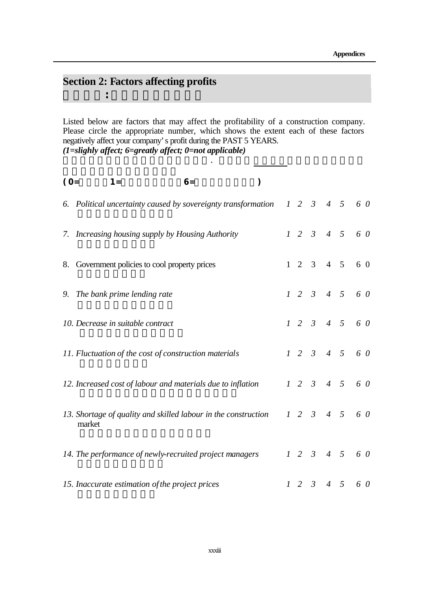### **Section 2: Factors affecting profits**

第二部分:影響公司盈利之因素

Listed below are factors that may affect the profitability of a construction company. Please circle the appropriate number, which shows the extent each of these factors negatively affect your company's profit during the PAST 5 YEARS. *(1=slighly affect; 6=greatly affect; 0=not applicable)*

以下是一些可影響建築公司盈利的因素. 請圈出在過去五年中,貴公司盈利有多

| $(O=$ | $6=$<br>$1 =$                                                            | $\mathcal{Y}$ |  |                   |                     |                          |
|-------|--------------------------------------------------------------------------|---------------|--|-------------------|---------------------|--------------------------|
|       | 6. Political uncertainty caused by sovereignty transformation            |               |  |                   |                     | $1\ 2\ 3\ 4\ 5\ 6\ 0$    |
|       | 7. Increasing housing supply by Housing Authority                        |               |  | $1\quad 2\quad 3$ |                     | $4\quad 5\quad 6\quad 0$ |
|       | 8. Government policies to cool property prices                           |               |  |                   | $1 \t2 \t3 \t4 \t5$ | 6 0                      |
|       | 9. The bank prime lending rate                                           |               |  |                   |                     | $1\ 2\ 3\ 4\ 5\ 6\ 0$    |
|       | 10. Decrease in suitable contract                                        |               |  |                   |                     | $1\ 2\ 3\ 4\ 5\ 6\ 0$    |
|       | 11. Fluctuation of the cost of construction materials                    |               |  |                   |                     | $1\ 2\ 3\ 4\ 5\ 6\ 0$    |
|       | 12. Increased cost of labour and materials due to inflation              |               |  |                   |                     | $1\ 2\ 3\ 4\ 5\ 6\ 0$    |
|       | 13. Shortage of quality and skilled labour in the construction<br>market |               |  |                   |                     | $1\ 2\ 3\ 4\ 5\ 6\ 0$    |
|       | 14. The performance of newly-recruited project managers                  |               |  |                   |                     | $1\ 2\ 3\ 4\ 5\ 6\ 0$    |
|       | 15. Inaccurate estimation of the project prices                          |               |  | $1\quad 2\quad 3$ |                     | $4\quad 5\quad 6\quad 0$ |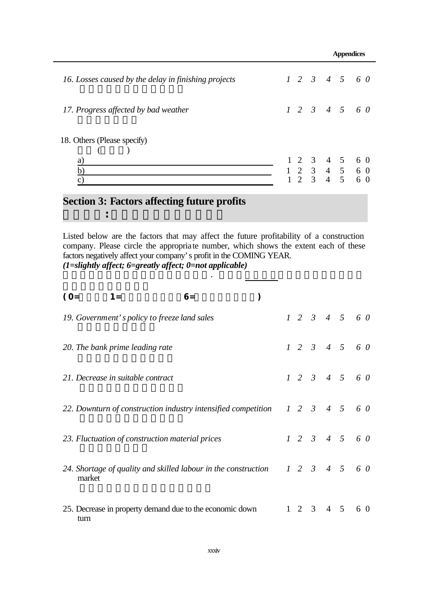|                                                                       |  |  | <b>Appendices</b> |  |                                                                                                                         |
|-----------------------------------------------------------------------|--|--|-------------------|--|-------------------------------------------------------------------------------------------------------------------------|
| 16. Losses caused by the delay in finishing projects                  |  |  |                   |  | $1\ 2\ 3\ 4\ 5\ 6\ 0$                                                                                                   |
| 17. Progress affected by bad weather                                  |  |  |                   |  | $1\ 2\ 3\ 4\ 5\ 6\ 0$                                                                                                   |
| 18. Others (Please specify)<br>a)<br>$\underline{b}$<br>$\mathcal{C}$ |  |  |                   |  | $\begin{array}{cccccc} 1 & 2 & 3 & 4 & 5 & 6 & 0 \\ 1 & 2 & 3 & 4 & 5 & 6 & 0 \\ 1 & 2 & 3 & 4 & 5 & 6 & 0 \end{array}$ |

### **Section 3: Factors affecting future profits**

第三部分:影響公司未來盈利之因素

Listed below are the factors that may affect the future profitability of a construction company. Please circle the appropriate number, which shows the extent each of these factors negatively affect your company's profit in the COMING YEAR. *(1=slightly affect; 6=greatly affect; 0=not applicable)*

以下是一些可影響建築公司盈利的因素. 請預計未來一年貴公司盈利有多大部分

| $(O=$  | $1 =$                                                          | $6=$ |  |  |                     |                       |
|--------|----------------------------------------------------------------|------|--|--|---------------------|-----------------------|
|        | 19. Government's policy to freeze land sales                   |      |  |  |                     | $1\ 2\ 3\ 4\ 5\ 6\ 0$ |
|        | 20. The bank prime leading rate                                |      |  |  |                     | $1\ 2\ 3\ 4\ 5\ 6\ 0$ |
|        | 21. Decrease in suitable contract                              |      |  |  |                     | $1\ 2\ 3\ 4\ 5\ 6\ 0$ |
|        | 22. Downturn of construction industry intensified competition  |      |  |  |                     | $1\ 2\ 3\ 4\ 5\ 6\ 0$ |
|        | 23. Fluctuation of construction material prices                |      |  |  |                     | $1\ 2\ 3\ 4\ 5\ 6\ 0$ |
| market | 24. Shortage of quality and skilled labour in the construction |      |  |  |                     | $1\ 2\ 3\ 4\ 5\ 6\ 0$ |
| turn   | 25. Decrease in property demand due to the economic down       |      |  |  | $1 \t2 \t3 \t4 \t5$ | 6 0                   |